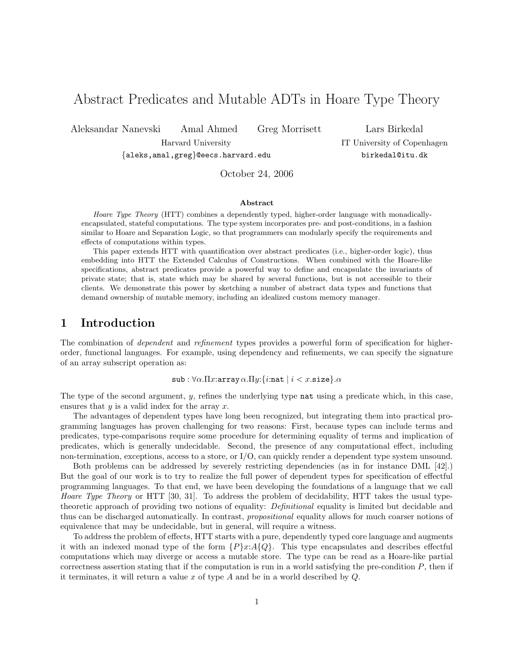# Abstract Predicates and Mutable ADTs in Hoare Type Theory

Aleksandar Nanevski Amal Ahmed Greg Morrisett Lars Birkedal

Harvard University IT University of Copenhagen

{aleks,amal,greg}@eecs.harvard.edu birkedal@itu.dk

October 24, 2006

### Abstract

Hoare Type Theory (HTT) combines a dependently typed, higher-order language with monadicallyencapsulated, stateful computations. The type system incorporates pre- and post-conditions, in a fashion similar to Hoare and Separation Logic, so that programmers can modularly specify the requirements and effects of computations within types.

This paper extends HTT with quantification over abstract predicates (i.e., higher-order logic), thus embedding into HTT the Extended Calculus of Constructions. When combined with the Hoare-like specifications, abstract predicates provide a powerful way to define and encapsulate the invariants of private state; that is, state which may be shared by several functions, but is not accessible to their clients. We demonstrate this power by sketching a number of abstract data types and functions that demand ownership of mutable memory, including an idealized custom memory manager.

# 1 Introduction

The combination of *dependent* and *refinement* types provides a powerful form of specification for higherorder, functional languages. For example, using dependency and refinements, we can specify the signature of an array subscript operation as:

sub :  $\forall \alpha.\Pi x$ : array  $\alpha.\Pi y$ : {*i*: nat | *i* < *x*. size}. $\alpha$ 

The type of the second argument,  $y$ , refines the underlying type nat using a predicate which, in this case, ensures that  $y$  is a valid index for the array  $x$ .

The advantages of dependent types have long been recognized, but integrating them into practical programming languages has proven challenging for two reasons: First, because types can include terms and predicates, type-comparisons require some procedure for determining equality of terms and implication of predicates, which is generally undecidable. Second, the presence of any computational effect, including non-termination, exceptions, access to a store, or I/O, can quickly render a dependent type system unsound.

Both problems can be addressed by severely restricting dependencies (as in for instance DML [42].) But the goal of our work is to try to realize the full power of dependent types for specification of effectful programming languages. To that end, we have been developing the foundations of a language that we call Hoare Type Theory or HTT [30, 31]. To address the problem of decidability, HTT takes the usual typetheoretic approach of providing two notions of equality: Definitional equality is limited but decidable and thus can be discharged automatically. In contrast, propositional equality allows for much coarser notions of equivalence that may be undecidable, but in general, will require a witness.

To address the problem of effects, HTT starts with a pure, dependently typed core language and augments it with an indexed monad type of the form  $\{P\}x:A\{Q\}$ . This type encapsulates and describes effectful computations which may diverge or access a mutable store. The type can be read as a Hoare-like partial correctness assertion stating that if the computation is run in a world satisfying the pre-condition  $P$ , then if it terminates, it will return a value  $x$  of type  $A$  and be in a world described by  $Q$ .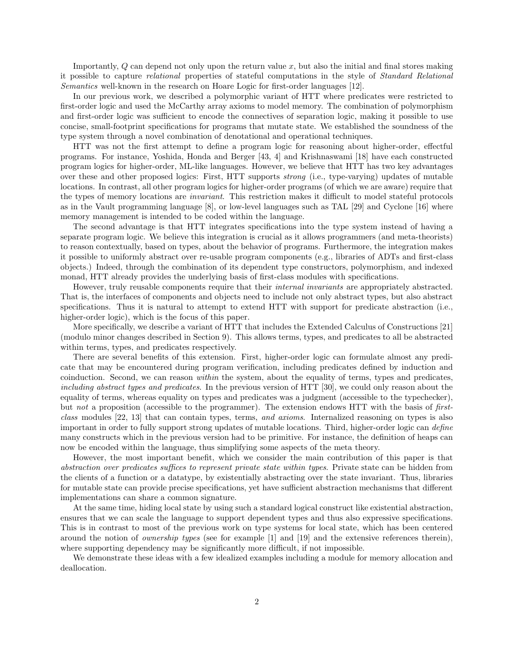Importantly, Q can depend not only upon the return value x, but also the initial and final stores making it possible to capture relational properties of stateful computations in the style of Standard Relational Semantics well-known in the research on Hoare Logic for first-order languages [12].

In our previous work, we described a polymorphic variant of HTT where predicates were restricted to first-order logic and used the McCarthy array axioms to model memory. The combination of polymorphism and first-order logic was sufficient to encode the connectives of separation logic, making it possible to use concise, small-footprint specifications for programs that mutate state. We established the soundness of the type system through a novel combination of denotational and operational techniques.

HTT was not the first attempt to define a program logic for reasoning about higher-order, effectful programs. For instance, Yoshida, Honda and Berger [43, 4] and Krishnaswami [18] have each constructed program logics for higher-order, ML-like languages. However, we believe that HTT has two key advantages over these and other proposed logics: First, HTT supports strong (i.e., type-varying) updates of mutable locations. In contrast, all other program logics for higher-order programs (of which we are aware) require that the types of memory locations are invariant. This restriction makes it difficult to model stateful protocols as in the Vault programming language [8], or low-level languages such as TAL [29] and Cyclone [16] where memory management is intended to be coded within the language.

The second advantage is that HTT integrates specifications into the type system instead of having a separate program logic. We believe this integration is crucial as it allows programmers (and meta-theorists) to reason contextually, based on types, about the behavior of programs. Furthermore, the integration makes it possible to uniformly abstract over re-usable program components (e.g., libraries of ADTs and first-class objects.) Indeed, through the combination of its dependent type constructors, polymorphism, and indexed monad, HTT already provides the underlying basis of first-class modules with specifications.

However, truly reusable components require that their internal invariants are appropriately abstracted. That is, the interfaces of components and objects need to include not only abstract types, but also abstract specifications. Thus it is natural to attempt to extend HTT with support for predicate abstraction (i.e., higher-order logic), which is the focus of this paper.

More specifically, we describe a variant of HTT that includes the Extended Calculus of Constructions [21] (modulo minor changes described in Section 9). This allows terms, types, and predicates to all be abstracted within terms, types, and predicates respectively.

There are several benefits of this extension. First, higher-order logic can formulate almost any predicate that may be encountered during program verification, including predicates defined by induction and coinduction. Second, we can reason within the system, about the equality of terms, types and predicates, including abstract types and predicates. In the previous version of HTT [30], we could only reason about the equality of terms, whereas equality on types and predicates was a judgment (accessible to the typechecker), but not a proposition (accessible to the programmer). The extension endows HTT with the basis of firstclass modules [22, 13] that can contain types, terms, and axioms. Internalized reasoning on types is also important in order to fully support strong updates of mutable locations. Third, higher-order logic can define many constructs which in the previous version had to be primitive. For instance, the definition of heaps can now be encoded within the language, thus simplifying some aspects of the meta theory.

However, the most important benefit, which we consider the main contribution of this paper is that abstraction over predicates suffices to represent private state within types. Private state can be hidden from the clients of a function or a datatype, by existentially abstracting over the state invariant. Thus, libraries for mutable state can provide precise specifications, yet have sufficient abstraction mechanisms that different implementations can share a common signature.

At the same time, hiding local state by using such a standard logical construct like existential abstraction, ensures that we can scale the language to support dependent types and thus also expressive specifications. This is in contrast to most of the previous work on type systems for local state, which has been centered around the notion of ownership types (see for example [1] and [19] and the extensive references therein), where supporting dependency may be significantly more difficult, if not impossible.

We demonstrate these ideas with a few idealized examples including a module for memory allocation and deallocation.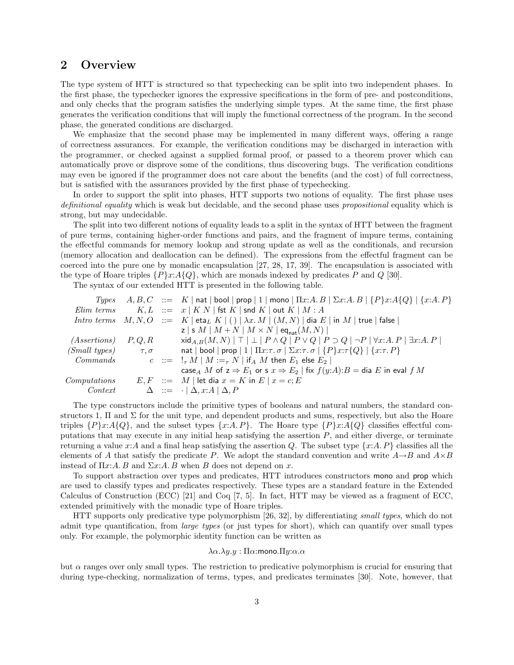# 2 Overview

The type system of HTT is structured so that typechecking can be split into two independent phases. In the first phase, the typechecker ignores the expressive specifications in the form of pre- and postconditions, and only checks that the program satisfies the underlying simple types. At the same time, the first phase generates the verification conditions that will imply the functional correctness of the program. In the second phase, the generated conditions are discharged.

We emphasize that the second phase may be implemented in many different ways, offering a range of correctness assurances. For example, the verification conditions may be discharged in interaction with the programmer, or checked against a supplied formal proof, or passed to a theorem prover which can automatically prove or disprove some of the conditions, thus discovering bugs. The verification conditions may even be ignored if the programmer does not care about the benefits (and the cost) of full correctness, but is satisfied with the assurances provided by the first phase of typechecking.

In order to support the split into phases, HTT supports two notions of equality. The first phase uses definitional equality which is weak but decidable, and the second phase uses propositional equality which is strong, but may undecidable.

The split into two different notions of equality leads to a split in the syntax of HTT between the fragment of pure terms, containing higher-order functions and pairs, and the fragment of impure terms, containing the effectful commands for memory lookup and strong update as well as the conditionals, and recursion (memory allocation and deallocation can be defined). The expressions from the effectful fragment can be coerced into the pure one by monadic encapsulation [27, 28, 17, 39]. The encapsulation is associated with the type of Hoare triples  $\{P\}x:A\{Q\}$ , which are monads indexed by predicates P and Q [30].

The syntax of our extended HTT is presented in the following table.

|                          |                | Types $A, B, C ::= K   \text{nat}   \text{bool}   \text{prop}   1   \text{mono}   \Pi x:A, B   \Sigma x:A, B   \{P\}x:A\{Q\}   \{x:A, P\}$                                                                                                                                                                                                                                                                                                                                                                                                                                              |
|--------------------------|----------------|-----------------------------------------------------------------------------------------------------------------------------------------------------------------------------------------------------------------------------------------------------------------------------------------------------------------------------------------------------------------------------------------------------------------------------------------------------------------------------------------------------------------------------------------------------------------------------------------|
| Elim terms               |                | $K, L \ ::= x \mid K \mid N \mid \text{fst } K \mid \text{snd } K \mid \text{out } K \mid M : A$                                                                                                                                                                                                                                                                                                                                                                                                                                                                                        |
|                          |                | <i>Intro terms</i> $M, N, O$ ::= $K   \text{eta}_L K   ()   \lambda x. M   (M, N)   \text{dia } E   \text{ in } M   \text{ true}   \text{ false}  $                                                                                                                                                                                                                                                                                                                                                                                                                                     |
|                          |                | z   s $M$   $M + N$   $M \times N$   eq <sub>nat</sub> $(M, N)$                                                                                                                                                                                                                                                                                                                                                                                                                                                                                                                         |
| $(Assertions)$ $P, Q, R$ |                | $\forall x \in A, B(M, N) \mid \top \mid \bot \mid P \land Q \mid P \lor Q \mid P \supset Q \mid \neg P \mid \forall x:A, P \mid \exists x:A, P \mid \exists x \in A \land P \mid \exists x \in A \land P \mid \exists x \in A \land P \mid \exists x \in A \land P \mid \exists x \in A \land P \mid \exists x \in A \land P \mid \exists x \in A \land P \mid \exists x \in A \land P \mid \exists x \in A \land P \mid \exists x \in A \land P \mid \exists x \in A \land P \mid \exists x \in A \land P \mid \exists x \in A \land P \mid \exists x \in A \land P \mid \exists x \$ |
| (Small types)            | $\tau, \sigma$ | nat   bool   prop   1   $\Pi x:\tau \cdot \sigma$   $\Sigma x:\tau \cdot \sigma$   $\{P\}x:\tau \{Q\}$   $\{x:\tau \cdot P\}$                                                                                                                                                                                                                                                                                                                                                                                                                                                           |
| Commands                 |                | $c := \frac{1}{4} M \mid M :=_7 N \mid \text{if}_A M \text{ then } E_1 \text{ else } E_2 \mid$                                                                                                                                                                                                                                                                                                                                                                                                                                                                                          |
|                          |                | case <sub>A</sub> M of $z \Rightarrow E_1$ or s $x \Rightarrow E_2$   fix $f(y:A):B = \text{dia } E$ in eval f M                                                                                                                                                                                                                                                                                                                                                                                                                                                                        |
| Computations             |                | $E, F$ ::= M   let dia $x = K$ in $E   x = c; E$                                                                                                                                                                                                                                                                                                                                                                                                                                                                                                                                        |
| Context                  |                | $\Delta \quad ::= \quad \cdot \mid \Delta, x : A \mid \Delta, P$                                                                                                                                                                                                                                                                                                                                                                                                                                                                                                                        |

The type constructors include the primitive types of booleans and natural numbers, the standard constructors 1,  $\Pi$  and  $\Sigma$  for the unit type, and dependent products and sums, respectively, but also the Hoare triples  $\{P\}x:A\{Q\}$ , and the subset types  $\{x:A,P\}$ . The Hoare type  $\{P\}x:A\{Q\}$  classifies effectful computations that may execute in any initial heap satisfying the assertion  $P$ , and either diverge, or terminate returning a value x:A and a final heap satisfying the assertion Q. The subset type  $\{x:A, P\}$  classifies all the elements of A that satisfy the predicate P. We adopt the standard convention and write  $A\rightarrow B$  and  $A\times B$ instead of  $\Pi x:A.B$  and  $\Sigma x:A.B$  when B does not depend on x.

To support abstraction over types and predicates, HTT introduces constructors mono and prop which are used to classify types and predicates respectively. These types are a standard feature in the Extended Calculus of Construction (ECC) [21] and Coq [7, 5]. In fact, HTT may be viewed as a fragment of ECC. extended primitively with the monadic type of Hoare triples.

HTT supports only predicative type polymorphism [26, 32], by differentiating small types, which do not admit type quantification, from large types (or just types for short), which can quantify over small types only. For example, the polymorphic identity function can be written as

### $\lambda \alpha. \lambda y. y : \Pi \alpha$ : mono.  $\Pi y$ :  $\alpha. \alpha$

but  $\alpha$  ranges over only small types. The restriction to predicative polymorphism is crucial for ensuring that during type-checking, normalization of terms, types, and predicates terminates [30]. Note, however, that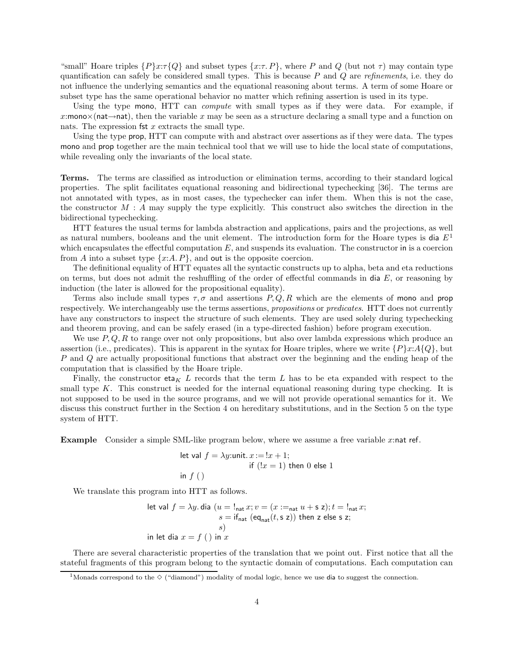"small" Hoare triples  $\{P\}x:\tau\{Q\}$  and subset types  $\{x:\tau\}$ , where P and Q (but not  $\tau$ ) may contain type quantification can safely be considered small types. This is because  $P$  and  $Q$  are refinements, i.e. they do not influence the underlying semantics and the equational reasoning about terms. A term of some Hoare or subset type has the same operational behavior no matter which refining assertion is used in its type.

Using the type mono, HTT can compute with small types as if they were data. For example, if x:mono $\times$ (nat→nat), then the variable x may be seen as a structure declaring a small type and a function on nats. The expression  $fct x$  extracts the small type.

Using the type prop, HTT can compute with and abstract over assertions as if they were data. The types mono and prop together are the main technical tool that we will use to hide the local state of computations, while revealing only the invariants of the local state.

Terms. The terms are classified as introduction or elimination terms, according to their standard logical properties. The split facilitates equational reasoning and bidirectional typechecking [36]. The terms are not annotated with types, as in most cases, the typechecker can infer them. When this is not the case, the constructor  $M : A$  may supply the type explicitly. This construct also switches the direction in the bidirectional typechecking.

HTT features the usual terms for lambda abstraction and applications, pairs and the projections, as well as natural numbers, booleans and the unit element. The introduction form for the Hoare types is dia  $E<sup>1</sup>$ which encapsulates the effectful computation  $E$ , and suspends its evaluation. The constructor in is a coercion from A into a subset type  $\{x:A, P\}$ , and out is the opposite coercion.

The definitional equality of HTT equates all the syntactic constructs up to alpha, beta and eta reductions on terms, but does not admit the reshuffling of the order of effectful commands in dia  $E$ , or reasoning by induction (the later is allowed for the propositional equality).

Terms also include small types  $\tau, \sigma$  and assertions  $P, Q, R$  which are the elements of mono and prop respectively. We interchangeably use the terms assertions, propositions or predicates. HTT does not currently have any constructors to inspect the structure of such elements. They are used solely during typechecking and theorem proving, and can be safely erased (in a type-directed fashion) before program execution.

We use  $P, Q, R$  to range over not only propositions, but also over lambda expressions which produce an assertion (i.e., predicates). This is apparent in the syntax for Hoare triples, where we write  $\{P\}x:A\{Q\}$ , but P and Q are actually propositional functions that abstract over the beginning and the ending heap of the computation that is classified by the Hoare triple.

Finally, the constructor eta<sub>K</sub> L records that the term L has to be eta expanded with respect to the small type  $K$ . This construct is needed for the internal equational reasoning during type checking. It is not supposed to be used in the source programs, and we will not provide operational semantics for it. We discuss this construct further in the Section 4 on hereditary substitutions, and in the Section 5 on the type system of HTT.

**Example** Consider a simple SML-like program below, where we assume a free variable x:nat ref.

let val 
$$
f = \lambda y
$$
:unit.  $x := !x + 1$ ;  
if  $(!x = 1)$  then 0 else 1  
in  $f()$ 

We translate this program into HTT as follows.

let val 
$$
f = \lambda y
$$
. dia  $(u = !_{nat} x; v = (x :=_{nat} u + s z); t = !_{nat} x;$   
\n $s = if_{nat} (eq_{nat}(t, s z))$  then z else s z;  
\n $s)$   
\nin let dia  $x = f()$  in x

There are several characteristic properties of the translation that we point out. First notice that all the stateful fragments of this program belong to the syntactic domain of computations. Each computation can

<sup>&</sup>lt;sup>1</sup>Monads correspond to the  $\Diamond$  ("diamond") modality of modal logic, hence we use dia to suggest the connection.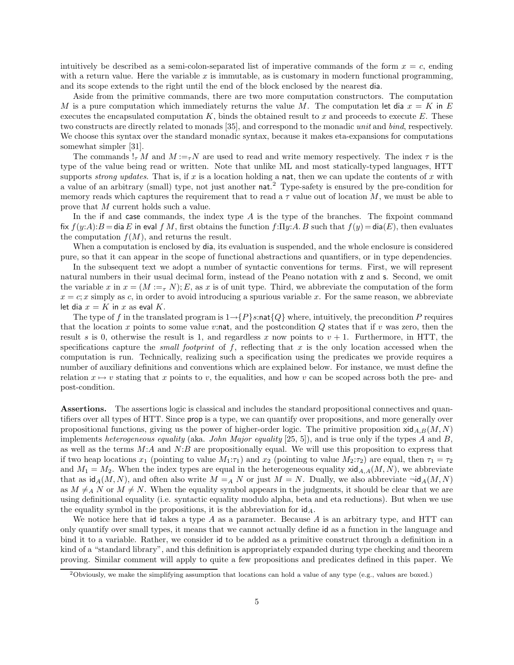intuitively be described as a semi-colon-separated list of imperative commands of the form  $x = c$ , ending with a return value. Here the variable  $x$  is immutable, as is customary in modern functional programming, and its scope extends to the right until the end of the block enclosed by the nearest dia.

Aside from the primitive commands, there are two more computation constructors. The computation M is a pure computation which immediately returns the value M. The computation let dia  $x = K$  in E executes the encapsulated computation  $K$ , binds the obtained result to x and proceeds to execute E. These two constructs are directly related to monads [35], and correspond to the monadic unit and bind, respectively. We choose this syntax over the standard monadic syntax, because it makes eta-expansions for computations somewhat simpler [31].

The commands  $!_{\tau} M$  and  $M :=_{\tau} N$  are used to read and write memory respectively. The index  $\tau$  is the type of the value being read or written. Note that unlike ML and most statically-typed languages, HTT supports *strong updates*. That is, if x is a location holding a nat, then we can update the contents of x with a value of an arbitrary (small) type, not just another nat.<sup>2</sup> Type-safety is ensured by the pre-condition for memory reads which captures the requirement that to read a  $\tau$  value out of location M, we must be able to prove that M current holds such a value.

In the if and case commands, the index type  $A$  is the type of the branches. The fixpoint command fix  $f(y:A):B=$  dia E in eval f M, first obtains the function  $f:\Pi y:A$ . B such that  $f(y)=$  dia(E), then evaluates the computation  $f(M)$ , and returns the result.

When a computation is enclosed by dia, its evaluation is suspended, and the whole enclosure is considered pure, so that it can appear in the scope of functional abstractions and quantifiers, or in type dependencies.

In the subsequent text we adopt a number of syntactic conventions for terms. First, we will represent natural numbers in their usual decimal form, instead of the Peano notation with z and s. Second, we omit the variable x in  $x = (M :=_{\tau} N); E$ , as x is of unit type. Third, we abbreviate the computation of the form  $x = c$ ; x simply as c, in order to avoid introducing a spurious variable x. For the same reason, we abbreviate let dia  $x = K$  in x as eval K.

The type of f in the translated program is  $1 \rightarrow {P}s$ :nat ${Q}$  where, intuitively, the precondition P requires that the location x points to some value v:nat, and the postcondition  $Q$  states that if v was zero, then the result s is 0, otherwise the result is 1, and regardless x now points to  $v + 1$ . Furthermore, in HTT, the specifications capture the *small footprint* of  $f$ , reflecting that  $x$  is the only location accessed when the computation is run. Technically, realizing such a specification using the predicates we provide requires a number of auxiliary definitions and conventions which are explained below. For instance, we must define the relation  $x \mapsto v$  stating that x points to v, the equalities, and how v can be scoped across both the pre- and post-condition.

Assertions. The assertions logic is classical and includes the standard propositional connectives and quantifiers over all types of HTT. Since prop is a type, we can quantify over propositions, and more generally over propositional functions, giving us the power of higher-order logic. The primitive proposition  $xid_{A,B}(M, N)$ implements heterogeneous equality (aka. John Major equality [25, 5]), and is true only if the types A and B, as well as the terms  $M:A$  and  $N:B$  are propositionally equal. We will use this proposition to express that if two heap locations  $x_1$  (pointing to value  $M_1:\tau_1$ ) and  $x_2$  (pointing to value  $M_2:\tau_2$ ) are equal, then  $\tau_1 = \tau_2$ and  $M_1 = M_2$ . When the index types are equal in the heterogeneous equality  $xid_{A,A}(M, N)$ , we abbreviate that as  $\mathrm{id}_A(M, N)$ , and often also write  $M = A N$  or just  $M = N$ . Dually, we also abbreviate  $\neg \mathrm{id}_A(M, N)$ as  $M \neq_A N$  or  $M \neq N$ . When the equality symbol appears in the judgments, it should be clear that we are using definitional equality (i.e. syntactic equality modulo alpha, beta and eta reductions). But when we use the equality symbol in the propositions, it is the abbreviation for  $\mathsf{id}_A$ .

We notice here that id takes a type A as a parameter. Because A is an arbitrary type, and HTT can only quantify over small types, it means that we cannot actually define id as a function in the language and bind it to a variable. Rather, we consider id to be added as a primitive construct through a definition in a kind of a "standard library", and this definition is appropriately expanded during type checking and theorem proving. Similar comment will apply to quite a few propositions and predicates defined in this paper. We

<sup>&</sup>lt;sup>2</sup>Obviously, we make the simplifying assumption that locations can hold a value of any type (e.g., values are boxed.)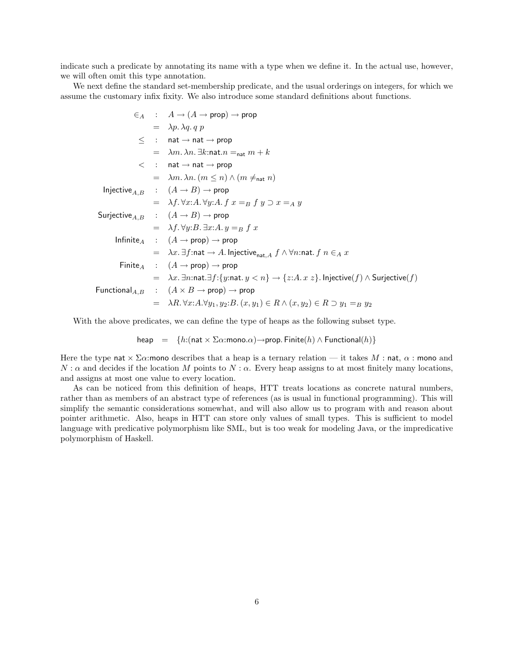indicate such a predicate by annotating its name with a type when we define it. In the actual use, however, we will often omit this type annotation.

We next define the standard set-membership predicate, and the usual orderings on integers, for which we assume the customary infix fixity. We also introduce some standard definitions about functions.

$$
\epsilon_A : A \rightarrow (A \rightarrow prop) \rightarrow prop
$$
\n
$$
= \lambda p. \lambda q. q p
$$
\n
$$
\leq : \text{nat} \rightarrow \text{nat} \rightarrow prop
$$
\n
$$
= \lambda m. \lambda n. \exists k : \text{nat} . n =_{\text{nat}} m + k
$$
\n
$$
< : \text{nat} \rightarrow \text{nat} \rightarrow prop
$$
\n
$$
= \lambda m. \lambda n. (m \leq n) \land (m \neq_{\text{nat}} n)
$$
\n
$$
\text{Injective}_{A,B} : (A \rightarrow B) \rightarrow prop
$$
\n
$$
= \lambda f. \forall x : A. \forall y : A. f x =_{B} f y \supset x =_{A} y
$$
\n
$$
\text{Surjective}_{A,B} : (A \rightarrow B) \rightarrow prop
$$
\n
$$
= \lambda f. \forall y : B. \exists x : A. y =_{B} f x
$$
\n
$$
\text{Infinite}_{A} : (A \rightarrow prop) \rightarrow prop
$$
\n
$$
= \lambda x. \exists f : \text{nat} \rightarrow A. \text{ Injective}_{\text{nat}, A} f \land \forall n : \text{nat}. f n \in_{A} x
$$
\n
$$
\text{Finite}_{A} : (A \rightarrow prop) \rightarrow prop
$$
\n
$$
= \lambda x. \exists n : \text{nat} \cdot \exists f : \{y : \text{nat} . y < n\} \rightarrow \{z : A. x z\}. \text{ Injective}(f) \land \text{Surjective}(f)
$$
\n
$$
\text{Functional}_{A,B} : (A \times B \rightarrow prop) \rightarrow prop
$$
\n
$$
= \lambda R. \forall x : A. \forall y_1, y_2 : B. (x, y_1) \in R \land (x, y_2) \in R \supset y_1 =_{B} y_2
$$

With the above predicates, we can define the type of heaps as the following subset type.

heap =  $\{h: (\text{nat} \times \Sigma \alpha : \text{mono} \cdot \alpha) \rightarrow \text{prop. Finite}(h) \wedge \text{Functional}(h)\}\$ 

Here the type nat  $\times \Sigma \alpha$ : mono describes that a heap is a ternary relation — it takes M : nat,  $\alpha$  : mono and  $N : \alpha$  and decides if the location M points to  $N : \alpha$ . Every heap assigns to at most finitely many locations, and assigns at most one value to every location.

As can be noticed from this definition of heaps, HTT treats locations as concrete natural numbers, rather than as members of an abstract type of references (as is usual in functional programming). This will simplify the semantic considerations somewhat, and will also allow us to program with and reason about pointer arithmetic. Also, heaps in HTT can store only values of small types. This is sufficient to model language with predicative polymorphism like SML, but is too weak for modeling Java, or the impredicative polymorphism of Haskell.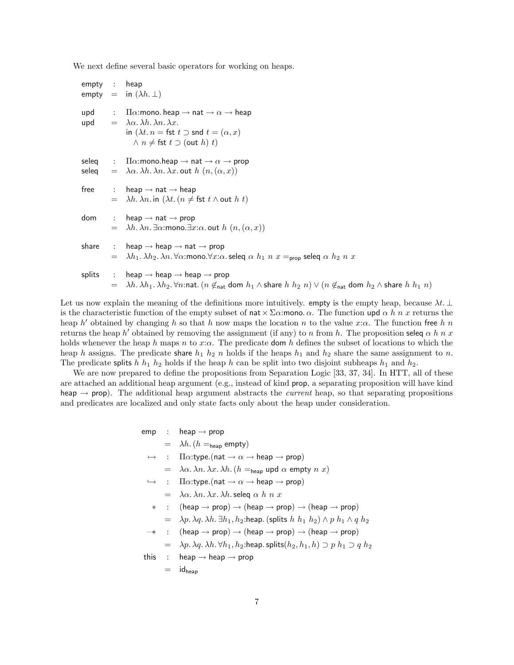We next define several basic operators for working on heaps.

```
empty : heap
empty = in (\lambda h. \perp)upd : \Pi \alpha: mono. heap \rightarrow nat \rightarrow \alpha \rightarrow heap
upd = \lambda \alpha. \lambda h. \lambda n. \lambda x.
                      in (\lambda t. n = \text{fst } t \supset \text{snd } t = (\alpha, x)∧ n \neq \text{fst } t \supset (\text{out } h) t)seleq : \Pi \alpha: mono.heap \rightarrow nat \rightarrow \alpha \rightarrow prop
seleq = \lambda \alpha. \lambda h. \lambda n. \lambda x. out h(n, (\alpha, x))free : heap \rightarrow nat \rightarrow heap
               = \lambda h \cdot \lambda n \cdot \text{in} (\lambda t \cdot (n \neq \text{fst } t \wedge \text{out } h t))dom : heap \rightarrow nat \rightarrow prop
                      \lambda h. \lambda n. \exists \alpha:mono.\exists x:\alpha. out h(n,(\alpha, x))share : heap \rightarrow heap \rightarrow nat \rightarrow prop
                      \lambda h_1. \lambda h_2. \lambda n. \forall \alpha: mono.\forall x:\alpha. seleq \alpha h_1 n x =<sub>prop</sub> seleq \alpha h_2 n xsplits : heap \rightarrow heap \rightarrow heap \rightarrow prop
               = \lambda h.\lambda h_1.\lambda h_2.\forall n:nat. (n \notin_{\text{nat}} dom h_1 \wedge share h \; h_2 \; n) \vee (n \notin_{\text{nat}} dom h_2 \wedge share h \; h_1 \; n)
```
Let us now explain the meaning of the definitions more intuitively. empty is the empty heap, because  $\lambda t$ . ⊥ is the characteristic function of the empty subset of nat  $\times \Sigma \alpha$ : mono.  $\alpha$ . The function upd  $\alpha$  h n x returns the heap h' obtained by changing h so that h now maps the location n to the value x: $\alpha$ . The function free h n returns the heap h' obtained by removing the assignment (if any) to n from h. The proposition seleq  $\alpha$  h n x holds whenever the heap h maps n to x: $\alpha$ . The predicate dom h defines the subset of locations to which the heap h assigns. The predicate share  $h_1$  h<sub>2</sub> n holds if the heaps  $h_1$  and  $h_2$  share the same assignment to n. The predicate splits h  $h_1$  h<sub>2</sub> holds if the heap h can be split into two disjoint subheaps  $h_1$  and  $h_2$ .

We are now prepared to define the propositions from Separation Logic [33, 37, 34]. In HTT, all of these are attached an additional heap argument (e.g., instead of kind prop, a separating proposition will have kind heap  $\rightarrow$  prop). The additional heap argument abstracts the *current* heap, so that separating propositions and predicates are localized and only state facts only about the heap under consideration.

```
emp : heap \rightarrow prop
            = \lambda h. (h =_{\text{heap}} \text{empty})\mapsto : \Pi \alpha: type. (nat \rightarrow \alpha \rightarrow heap \rightarrow prop)
            = \lambda \alpha. \lambda n. \lambda x. \lambda h. (h =_{\text{heap}} \text{upd } \alpha \text{ empty } n \text{ x})\vdots \Pi\alpha:type.(nat \rightarrow \alpha \rightarrow heap \rightarrow prop)
            = \lambda \alpha. \lambda n. \lambda x. \lambda h. seleg \alpha h n x
          \therefore (heap \rightarrow prop) \rightarrow (heap \rightarrow prop) \rightarrow (heap \rightarrow prop)
            = \lambda p. \lambda q. \lambda h. \exists h_1, h_2:heap. (splits h h_1 h_2 \wedge p h_1 \wedge q h_2\therefore (heap \rightarrow prop) \rightarrow (heap \rightarrow prop) \rightarrow (heap \rightarrow prop)
            = \lambda p. \lambda q. \lambda h. \forall h_1, h_2:heap. splits(h_2, h_1, h) \supset p h_1 \supset q h_2this : heap \rightarrow heap \rightarrow prop
            = id<sub>heap</sub>
```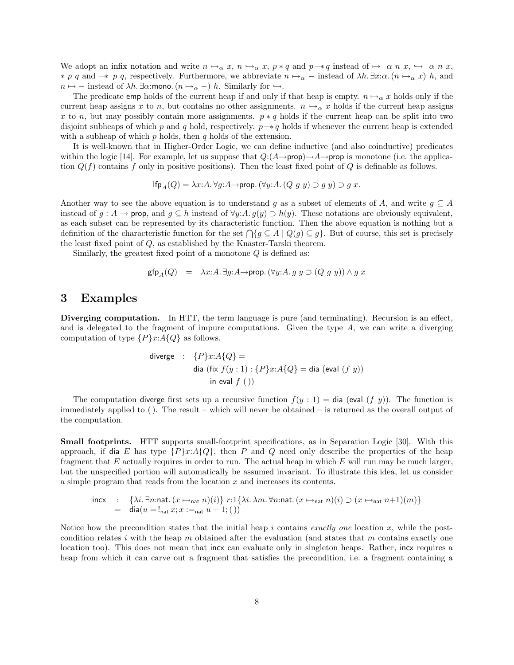We adopt an infix notation and write  $n \mapsto_{\alpha} x, n \hookrightarrow_{\alpha} x, p * q$  and  $p \rightarrow q$  instead of  $\mapsto \alpha n x, \hookrightarrow \alpha n x$ ,  $* p q$  and  $-* p q$ , respectively. Furthermore, we abbreviate  $n \mapsto \alpha -$  instead of  $\lambda h$ . ∃x: $\alpha$ .  $(n \mapsto \alpha x) h$ , and  $n \mapsto -$  instead of  $\lambda h$ .  $\exists \alpha$ :mono.  $(n \mapsto_{\alpha} -)$  h. Similarly for  $\hookrightarrow$ .

The predicate emp holds of the current heap if and only if that heap is empty.  $n \mapsto \alpha x$  holds only if the current heap assigns x to n, but contains no other assignments.  $n \leftrightarrow_\alpha x$  holds if the current heap assigns x to n, but may possibly contain more assignments.  $p * q$  holds if the current heap can be split into two disjoint subheaps of which p and q hold, respectively.  $p \rightarrow q$  holds if whenever the current heap is extended with a subheap of which  $p$  holds, then  $q$  holds of the extension.

It is well-known that in Higher-Order Logic, we can define inductive (and also coinductive) predicates within the logic [14]. For example, let us suppose that  $Q: (A \rightarrow prop) \rightarrow A \rightarrow prop$  is monotone (i.e. the application  $Q(f)$  contains f only in positive positions). Then the least fixed point of Q is definable as follows.

$$
\mathsf{lfp}_A(Q) = \lambda x{:}A \ldotp \forall g{:}A \rightarrow \mathsf{prop.} \, (\forall y{:}A \ldotp (Q \ g \ y) \supset g \ y) \supset g \ x.
$$

Another way to see the above equation is to understand g as a subset of elements of A, and write  $g \subseteq A$ instead of  $g : A \to \text{prop}$ , and  $g \subseteq h$  instead of  $\forall y: A \cdot g(y) \supset h(y)$ . These notations are obviously equivalent, as each subset can be represented by its characteristic function. Then the above equation is nothing but a definition of the characteristic function for the set  $\bigcap \{g \subseteq A \mid Q(g) \subseteq g\}$ . But of course, this set is precisely the least fixed point of Q, as established by the Knaster-Tarski theorem.

Similarly, the greatest fixed point of a monotone  $Q$  is defined as:

$$
\mathsf{gfp}_A(Q) = \lambda x:A. \exists g:A \rightarrow \mathsf{prop.} (\forall y:A. \ g \ y \supset (Q \ g \ y)) \land \ g \ x
$$

### 3 Examples

Diverging computation. In HTT, the term language is pure (and terminating). Recursion is an effect, and is delegated to the fragment of impure computations. Given the type A, we can write a diverging computation of type  $\{P\}x:A\{Q\}$  as follows.

\n
$$
\text{diverge} \quad : \quad \{P\}x: A\{Q\} =
$$
\n

\n\n $\text{dia} \left( \text{fix } f(y:1) : \{P\}x: A\{Q\} = \text{dia} \left( \text{eval } (f\ y) \right) \right)$ \n

\n\n $\text{in eval } f \left( \right)$ \n

The computation diverge first sets up a recursive function  $f(y: 1) = \text{dia}$  (eval  $(f(y))$ ). The function is immediately applied to (). The result – which will never be obtained – is returned as the overall output of the computation.

Small footprints. HTT supports small-footprint specifications, as in Separation Logic [30]. With this approach, if dia E has type  $\{P\}x:A\{Q\}$ , then P and Q need only describe the properties of the heap fragment that  $E$  actually requires in order to run. The actual heap in which  $E$  will run may be much larger, but the unspecified portion will automatically be assumed invariant. To illustrate this idea, let us consider a simple program that reads from the location x and increases its contents.

$$
\begin{array}{lll} \text{incx} & : & \{\lambda i. \exists n{:}\mathsf{nat}. \ (x \mapsto_{\mathsf{nat}} n)(i)\} \ r{:}1\{\lambda i. \ \lambda m. \ \forall n{:}\mathsf{nat}. \ (x \mapsto_{\mathsf{nat}} n)(i) \supset (x \mapsto_{\mathsf{nat}} n + 1)(m)\} \\ & = & \mathsf{dia}(u = !_{\mathsf{nat}} x; x :=_{\mathsf{nat}} u + 1; () \end{array}
$$

Notice how the precondition states that the initial heap i contains exactly one location x, while the postcondition relates i with the heap m obtained after the evaluation (and states that m contains exactly one location too). This does not mean that incx can evaluate only in singleton heaps. Rather, incx requires a heap from which it can carve out a fragment that satisfies the precondition, i.e. a fragment containing a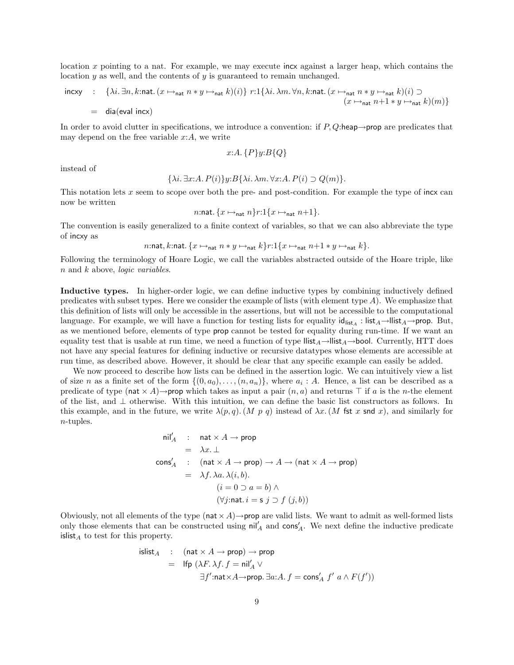location x pointing to a nat. For example, we may execute incx against a larger heap, which contains the location  $\gamma$  as well, and the contents of  $\gamma$  is guaranteed to remain unchanged.

$$
\begin{array}{lll}\n\text{incxy} & \colon & \{ \lambda i. \exists n, k : \text{nat.} \ (x \mapsto_{\text{nat}} n * y \mapsto_{\text{nat}} k)(i) \} \ r : 1 \{ \lambda i. \ \lambda m. \ \forall n, k : \text{nat.} \ (x \mapsto_{\text{nat}} n * y \mapsto_{\text{nat}} k)(i) \supset \\
& \quad (x \mapsto_{\text{nat}} n + 1 * y \mapsto_{\text{nat}} k)(m) \} \\
& = & \text{dia}(\text{eval incx})\n\end{array}
$$

In order to avoid clutter in specifications, we introduce a convention: if  $P$ , Q:heap $\rightarrow$ prop are predicates that may depend on the free variable  $x:A$ , we write

$$
x:A.\{P\}y:B\{Q\}
$$

instead of

$$
\{\lambda i. \exists x:A. P(i)\}y:B\{\lambda i. \lambda m. \forall x:A. P(i) \supset Q(m)\}.
$$

This notation lets x seem to scope over both the pre- and post-condition. For example the type of incx can now be written

$$
n:\text{nat.} \{x \mapsto_{\text{nat}} n\} r:1\{x \mapsto_{\text{nat}} n+1\}.
$$

The convention is easily generalized to a finite context of variables, so that we can also abbreviate the type of incxy as

n:nat, k:nat.  $\{x \mapsto_{\text{nat}} n * y \mapsto_{\text{nat}} k\}$ r:1 $\{x \mapsto_{\text{nat}} n+1 * y \mapsto_{\text{nat}} k\}$ .

Following the terminology of Hoare Logic, we call the variables abstracted outside of the Hoare triple, like n and k above, *logic variables*.

Inductive types. In higher-order logic, we can define inductive types by combining inductively defined predicates with subset types. Here we consider the example of lists (with element type  $A$ ). We emphasize that this definition of lists will only be accessible in the assertions, but will not be accessible to the computational language. For example, we will have a function for testing lists for equality  $\mathsf{id}_{\mathsf{list}_A} : \mathsf{list}_A \to \mathsf{list}_A \to \mathsf{prop}$ . But, as we mentioned before, elements of type prop cannot be tested for equality during run-time. If we want an equality test that is usable at run time, we need a function of type  $\text{llist}_{A}\rightarrow \text{llist}_{A}\rightarrow \text{bool}$ . Currently, HTT does not have any special features for defining inductive or recursive datatypes whose elements are accessible at run time, as described above. However, it should be clear that any specific example can easily be added.

We now proceed to describe how lists can be defined in the assertion logic. We can intuitively view a list of size n as a finite set of the form  $\{(0, a_0), \ldots, (n, a_n)\}\$ , where  $a_i : A$ . Hence, a list can be described as a predicate of type (nat  $\times A$ )→prop which takes as input a pair  $(n, a)$  and returns  $\top$  if a is the n-the element of the list, and ⊥ otherwise. With this intuition, we can define the basic list constructors as follows. In this example, and in the future, we write  $\lambda(p,q)$ . (M p q) instead of  $\lambda x$ . (M fst x snd x), and similarly for n-tuples.

$$
nil'_A : nat \times A \rightarrow prop
$$
  
=  $\lambda x.\bot$   

$$
cons'_A : (nat \times A \rightarrow prop) \rightarrow A \rightarrow (nat \times A \rightarrow prop)
$$
  
=  $\lambda f.\lambda a.\lambda(i, b).$   

$$
(i = 0 \supset a = b) \land
$$
  

$$
(\forall j:\text{nat.} i = s j \supset f (j, b))
$$

Obviously, not all elements of the type (nat  $\times A$ )  $\rightarrow$ prop are valid lists. We want to admit as well-formed lists only those elements that can be constructed using  $\frac{nil'_A}{]}$  and  $\cos'_{A}$ . We next define the inductive predicate islist<sub>A</sub> to test for this property.

$$
\begin{array}{lcl} \mathrm{islist}_A & : & (\mathrm{nat} \times A \rightarrow \mathrm{prop}) \rightarrow \mathrm{prop} \\ \\ & = & \mathrm{lfp} \ (\lambda F. \lambda f. \ f = \mathrm{nil}_A' \vee \\ & & \exists f' : \mathrm{nat} \times A \rightarrow \mathrm{prop}.\ \exists a: A.\ f = \mathrm{cons}_A' \ f' \ a \wedge F(f')) \end{array}
$$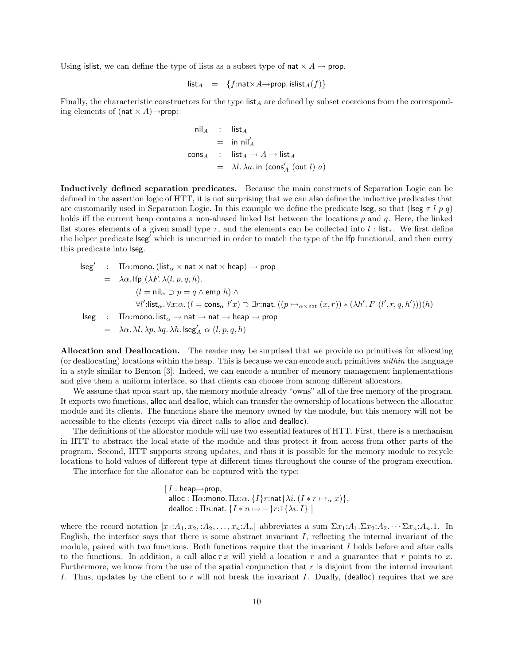Using is list, we can define the type of lists as a subset type of nat  $\times A \rightarrow$  prop.

$$
\mathsf{list}_A = \{f : \mathsf{nat} \times A \to \mathsf{prop} \text{. } \mathsf{islist}_A(f)\}
$$

Finally, the characteristic constructors for the type  $\text{list}_A$  are defined by subset coercions from the corresponding elements of (nat  $\times$  A) $\rightarrow$ prop:

$$
\begin{array}{rcl}\n\mathsf{nil}_A & : & \mathsf{list}_A \\
 & = & \mathsf{in} \ \mathsf{nil}_A' \\
\mathsf{cons}_A & : & \mathsf{list}_A \to A \to \mathsf{list}_A \\
 & = & \lambda l \cdot \lambda a \cdot \mathsf{in} \ (\mathsf{cons}_A' \ (\mathsf{out} \ l) \ a)\n\end{array}
$$

Inductively defined separation predicates. Because the main constructs of Separation Logic can be defined in the assertion logic of HTT, it is not surprising that we can also define the inductive predicates that are customarily used in Separation Logic. In this example we define the predicate lseg, so that (lseg  $\tau$  l p q) holds iff the current heap contains a non-aliased linked list between the locations  $p$  and  $q$ . Here, the linked list stores elements of a given small type  $\tau$ , and the elements can be collected into l: list<sub> $\tau$ </sub>. We first define the helper predicate lseg' which is uncurried in order to match the type of the lfp functional, and then curry this predicate into lseg.

$$
\begin{array}{lcl} \mathsf{lseg}' & : & \Pi \alpha{:mono.}\left(\mathsf{list}_\alpha \times \mathsf{nat} \times \mathsf{hat} \times \mathsf{heap}\right) \rightarrow \mathsf{prop} \\ \\ & = & \lambda \alpha. \mathsf{lfp}\left(\lambda F. \lambda(l,p,q,h). \right. \\ & & (l = \mathsf{nil}_\alpha \supset p = q \wedge \mathsf{emp}\; h) \wedge \\ & & \forall l': \mathsf{list}_\alpha. \forall x: \alpha. \ (l = \mathsf{cons}_\alpha \; l'x) \supset \exists r:\mathsf{nat}. \ ((p \mapsto_{\alpha \times \mathsf{nat}} (x,r)) * (\lambda h'.\, F\; (l',r,q,h')))(h) \\ \\ \mathsf{lseg} & : & \Pi \alpha{:mono.}\, \mathsf{list}_\alpha \rightarrow \mathsf{nat} \rightarrow \mathsf{nat} \rightarrow \mathsf{heap} \rightarrow \mathsf{prop} \\ & = & \lambda \alpha. \ \lambda l. \ \lambda p. \ \lambda q. \ \lambda h. \ \mathsf{lseg}'_\mathcal{A} \ \alpha \; (l,p,q,h) \end{array}
$$

Allocation and Deallocation. The reader may be surprised that we provide no primitives for allocating (or deallocating) locations within the heap. This is because we can encode such primitives within the language in a style similar to Benton [3]. Indeed, we can encode a number of memory management implementations and give them a uniform interface, so that clients can choose from among different allocators.

We assume that upon start up, the memory module already "owns" all of the free memory of the program. It exports two functions, alloc and dealloc, which can transfer the ownership of locations between the allocator module and its clients. The functions share the memory owned by the module, but this memory will not be accessible to the clients (except via direct calls to alloc and dealloc).

The definitions of the allocator module will use two essential features of HTT. First, there is a mechanism in HTT to abstract the local state of the module and thus protect it from access from other parts of the program. Second, HTT supports strong updates, and thus it is possible for the memory module to recycle locations to hold values of different type at different times throughout the course of the program execution.

The interface for the allocator can be captured with the type:

[
$$
I
$$
: heap→prop,  
alloc:  $\Pi\alpha$ :mono.  $\Pi x$ : $\alpha$ . { $I$ } $r$ :nat{ $\lambda i$ . ( $I * r \mapsto_{\alpha} x$ )},  
dealloc:  $\Pi n$ :nat. { $I * n \mapsto -$ } $r$ :1{ $\lambda i$ .  $I$ } ]

where the record notation  $[x_1:A_1, x_2, A_2, \ldots, x_n:A_n]$  abbreviates a sum  $\Sigma x_1:A_1.\Sigma x_2:A_2 \cdots \Sigma x_n:A_n.1$ . In English, the interface says that there is some abstract invariant  $I$ , reflecting the internal invariant of the module, paired with two functions. Both functions require that the invariant  $I$  holds before and after calls to the functions. In addition, a call alloc  $\tau x$  will yield a location r and a guarantee that r points to x. Furthermore, we know from the use of the spatial conjunction that  $r$  is disjoint from the internal invariant I. Thus, updates by the client to r will not break the invariant I. Dually, (dealloc) requires that we are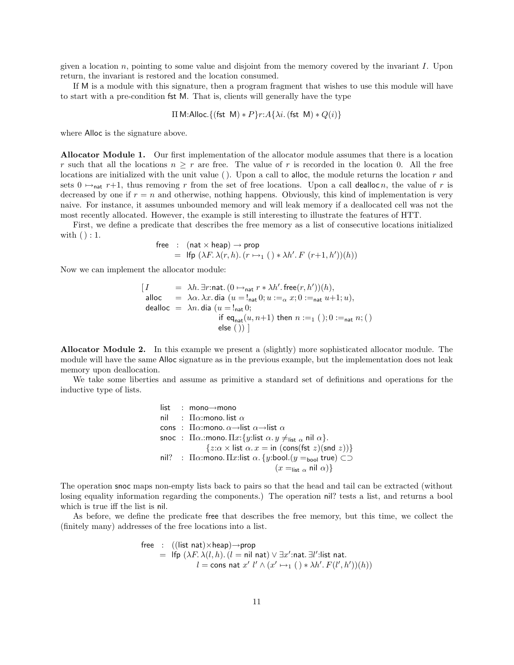given a location n, pointing to some value and disjoint from the memory covered by the invariant I. Upon return, the invariant is restored and the location consumed.

If M is a module with this signature, then a program fragment that wishes to use this module will have to start with a pre-condition fst M. That is, clients will generally have the type

$$
\Pi \text{ M:} \text{Alloc.} \{ (\text{fst } \text{M}) * P \} r : A \{ \lambda i. (\text{fst } \text{M}) * Q(i) \}
$$

where Alloc is the signature above.

Allocator Module 1. Our first implementation of the allocator module assumes that there is a location r such that all the locations  $n \geq r$  are free. The value of r is recorded in the location 0. All the free locations are initialized with the unit value  $($ ). Upon a call to alloc, the module returns the location  $r$  and sets  $0 \mapsto_{\text{nat}} r+1$ , thus removing r from the set of free locations. Upon a call dealloc n, the value of r is decreased by one if  $r = n$  and otherwise, nothing happens. Obviously, this kind of implementation is very naive. For instance, it assumes unbounded memory and will leak memory if a deallocated cell was not the most recently allocated. However, the example is still interesting to illustrate the features of HTT.

First, we define a predicate that describes the free memory as a list of consecutive locations initialized with () : 1.

$$
\begin{array}{lcl}\n\text{free} & \text{:} & (\text{nat} \times \text{heap}) \rightarrow \text{prop} \\
& = & \text{Ifp } (\lambda F. \lambda(r, h). (r \mapsto_1 (\text{ })* \lambda h'. F \text{ } (r+1, h'))(h))\n\end{array}
$$

Now we can implement the allocator module:

$$
[ I = \lambda h. \exists r : \text{nat.} (0 \mapsto_{\text{nat}} r * \lambda h'. \text{ free}(r, h'))(h),
$$
  
alloc =  $\lambda \alpha. \lambda x. \text{ dia } (u = !_{\text{nat}} 0; u :=_{\alpha} x; 0 :=_{\text{nat}} u + 1; u),$   
dealloc =  $\lambda n. \text{dia } (u = !_{\text{nat}} 0; \text{ if } \text{eq}_{\text{nat}}(u, n+1) \text{ then } n :=_1 (); 0 :=_{\text{nat}} n; ()$   
else  $()) ]$ 

Allocator Module 2. In this example we present a (slightly) more sophisticated allocator module. The module will have the same Alloc signature as in the previous example, but the implementation does not leak memory upon deallocation.

We take some liberties and assume as primitive a standard set of definitions and operations for the inductive type of lists.

> list : mono→mono nil :  $\Pi\alpha$ : mono. list  $\alpha$ cons :  $\Pi \alpha$ : mono.  $\alpha \rightarrow$ list  $\alpha \rightarrow$ list  $\alpha$ snoc :  $\Pi \alpha$ : mono.  $\Pi x$ : {y:list  $\alpha$ .  $y \neq_{\text{list } \alpha}$  nil  $\alpha$  }.  $\{z:\alpha \times \text{list } \alpha \cdot x = \text{in } (\text{cons}(\text{fst } z)(\text{snd } z))\}$ nil? : Πα:mono. Πx:list α. {y:bool.(y =<sub>bool</sub> true) ⊂⊃  $(x =_{\text{list } \alpha} \text{ nil } \alpha)$

The operation snoc maps non-empty lists back to pairs so that the head and tail can be extracted (without losing equality information regarding the components.) The operation nil? tests a list, and returns a bool which is true iff the list is nil.

As before, we define the predicate free that describes the free memory, but this time, we collect the (finitely many) addresses of the free locations into a list.

$$
\begin{array}{rcl}\n\text{free} & : & ((\text{list nat}) \times \text{heap}) \rightarrow \text{prop} \\
& = & \text{Ifp } (\lambda F. \lambda(l, h). (l = \text{nil nat}) \vee \exists x': \text{nat}. \exists l': \text{list nat.} \\
& l = \text{cons nat } x' \ l' \wedge (x' \mapsto_1 () * \lambda h'. F(l', h'))(h))\n\end{array}
$$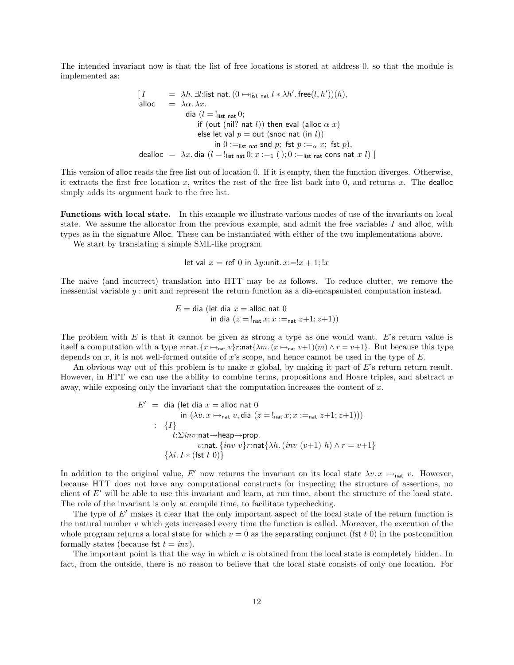The intended invariant now is that the list of free locations is stored at address 0, so that the module is implemented as:

$$
[I = \lambda h. \exists l: \text{list nat.} (0 \rightarrow_{\text{list nat}} l * \lambda h'. \text{ free}(l, h'))(h),
$$
  
alloc =  $\lambda \alpha. \lambda x.$   
dia (l = !<sub>list nat</sub> 0;  
if (out (nil? nat l)) then eval (alloc  $\alpha x$ )  
else let val  $p = \text{out (snoc nat (in l))}$   
in 0 :=<sub>list nat</sub> 10; 6 :=  $\lambda x$ . dia (l = !<sub>list nat</sub> 0; x :=1 (), 0 :=<sub>list nat</sub> 10; as in  $x l$ )

This version of alloc reads the free list out of location 0. If it is empty, then the function diverges. Otherwise, it extracts the first free location  $x$ , writes the rest of the free list back into  $0$ , and returns  $x$ . The dealloc simply adds its argument back to the free list.

Functions with local state. In this example we illustrate various modes of use of the invariants on local state. We assume the allocator from the previous example, and admit the free variables I and alloc, with types as in the signature Alloc. These can be instantiated with either of the two implementations above.

We start by translating a simple SML-like program.

let val  $x =$  ref 0 in  $\lambda y$ :unit.  $x = |x + 1|$ ;  $|x + 1|$ 

The naive (and incorrect) translation into HTT may be as follows. To reduce clutter, we remove the inessential variable  $y$ : unit and represent the return function as a dia-encapsulated computation instead.

$$
E = \text{dia (let dia } x = \text{alloc nat 0}
$$
  
in dia  $(z = !_{\text{nat}} x; x :=_{\text{nat}} z + 1; z + 1)$ )

The problem with  $E$  is that it cannot be given as strong a type as one would want.  $E$ 's return value is itself a computation with a type v:nat.  $\{x \mapsto_{\text{nat}} v\}$ r:nat $\{\lambda m. (x \mapsto_{\text{nat}} v+1)(m) \wedge r = v+1\}$ . But because this type depends on  $x$ , it is not well-formed outside of  $x$ 's scope, and hence cannot be used in the type of  $E$ .

An obvious way out of this problem is to make x global, by making it part of E's return return result. However, in HTT we can use the ability to combine terms, propositions and Hoare triples, and abstract  $x$ away, while exposing only the invariant that the computation increases the content of  $x$ .

$$
E' = \text{dia (let dia } x = \text{alloc nat 0}
$$
  
in  $(\lambda v. x \mapsto_{\text{nat}} v, \text{dia } (z = !_{\text{nat}} x; x :=_{\text{nat}} z + 1; z + 1)))$   
: {*I*}  
 $t: \Sigma inv:\text{nat} \rightarrow \text{heap} \rightarrow \text{prop.}$   
 $v:\text{nat.} \{inv v\}r:\text{nat} \{\lambda h. (inv (v+1) h) \wedge r = v+1 \}$   
 $\{\lambda i. I * (\text{fst } t 0)\}$ 

In addition to the original value, E' now returns the invariant on its local state  $\lambda v \cdot x \mapsto_{\text{nat}} v$ . However, because HTT does not have any computational constructs for inspecting the structure of assertions, no client of  $E'$  will be able to use this invariant and learn, at run time, about the structure of the local state. The role of the invariant is only at compile time, to facilitate typechecking.

The type of  $E'$  makes it clear that the only important aspect of the local state of the return function is the natural number  $v$  which gets increased every time the function is called. Moreover, the execution of the whole program returns a local state for which  $v = 0$  as the separating conjunct (fst t 0) in the postcondition formally states (because fst  $t = inv$ ).

The important point is that the way in which  $v$  is obtained from the local state is completely hidden. In fact, from the outside, there is no reason to believe that the local state consists of only one location. For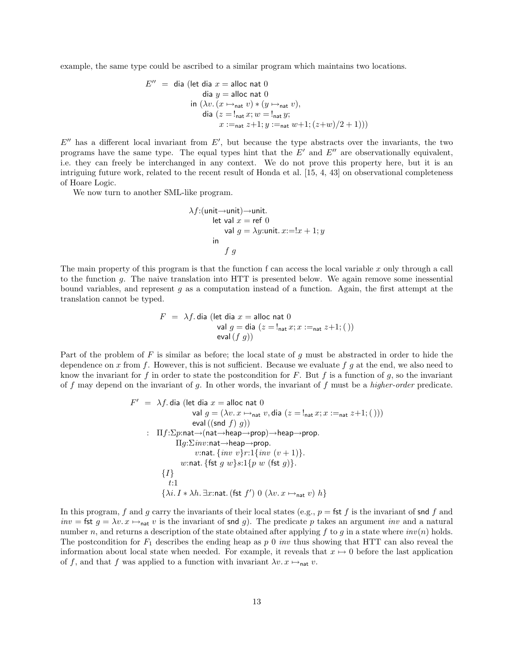example, the same type could be ascribed to a similar program which maintains two locations.

$$
E'' = \text{dia (let dia } x = \text{alloc nat 0}
$$
  
\n
$$
\text{dia } y = \text{alloc nat 0}
$$
  
\n
$$
\text{in } (\lambda v. (x \mapsto_{\text{nat}} v) * (y \mapsto_{\text{nat}} v),
$$
  
\n
$$
\text{dia } (z = !_{\text{nat}} x; w = !_{\text{nat}} y;
$$
  
\n
$$
x :=_{\text{nat}} z + 1; y :=_{\text{nat}} w + 1; (z + w) / 2 + 1)))
$$

 $E''$  has a different local invariant from  $E'$ , but because the type abstracts over the invariants, the two programs have the same type. The equal types hint that the  $E'$  and  $E''$  are observationally equivalent, i.e. they can freely be interchanged in any context. We do not prove this property here, but it is an intriguing future work, related to the recent result of Honda et al. [15, 4, 43] on observational completeness of Hoare Logic.

We now turn to another SML-like program.

$$
\lambda f: (\text{unit} \rightarrow \text{unit}) \rightarrow \text{unit.}
$$
  
let val  $x = \text{ref } 0$   
val  $g = \lambda y: \text{unit. } x:=!x+1; y$   
in  
 $f g$ 

The main property of this program is that the function f can access the local variable  $x$  only through a call to the function g. The naive translation into HTT is presented below. We again remove some inessential bound variables, and represent  $g$  as a computation instead of a function. Again, the first attempt at the translation cannot be typed.

$$
F = \lambda f \cdot \text{dia (let dia } x = \text{alloc nat 0}
$$
  
val  $g = \text{dia} (z = !_{\text{nat}} x; x :=_{\text{nat}} z + 1;())$   
eval $(f g))$ 

Part of the problem of  $F$  is similar as before; the local state of  $g$  must be abstracted in order to hide the dependence on x from f. However, this is not sufficient. Because we evaluate f g at the end, we also need to know the invariant for f in order to state the postcondition for F. But f is a function of g, so the invariant of f may depend on the invariant of g. In other words, the invariant of f must be a higher-order predicate.

$$
F' = \lambda f \cdot \text{dia} \left( \text{let dia } x = \text{alloc nat 0} \right)
$$
\n
$$
\text{val } g = (\lambda v. x \mapsto_{\text{nat}} v, \text{dia } (z = !_{\text{nat}} x; x :=_{\text{nat}} z + 1;());
$$
\n
$$
\text{eval} \left( (\text{snd } f) g \right)
$$
\n
$$
\text{If } f: \Sigma p: \text{nat} \rightarrow (\text{nat} \rightarrow \text{heap} \rightarrow \text{prop}) \rightarrow \text{heap} \rightarrow \text{prop}.
$$
\n
$$
\text{I} g: \Sigma inv: \text{nat} \rightarrow \text{heap} \rightarrow \text{prop}.
$$
\n
$$
v: \text{nat} \{ inv \} r: 1 \{ inv \ (v + 1) \}.
$$
\n
$$
w: \text{nat} \{ \text{fst } g \ w \} s: 1 \{ p \ w \ (\text{fst } g) \}.
$$
\n
$$
\{ I \}
$$
\n
$$
t: 1
$$
\n
$$
\{\lambda i. I * \lambda h. \exists x: \text{nat} \ ( \text{fst } f' ) \ 0 \ (\lambda v. x \mapsto_{\text{nat}} v) \ h \}
$$

In this program, f and g carry the invariants of their local states (e.g.,  $p = \text{fst } f$  is the invariant of snd f and inv = fst  $g = \lambda v \cdot x \mapsto_{\text{nat}} v$  is the invariant of snd g). The predicate p takes an argument inv and a natural number n, and returns a description of the state obtained after applying f to g in a state where  $inv(n)$  holds. The postcondition for  $F_1$  describes the ending heap as p 0 *inv* thus showing that HTT can also reveal the information about local state when needed. For example, it reveals that  $x \mapsto 0$  before the last application of f, and that f was applied to a function with invariant  $\lambda v. x \mapsto_{\text{nat}} v.$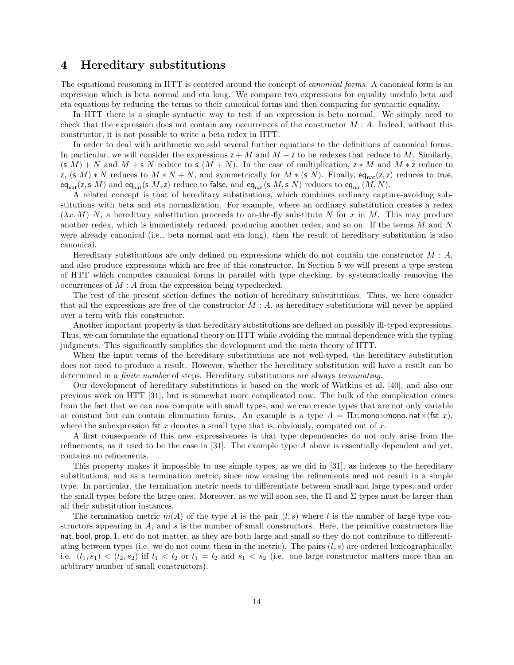### 4 Hereditary substitutions

The equational reasoning in HTT is centered around the concept of *canonical forms*. A canonical form is an expression which is beta normal and eta long. We compare two expressions for equality modulo beta and eta equations by reducing the terms to their canonical forms and then comparing for syntactic equality.

In HTT there is a simple syntactic way to test if an expression is beta normal. We simply need to check that the expression does not contain any occurrences of the constructor  $M : A$ . Indeed, without this constructor, it is not possible to write a beta redex in HTT.

In order to deal with arithmetic we add several further equations to the definitions of canonical forms. In particular, we will consider the expressions  $z + M$  and  $M + z$  to be redexes that reduce to M. Similarly,  $(s\ M) + N$  and  $M + s\ N$  reduce to s  $(M + N)$ . In the case of multiplication,  $z * M$  and  $M * z$  reduce to z,  $(s\ M) * N$  reduces to  $M * N + N$ , and symmetrically for  $M * (s\ N)$ . Finally, eq<sub>nat</sub>(z, z) reduces to true,  $eq_{nat}(z, s, M)$  and  $eq_{nat}(s, M, z)$  reduce to false, and  $eq_{nat}(s, M, s, N)$  reduces to  $eq_{nat}(M, N)$ .

A related concept is that of hereditary substitutions, which combines ordinary capture-avoiding substitutions with beta and eta normalization. For example, where an ordinary substitution creates a redex  $(\lambda x. M)$  N, a hereditary substitution proceeds to on-the-fly substitute N for x in M. This may produce another redex, which is immediately reduced, producing another redex, and so on. If the terms M and N were already canonical (i.e., beta normal and eta long), then the result of hereditary substitution is also canonical.

Hereditary substitutions are only defined on expressions which do not contain the constructor  $M : A$ , and also produce expressions which are free of this constructor. In Section 5 we will present a type system of HTT which computes canonical forms in parallel with type checking, by systematically removing the occurrences of M : A from the expression being typechecked.

The rest of the present section defines the notion of hereditary substitutions. Thus, we here consider that all the expressions are free of the constructor  $M : A$ , as hereditary substitutions will never be applied over a term with this constructor.

Another important property is that hereditary substitutions are defined on possibly ill-typed expressions. Thus, we can formulate the equational theory on HTT while avoiding the mutual dependence with the typing judgments. This significantly simplifies the development and the meta theory of HTT.

When the input terms of the hereditary substitutions are not well-typed, the hereditary substitution does not need to produce a result. However, whether the hereditary substitution will have a result can be determined in a finite number of steps. Hereditary substitutions are always terminating.

Our development of hereditary substitutions is based on the work of Watkins et al. [40], and also our previous work on HTT [31], but is somewhat more complicated now. The bulk of the complication comes from the fact that we can now compute with small types, and we can create types that are not only variable or constant but can contain elimination forms. An example is a type  $A = \Pi x$ :mono×mono.nat×(fst x), where the subexpression fst  $x$  denotes a small type that is, obviously, computed out of  $x$ .

A first consequence of this new expressiveness is that type dependencies do not only arise from the refinements, as it used to be the case in [31]. The example type A above is essentially dependent and yet, contains no refinements.

This property makes it impossible to use simple types, as we did in [31], as indexes to the hereditary substitutions, and as a termination metric, since now erasing the refinements need not result in a simple type. In particular, the termination metric needs to differentiate between small and large types, and order the small types before the large ones. Moreover, as we will soon see, the  $\Pi$  and  $\Sigma$  types must be larger than all their substitution instances.

The termination metric  $m(A)$  of the type A is the pair  $(l, s)$  where l is the number of large type constructors appearing in  $A$ , and  $s$  is the number of small constructors. Here, the primitive constructors like nat, bool, prop, 1, etc do not matter, as they are both large and small so they do not contribute to differentiating between types (i.e. we do not count them in the metric). The pairs  $(l, s)$  are ordered lexicographically, i.e.  $(l_1, s_1) < (l_2, s_2)$  iff  $l_1 < l_2$  or  $l_1 = l_2$  and  $s_1 < s_2$  (i.e. one large constructor matters more than an arbitrary number of small constructors).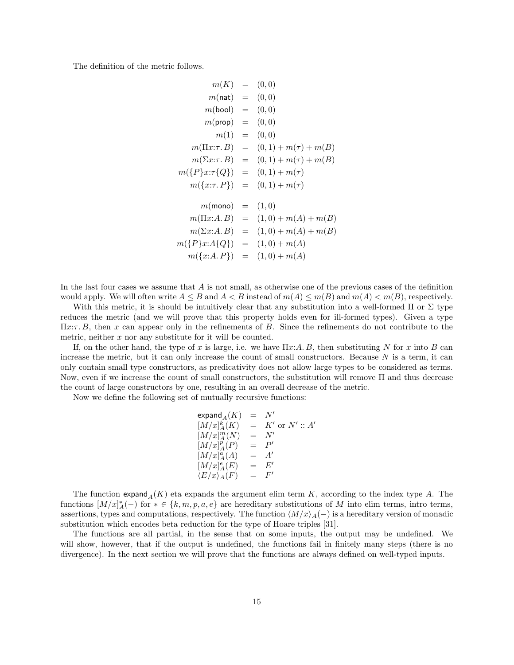The definition of the metric follows.

$$
m(K) = (0,0)
$$
  
\n
$$
m(nat) = (0,0)
$$
  
\n
$$
m(bool) = (0,0)
$$
  
\n
$$
m(1) = (0,0)
$$
  
\n
$$
m(1) = (0,0)
$$
  
\n
$$
m(T1x:T, B) = (0,1) + m(\tau) + m(B)
$$
  
\n
$$
m(\Sigma x:T, B) = (0,1) + m(\tau) + m(B)
$$
  
\n
$$
m(\{P\}x:T\{Q\}) = (0,1) + m(\tau)
$$
  
\n
$$
m(\{x:T, P\}) = (0,1) + m(\tau)
$$
  
\n
$$
m(\max A, B) = (1,0)
$$
  
\n
$$
m(T1x:A, B) = (1,0) + m(A) + m(B)
$$
  
\n
$$
m(\{P\}x:A\{Q\}) = (1,0) + m(A)
$$
  
\n
$$
m(\{x:A, P\}) = (1,0) + m(A)
$$

In the last four cases we assume that A is not small, as otherwise one of the previous cases of the definition would apply. We will often write  $A \leq B$  and  $A < B$  instead of  $m(A) \leq m(B)$  and  $m(A) < m(B)$ , respectively.

With this metric, it is should be intuitively clear that any substitution into a well-formed  $\Pi$  or  $\Sigma$  type reduces the metric (and we will prove that this property holds even for ill-formed types). Given a type  $\Pi x:\tau, B$ , then x can appear only in the refinements of B. Since the refinements do not contribute to the metric, neither  $x$  nor any substitute for it will be counted.

If, on the other hand, the type of x is large, i.e. we have  $\Pi x:A, B$ , then substituting N for x into B can increase the metric, but it can only increase the count of small constructors. Because  $N$  is a term, it can only contain small type constructors, as predicativity does not allow large types to be considered as terms. Now, even if we increase the count of small constructors, the substitution will remove Π and thus decrease the count of large constructors by one, resulting in an overall decrease of the metric.

Now we define the following set of mutually recursive functions:

 $\exp$ and $_A(K)$  = N'  $[M/x]_A^k(K) = K'$  or  $N' :: A'$  $[M/x]_A^m(N)$  = N'  $[M/x]_A^p(P)$  = P'  $[M/x]_A^a(A) = A'$  $[M/x]_A^e(E)$  = E'  $\begin{bmatrix} M/x)_A^a(A)\ [M/x]_A^a(A)\ [K/x]_A^c(E) \end{bmatrix}$  $=$   $F'$ 

The function  $\exp \operatorname{and}_A(K)$  eta expands the argument elim term K, according to the index type A. The functions  $[M/x]_A^*(-)$  for  $* \in \{k, m, p, a, e\}$  are hereditary substitutions of M into elim terms, intro terms, assertions, types and computations, respectively. The function  $\langle M/x\rangle_A(-)$  is a hereditary version of monadic substitution which encodes beta reduction for the type of Hoare triples [31].

The functions are all partial, in the sense that on some inputs, the output may be undefined. We will show, however, that if the output is undefined, the functions fail in finitely many steps (there is no divergence). In the next section we will prove that the functions are always defined on well-typed inputs.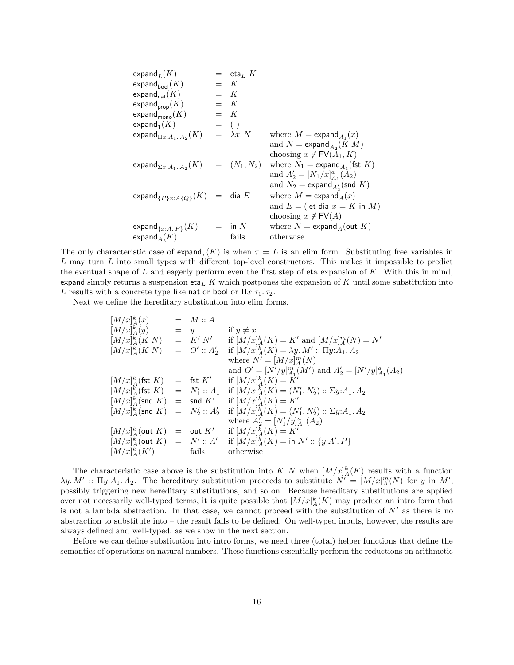$$
\begin{array}{llll}\n\text{expand}_{L}(K) & = & \text{eta}_{L} K \\
\text{expand}_{\text{bool}}(K) & = & K \\
\text{expand}_{\text{prop}}(K) & = & K \\
\text{expand}_{\text{prop}}(K) & = & K \\
\text{expand}_{\text{mono}}(K) & = & K \\
\text{expand}_{\text{IL}:A_1.A_2}(K) & = & (1) \\
\text{expand}_{\text{IL}:A_1.A_2}(K) & = & (\text{mean} M) = \text{expand}_{A_1}(x) \\
& \text{and } N = \text{expand}_{A_2}(K) M \\
& \text{choosing } x \notin \text{FV}(A_1, K) \\
& \text{expand}_{\Sigma x:A_1.A_2}(K) & = & (N_1, N_2) \text{ where } N_1 = \text{expand}_{A_1}(\text{fst } K) \\
& \text{and } N_2' = [N_1/x]_{A_1}^a(A_2) \\
& \text{and } N_2' = \text{expand}_{A_2}(\text{snd } K) \\
& \text{expand } N_2 = \text{expand}_{A_2}(\text{snd } K) \\
& \text{and } E = (\text{let dia } x = K \text{ in } M) \\
& \text{choosing } x \notin \text{FV}(A) \\
& \text{and } E = (\text{let dia } x = K \text{ in } M) \\
& \text{choosing } x \notin \text{FV}(A) \\
& \text{expand}_{A}(K) & \text{fails} & \text{otherwise}\n\end{array}
$$

The only characteristic case of  $\epsilon$  $\text{span} d_{\tau}(K)$  is when  $\tau = L$  is an elim form. Substituting free variables in  $L$  may turn  $L$  into small types with different top-level constructors. This makes it impossible to predict the eventual shape of  $L$  and eagerly perform even the first step of eta expansion of  $K$ . With this in mind, expand simply returns a suspension eta<sub>L</sub> K which postpones the expansion of K until some substitution into L results with a concrete type like nat or bool or  $\Pi x:\tau_1.\tau_2$ .

Next we define the hereditary substitution into elim forms.

$$
[M/x]_A^k(x) = M :: A
$$
  
\n
$$
[M/x]_A^k(M) = y
$$
 if  $y \neq x$   
\n
$$
[M/x]_A^k(K N) = K' N'
$$
 if  $[M/x]_A^k(K) = K'$  and  $[M/x]_A^m(N) = N'$   
\n
$$
[M/x]_A^k(K N) = O' :: A'_2
$$
 if  $[M/x]_A^k(K) = \lambda y. M' :: \Pi y. A_1. A_2$   
\nwhere  $N' = [M/x]_A^m(N)$   
\nand  $O' = [N'/y]_{A_1}^m(M')$  and  $A'_2 = [N'/y]_{A_1}^a(A_2)$   
\n
$$
[M/x]_A^k(\text{fst } K) = \text{fst } K'
$$
 if  $[M/x]_A^k(K) = K'$   
\n
$$
[M/x]_A^k(\text{st } K) = N'_1 :: A_1
$$
 if  $[M/x]_A^k(K) = (N'_1, N'_2) :: \Sigma y. A_1. A_2$   
\n
$$
[M/x]_A^k(\text{snd } K) = \text{snd } K'
$$
 if  $[M/x]_A^k(K) = (N'_1, N'_2) :: \Sigma y. A_1. A_2$   
\n
$$
[M/x]_A^k(\text{snd } K) = N'_2 :: A'_2
$$
 if  $[M/x]_A^k(K) = (N'_1, N'_2) :: \Sigma y. A_1. A_2$   
\nwhere  $A'_2 = [N'_1/y]_{A_1}^a(A_2)$   
\n
$$
[M/x]_A^k(\text{out } K) = \text{out } K'
$$
 if  $[M/x]_A^k(K) = K'$   
\n
$$
[M/x]_A^k(\text{out } K) = N' :: A'
$$
 if  $[M/x]_A^k(K) = \text{in } N' :: \{y.A'.P\}$   
\n
$$
[M/x]_A^k(K')
$$
 fails otherwise

The characteristic case above is the substitution into K N when  $[M/x]_A^k(K)$  results with a function  $\lambda y. M' :: \Pi y: A_1. A_2.$  The hereditary substitution proceeds to substitute  $N' = [M/x]_A^m(N)$  for y in M', possibly triggering new hereditary substitutions, and so on. Because hereditary substitutions are applied over not necessarily well-typed terms, it is quite possible that  $[M/x]_A^k(K)$  may produce an intro form that is not a lambda abstraction. In that case, we cannot proceed with the substitution of  $N'$  as there is no abstraction to substitute into – the result fails to be defined. On well-typed inputs, however, the results are always defined and well-typed, as we show in the next section.

Before we can define substitution into intro forms, we need three (total) helper functions that define the semantics of operations on natural numbers. These functions essentially perform the reductions on arithmetic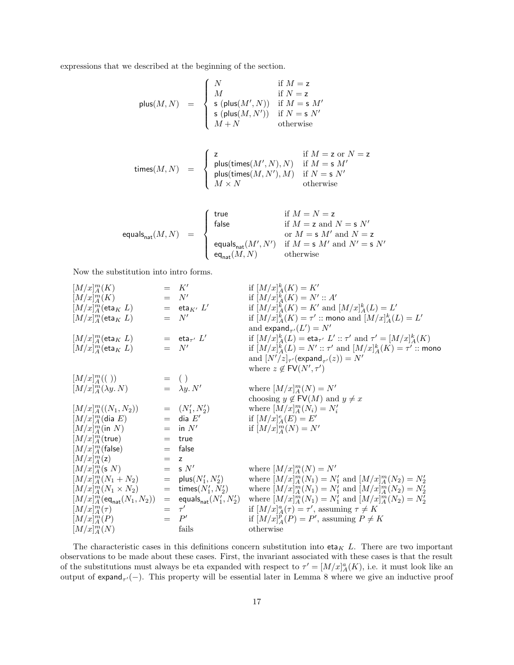expressions that we described at the beginning of the section.

$$
\text{plus}(M, N) = \begin{cases} N & \text{if } M = \text{z} \\ M & \text{if } N = \text{z} \\ \text{s (plus}(M', N)) & \text{if } M = \text{s } M' \\ \text{s (plus}(M, N')) & \text{if } N = \text{s } N' \\ M + N & \text{otherwise} \end{cases}
$$
\n
$$
\text{times}(M, N) = \begin{cases} \text{z} & \text{if } M = \text{z or } N = \text{z} \\ \text{plus}(\text{times}(M', N), N) & \text{if } M = \text{s } M' \\ \text{plus}(\text{times}(M', N'), M) & \text{if } N = \text{s } N' \\ M \times N & \text{otherwise} \end{cases}
$$

$$
\text{equals}_{\textsf{nat}}(M,N) \quad = \quad \left\{ \begin{array}{ll} \textsf{true} & \textsf{if} \; M=N=\mathsf{z} \\ \textsf{false} & \textsf{if} \; M=\mathsf{z} \; \textsf{and} \; N=\mathsf{s} \; N' \\ & \textsf{or} \; M=\mathsf{s} \; M' \; \textsf{and} \; N=\mathsf{z} \\ & \textsf{equals}_{\textsf{nat}}(M',N') & \textsf{if} \; M=\mathsf{s} \; M' \; \textsf{and} \; N'=\mathsf{s} \; N' \\ & \textsf{eq}_{\textsf{nat}}(M,N) & \textsf{otherwise} \end{array} \right.
$$

Now the substitution into intro forms.

[M/x] m <sup>A</sup> (K) = K<sup>0</sup> if [M/x] k <sup>A</sup>(K) = K<sup>0</sup> [M/x] m <sup>A</sup> (K) = N<sup>0</sup> if [M/x] k <sup>A</sup>(K) = N<sup>0</sup> :: A<sup>0</sup> [M/x] m <sup>A</sup> (eta<sup>K</sup> L) = etaK<sup>0</sup> L 0 if [M/x] k <sup>A</sup>(K) = K<sup>0</sup> and [M/x] k <sup>A</sup>(L) = L 0 [M/x] m <sup>A</sup> (eta<sup>K</sup> L) = N<sup>0</sup> if [M/x] k <sup>A</sup>(K) = τ 0 :: mono and [M/x] k <sup>A</sup>(L) = L 0 and expand<sup>τ</sup> <sup>0</sup> (L 0 ) = N<sup>0</sup> [M/x] m <sup>A</sup> (eta<sup>K</sup> L) = eta<sup>τ</sup> <sup>0</sup> L 0 if [M/x] k <sup>A</sup>(L) = eta<sup>τ</sup> <sup>0</sup> L 0 :: τ <sup>0</sup> and τ <sup>0</sup> = [M/x] k <sup>A</sup>(K) [M/x] m <sup>A</sup> (eta<sup>K</sup> L) = N<sup>0</sup> if [M/x] k <sup>A</sup>(L) = N<sup>0</sup> :: τ <sup>0</sup> and [M/x] k <sup>A</sup>(K) = τ 0 :: mono and [N<sup>0</sup>/z]<sup>τ</sup> <sup>0</sup> (expand<sup>τ</sup> <sup>0</sup> (z)) = N<sup>0</sup> where z 6∈ FV(N<sup>0</sup> , τ 0 ) [M/x] m <sup>A</sup> (( )) = ( ) [M/x] m <sup>A</sup> (λy. N) = λy. N<sup>0</sup> where [M/x] m <sup>A</sup> (N) = N<sup>0</sup> choosing y 6∈ FV(M) and y 6= x [M/x] m <sup>A</sup> ((N1, N2)) = (N<sup>0</sup> 1 , N<sup>0</sup> 2 ) where [M/x] m <sup>A</sup> (Ni) = N<sup>0</sup> i [M/x] m <sup>A</sup> (dia E) = dia E<sup>0</sup> if [M/x] e <sup>A</sup>(E) = E<sup>0</sup> [M/x] m <sup>A</sup> (in N) = in N<sup>0</sup> if [M/x] m <sup>A</sup> (N) = N<sup>0</sup> [M/x] m <sup>A</sup> (true) = true [M/x] m <sup>A</sup> (false) = false [M/x] m <sup>A</sup> (z) = z [M/x] m <sup>A</sup> (s N) = s N<sup>0</sup> where [M/x] m <sup>A</sup> (N) = N<sup>0</sup> [M/x] m <sup>A</sup> (N<sup>1</sup> + N2) = plus(N<sup>0</sup> 1 , N<sup>0</sup> 2 ) where [M/x] m <sup>A</sup> (N1) = N<sup>0</sup> 1 and [M/x] m <sup>A</sup> (N2) = N<sup>0</sup> 2 [M/x] m <sup>A</sup> (N<sup>1</sup> × N2) = times(N<sup>0</sup> 1 , N<sup>0</sup> 2 ) where [M/x] m <sup>A</sup> (N1) = N<sup>0</sup> <sup>1</sup> and [M/x] m <sup>A</sup> (N2) = N<sup>0</sup> 2 [M/x] m <sup>A</sup> (eqnat(N1, N2)) = equalsnat(N<sup>0</sup> 1 , N<sup>0</sup> 2 ) where [M/x] m <sup>A</sup> (N1) = N<sup>0</sup> 1 and [M/x] m <sup>A</sup> (N2) = N<sup>0</sup> 2 [M/x] m <sup>A</sup> (τ ) = τ 0 if [M/x] a <sup>A</sup>(τ ) = τ 0 , assuming τ 6= K [M/x] m <sup>A</sup> (P) = P 0 if [M/x] p <sup>A</sup>(P) = P 0 , assuming P 6= K [M/x] m <sup>A</sup> (N) fails otherwise

The characteristic cases in this definitions concern substitution into  $eta_K L$ . There are two important observations to be made about these cases. First, the invariant associated with these cases is that the result of the substitutions must always be eta expanded with respect to  $\tau' = [M/x]_A^a(K)$ , i.e. it must look like an output of  $\exp(\tau)$ . This property will be essential later in Lemma 8 where we give an inductive proof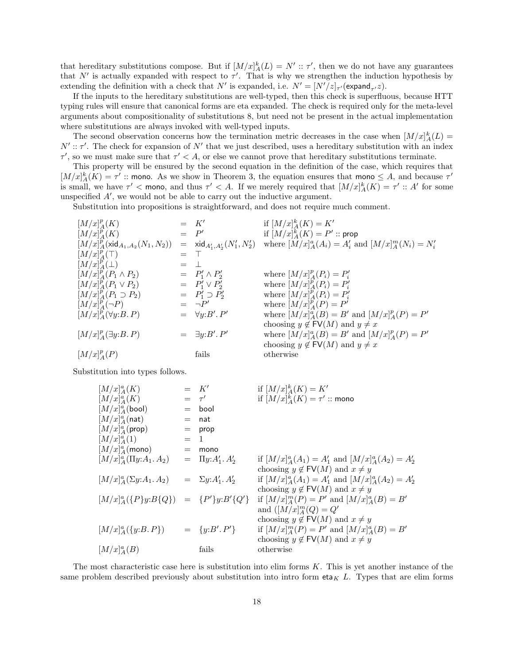that hereditary substitutions compose. But if  $[M/x]_A^k(L) = N' :: \tau'$ , then we do not have any guarantees that N' is actually expanded with respect to  $\tau'$ . That is why we strengthen the induction hypothesis by extending the definition with a check that N' is expanded, i.e.  $N' = [N'/z]_{\tau'}($ expand<sub> $\tau$ </sub>, z).

If the inputs to the hereditary substitutions are well-typed, then this check is superfluous, because HTT typing rules will ensure that canonical forms are eta expanded. The check is required only for the meta-level arguments about compositionality of substitutions 8, but need not be present in the actual implementation where substitutions are always invoked with well-typed inputs.

The second observation concerns how the termination metric decreases in the case when  $[M/x]_A^k(L)$  $N' :: \tau'$ . The check for expansion of N' that we just described, uses a hereditary substitution with an index  $\tau'$ , so we must make sure that  $\tau' < A$ , or else we cannot prove that hereditary substitutions terminate.

This property will be ensured by the second equation in the definition of the case, which requires that  $[M/x]_A^k(K) = \tau'$ : mono. As we show in Theorem 3, the equation ensures that mono  $\leq A$ , and because  $\tau'$ is small, we have  $\tau' <$  mono, and thus  $\tau' < A$ . If we merely required that  $[M/x]_A^k(K) = \tau' :: A'$  for some unspecified  $A'$ , we would not be able to carry out the inductive argument.

Substitution into propositions is straightforward, and does not require much comment.

| $[M/x]_A^p(K)$                           |     | $=$ $K'$                                               | if $[M/x]_A^k(K) = K'$                                    |
|------------------------------------------|-----|--------------------------------------------------------|-----------------------------------------------------------|
| $[M/x]_A^p(K)$                           |     | $=$ $P'$                                               | if $[M/x]_A^k(K) = P'$ :: prop                            |
| $[M/x]_A^p$ (xid $_{A_1,A_2}(N_1,N_2)$ ) |     | $=$ xid <sub>A'1</sub> ,A' <sub>2</sub> $(N'_1, N'_2)$ | where $[M/x]_A^a(A_i) = A'_i$ and $[M/x]_A^m(N_i) = N'_i$ |
| $[M/x]_A^p(\top)$                        |     |                                                        |                                                           |
| $[M/x]_A^p(\perp)$                       | $=$ | $\pm$                                                  |                                                           |
| $[M/x]_A^p(P_1\wedge P_2)$               |     | $= P'_1 \wedge P'_2$                                   | where $[M/x]_A^p(P_i) = P'_i$                             |
| $[M/x]_A^p(P_1 \vee P_2)$                |     | $= P'_1 \vee P'_2$                                     | where $[M/x]_A^p(P_i) = P'_i$                             |
| $[M/x]_A^p(P_1 \supset P_2)$             |     | $= P'_1 \supset P'_2$                                  | where $[M/x]_A^p(P_i) = P'_i$                             |
| $[M/x]_A^p(\neg P)$                      |     | $= \neg P'$                                            | where $[M/x]_A^p(P) = P'$                                 |
| $[M/x]_A^p(\forall y:B.P)$               |     | $= \forall y: B'. P'$                                  | where $[M/x]_A^a(B) = B'$ and $[M/x]_A^p(P) = P'$         |
|                                          |     |                                                        | choosing $y \notin \text{FV}(M)$ and $y \neq x$           |
| $[M/x]_A^p(\exists y:B.P)$               |     | $= \exists y: B'. P'$                                  | where $[M/x]_A^a(B) = B'$ and $[M/x]_A^p(P) = P'$         |
|                                          |     |                                                        | choosing $y \notin \text{FV}(M)$ and $y \neq x$           |
| $[M/x]_A^p(P)$                           |     | fails                                                  | otherwise                                                 |
|                                          |     |                                                        |                                                           |

Substitution into types follows.

$$
[M/x]_A^a(K) = K'
$$
  
\n
$$
[M/x]_A^a(K) = \tau'
$$
  
\n
$$
[M/x]_A^a(\text{bool}) = \text{bool}
$$
  
\n
$$
[M/x]_A^a(\text{prop}) = \text{nat}
$$
  
\n
$$
[M/x]_A^a(\text{prop}) = \text{prop}
$$
  
\n
$$
[M/x]_A^a(\text{mono}) = \text{mono}
$$
  
\n
$$
[M/x]_A^a(\text{I}y:A_1.A_2) = \text{I}y:A'_1.A'_2
$$
  
\n
$$
[M/x]_A^a(\text{L}y:A_1.A_2) = \text{L}y:A'_1.A'_2
$$
  
\n
$$
[M/x]_A^a(\{P\}y:B\{Q\}) = \{P'\}y:B'\{Q'
$$
  
\n
$$
[M/x]_A^a(\{y:B.P\}) = \{y:B'.P'\}
$$
  
\n
$$
[M/x]_A^a(B) \qquad \text{fails}
$$

if  $[M/x]_A^k(K) = K'$ if  $[M/x]_A^k(K) = \tau' ::$  mono

if  $[M/x]_A^a(A_1) = A'_1$  and  $[M/x]_A^a(A_2) = A'_2$ choosing  $y \notin \text{FV}(M)$  and  $x \neq y$ if  $[M/x]_A^a(A_1) = A'_1$  and  $[M/x]_A^a(A_2) = A'_2$ choosing  $y \notin \text{FV}(M)$  and  $x \neq y$  $y: B'\{Q'\}$  if  $[M/x]_A^m(P) = P'$  and  $[M/x]_A^a(B) = B'$ and  $([M/x]_A^m(Q) = Q'$ choosing  $y \notin \text{FV}(M)$  and  $x \neq y$ '} if  $[M/x]_A^m(P) = P'$  and  $[M/x]_A^a(B) = B'$ choosing  $y \notin \text{FV}(M)$  and  $x \neq y$ otherwise

The most characteristic case here is substitution into elim forms K. This is yet another instance of the same problem described previously about substitution into intro form eta<sub>K</sub> L. Types that are elim forms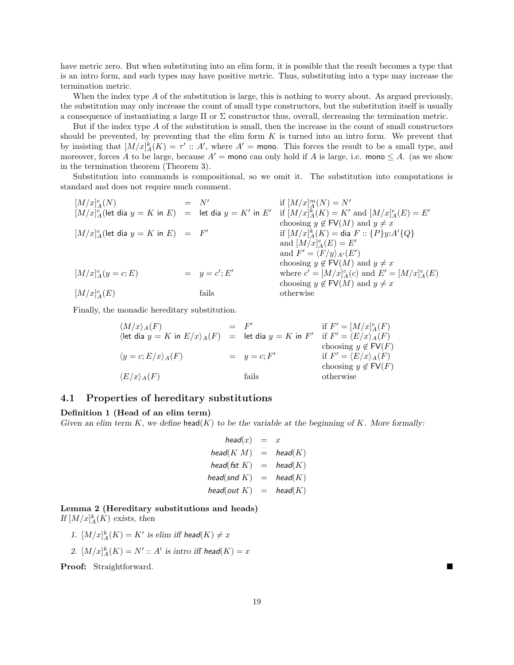have metric zero. But when substituting into an elim form, it is possible that the result becomes a type that is an intro form, and such types may have positive metric. Thus, substituting into a type may increase the termination metric.

When the index type A of the substitution is large, this is nothing to worry about. As argued previously, the substitution may only increase the count of small type constructors, but the substitution itself is usually a consequence of instantiating a large  $\Pi$  or  $\Sigma$  constructor thus, overall, decreasing the termination metric.

But if the index type A of the substitution is small, then the increase in the count of small constructors should be prevented, by preventing that the elim form  $K$  is turned into an intro form. We prevent that by insisting that  $[M/x]_A^k(K) = \tau' :: A'$ , where  $A' = \text{mono}$ . This forces the result to be a small type, and moreover, forces A to be large, because  $A'$  = mono can only hold if A is large, i.e. mono  $\leq A$ . (as we show in the termination theorem (Theorem 3).

Substitution into commands is compositional, so we omit it. The substitution into computations is standard and does not require much comment.

| \n $[M/x]_A^e(N) = N'$ \n                                   | \n $[M/x]_A^e(\text{let dia } y = K \text{ in } E) = [K]$ \n | \n $[M/x]_A^e(\text{let dia } y = K \text{ in } E) = F'$ \n | \n $[M/x]_A^e(\text{let dia } y = K \text{ in } E) = F'$ \n | \n $[M/x]_A^e(N) = N'$ \n | \n $[M/x]_A^k(K) = K' \text{ and } [M/x]_A^e(E) = E'$ \n |
|-------------------------------------------------------------|--------------------------------------------------------------|-------------------------------------------------------------|-------------------------------------------------------------|---------------------------|----------------------------------------------------------|
| \n $[M/x]_A^e(\text{let dia } y = K \text{ in } E) = F'$ \n | \n $[M/x]_A^k(K) = \text{dia } F :: \{P\}y:A'\{Q\}$ \n       |                                                             |                                                             |                           |                                                          |
| \n $[M/x]_A^e(E) = E'$ \n                                   | \n $[M/x]_A^e(E) = E'$ \n                                    |                                                             |                                                             |                           |                                                          |
| \n $[M/x]_A^e(E) = E'$ \n                                   | \n $[M/x]_A^e(E) = E'$ \n                                    |                                                             |                                                             |                           |                                                          |
| \n $[M/x]_A^e(E)$ \n                                        | \n $[M/x]_A^e(E)$ \n                                         | \n $[M/x]_A^e(E)$ \n                                        |                                                             |                           |                                                          |
| \n $[M/x]_A^e(E)$ \n                                        | \n $[M/x]_A^e(E)$ \n                                         | \n $[M/x]_A^e(E)$ \n                                        |                                                             |                           |                                                          |
| \n $[M/x]_A^e(E)$ \n                                        | \n $[M/x]_A^e(E)$ \n                                         | \n $[M/x]_A^e(E)$ \n                                        |                                                             |                           |                                                          |
| \n $[M/x]_A^e(E)$ \n                                        | \n<math display="</td>                                       |                                                             |                                                             |                           |                                                          |

Finally, the monadic hereditary substitution.

$$
\langle M/x \rangle_A(F) = F' \quad \text{if } F' = [M/x]_A^e(F)
$$
\n
$$
\langle \text{let dia } y = K \text{ in } E/x \rangle_A(F) = \text{let dia } y = K \text{ in } F' \quad \text{if } F' = \langle E/x \rangle_A(F)
$$
\n
$$
\langle y = c; E/x \rangle_A(F) = y = c; F' \quad \text{if } F' = \langle E/x \rangle_A(F)
$$
\n
$$
\langle E/x \rangle_A(F) = \text{fails} \quad \text{otherwise}
$$
\n
$$
\langle E/F \rangle = \langle E/x \rangle_B(F) \quad \text{if } F' = \langle E/x \rangle_B(F) \quad \text{otherwise}
$$

### 4.1 Properties of hereditary substitutions

#### Definition 1 (Head of an elim term)

Given an elim term K, we define head(K) to be the variable at the beginning of K. More formally:

$$
head(x) = x
$$
  
\n
$$
head(K M) = head(K)
$$
  
\n
$$
head(st K) = head(K)
$$
  
\n
$$
head(snd K) = head(K)
$$
  
\n
$$
head(out K) = head(K)
$$

Lemma 2 (Hereditary substitutions and heads) If  $[M/x]_A^k(K)$  exists, then

- 1.  $[M/x]_A^k(K) = K'$  is elim iff head(K)  $\neq x$
- 2.  $[M/x]_A^k(K) = N' :: A'$  is intro iff head $(K) = x$

**Proof:** Straightforward.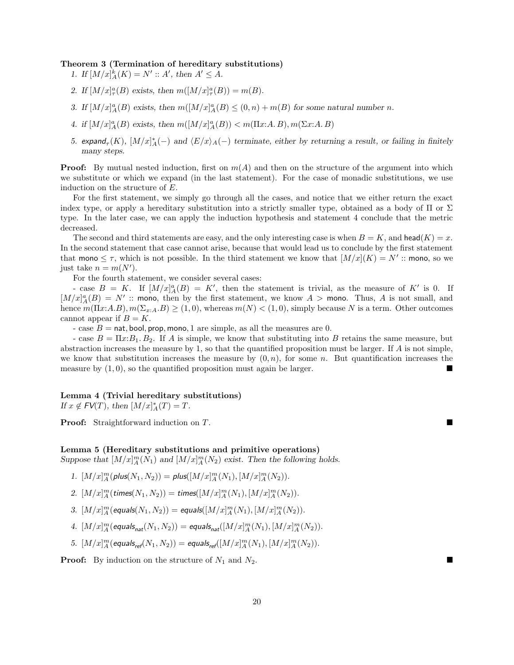#### Theorem 3 (Termination of hereditary substitutions)

1. If  $[M/x]_A^k(K) = N' :: A'$ , then  $A' \leq A$ .

- 2. If  $[M/x]_{\tau}^a(B)$  exists, then  $m([M/x]_{\tau}^a(B)) = m(B)$ .
- 3. If  $[M/x]_A^a(B)$  exists, then  $m([M/x]_A^a(B) \leq (0, n) + m(B)$  for some natural number n.
- 4. if  $[M/x]_A^a(B)$  exists, then  $m([M/x]_A^a(B)) < m(\Pi x:A.B), m(\Sigma x:A.B)$
- 5. expand<sub><sup> $\tau$ </sub>(K),  $[M/x]_A^*(-)$  and  $\langle E/x \rangle_A(-)$  terminate, either by returning a result, or failing in finitely</sub></sup> many steps.

**Proof:** By mutual nested induction, first on  $m(A)$  and then on the structure of the argument into which we substitute or which we expand (in the last statement). For the case of monadic substitutions, we use induction on the structure of E.

For the first statement, we simply go through all the cases, and notice that we either return the exact index type, or apply a hereditary substitution into a strictly smaller type, obtained as a body of  $\Pi$  or  $\Sigma$ type. In the later case, we can apply the induction hypothesis and statement 4 conclude that the metric decreased.

The second and third statements are easy, and the only interesting case is when  $B = K$ , and head(K) = x. In the second statement that case cannot arise, because that would lead us to conclude by the first statement that mono  $\leq \tau$ , which is not possible. In the third statement we know that  $[M/x](K) = N'$ : mono, so we just take  $n = m(N')$ .

For the fourth statement, we consider several cases:

- case  $B = K$ . If  $[M/x]_A^a(B) = K'$ , then the statement is trivial, as the measure of K' is 0. If  $[M/x]_A^a(B) = N'$ : mono, then by the first statement, we know  $A >$  mono. Thus, A is not small, and hence  $m(\Pi x:A.B), m(\Sigma_{x:A}.B) \geq (1,0)$ , whereas  $m(N) < (1,0)$ , simply because N is a term. Other outcomes cannot appear if  $B = K$ .

- case  $B = \text{nat}, \text{bool}, \text{prop}, \text{mono}, 1$  are simple, as all the measures are 0.

- case  $B = \Pi x:B_1, B_2$ . If A is simple, we know that substituting into B retains the same measure, but abstraction increases the measure by 1, so that the quantified proposition must be larger. If A is not simple, we know that substitution increases the measure by  $(0, n)$ , for some n. But quantification increases the measure by  $(1,0)$ , so the quantified proposition must again be larger.

#### Lemma 4 (Trivial hereditary substitutions)

If  $x \notin \mathsf{FV}(T)$ , then  $[M/x]_A^*(T) = T$ .

**Proof:** Straightforward induction on T.

### Lemma 5 (Hereditary substitutions and primitive operations)

Suppose that  $[M/x]_A^m(N_1)$  and  $[M/x]_A^m(N_2)$  exist. Then the following holds.

- 1.  $[M/x]_A^m(\text{plus}(N_1, N_2)) = \text{plus}([M/x]_A^m(N_1), [M/x]_A^m(N_2)).$
- 2.  $[M/x]_A^m(\text{times}(N_1, N_2)) = \text{times}([M/x]_A^m(N_1), [M/x]_A^m(N_2)).$
- 3.  $[M/x]_A^m(\text{equals}(N_1, N_2)) = \text{equals}([M/x]_A^m(N_1), [M/x]_A^m(N_2)).$
- 4.  $[M/x]_A^m$  (equals<sub>nat</sub> $(N_1, N_2)$ ) = equals<sub>nat</sub> $([M/x]_A^m(N_1), [M/x]_A^m(N_2))$ .
- 5.  $[M/x]_A^m(\text{equals}_{\text{ref}}(N_1, N_2)) = \text{equals}_{\text{ref}}([M/x]_A^m(N_1), [M/x]_A^m(N_2)).$

**Proof:** By induction on the structure of  $N_1$  and  $N_2$ .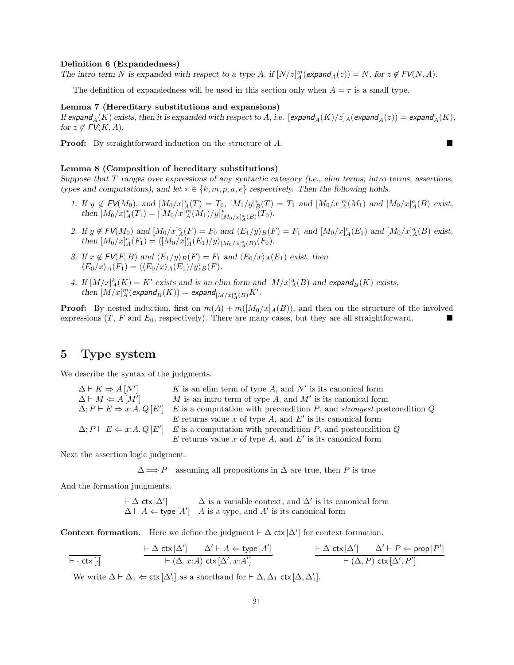### Definition 6 (Expandedness)

The intro term N is expanded with respect to a type A, if  $[N/z]_A^m(\text{expand}_A(z)) = N$ , for  $z \notin FV(N, A)$ .

The definition of expandedness will be used in this section only when  $A = \tau$  is a small type.

### Lemma 7 (Hereditary substitutions and expansions)

If expand<sub>A</sub>(K) exists, then it is expanded with respect to A, i.e. [expand<sub>A</sub>(K)/z]<sub>A</sub>(expand<sub>A</sub>(z)) = expand<sub>A</sub>(K), for  $z \notin \textsf{FV}(K, A)$ .

**Proof:** By straightforward induction on the structure of A.

### Lemma 8 (Composition of hereditary substitutions)

Suppose that T ranges over expressions of any syntactic category (i.e., elim terms, intro terms, assertions, types and computations), and let  $*\in \{k, m, p, a, e\}$  respectively. Then the following holds.

- 1. If  $y \notin \mathsf{FV}(M_0)$ , and  $[M_0/x]_A^*(T) = T_0$ ,  $[M_1/y]_B^*(T) = T_1$  and  $[M_0/x]_A^m(M_1)$  and  $[M_0/x]_A^a(B)$  exist, then  $[M_0/x]_A^*(T_1) = [[M_0/x]_A^m(M_1)/y]_{[M_0/x]_A^a(B)}^*(T_0)$ .
- 2. If  $y \notin \mathsf{FV}(M_0)$  and  $[M_0/x]_A^e(F) = F_0$  and  $\langle E_1/y \rangle_B(F) = F_1$  and  $[M_0/x]_A^e(E_1)$  and  $[M_0/x]_A^a(B)$  exist, then  $[M_0/x]_A^e(F_1) = \langle [M_0/x]_A^e(E_1)/y \rangle_{[M_0/x]_A^a(B)}(F_0)$ .
- 3. If  $x \notin \text{FV}(F, B)$  and  $\langle E_1/y \rangle_B(F) = F_1$  and  $\langle E_0/x \rangle_A(E_1)$  exist, then  $\langle E_0/x\rangle_A(F_1) = \langle \langle E_0/x\rangle_A(E_1)/y\rangle_B(F).$
- 4. If  $[M/x]_A^k(K) = K'$  exists and is an elim form and  $[M/x]_A^a(B)$  and expand<sub>B</sub>(K) exists, then  $[M/x]_A^m$ (expand $_B(K)) =$ expand $_{[M/x]_A^a(B)}K'.$

**Proof:** By nested induction, first on  $m(A) + m([M_0/x]_A(B))$ , and then on the structure of the involved expressions  $(T, F \text{ and } E_0$ , respectively). There are many cases, but they are all straightforward.

# 5 Type system

We describe the syntax of the judgments.

| $\Delta \vdash K \Rightarrow A\left[N'\right]$   | K is an elim term of type A, and $N'$ is its canonical form                                                |
|--------------------------------------------------|------------------------------------------------------------------------------------------------------------|
| $\Delta \vdash M \Leftarrow A \left[ M' \right]$ | M is an intro term of type A, and $M'$ is its canonical form                                               |
| $\Delta; P \vdash E \Rightarrow x:A. Q \, [E']$  | $E$ is a computation with precondition $P$ , and <i>strongest</i> postcondition $Q$                        |
|                                                  | E returns value x of type A, and E' is its canonical form                                                  |
|                                                  | $\Delta; P \vdash E \Leftarrow x:A. Q \, [E']$ E is a computation with precondition P, and postcondition Q |
|                                                  | $E$ returns value x of type $A$ , and $E'$ is its canonical form                                           |

Next the assertion logic judgment.

 $\Delta \Longrightarrow P$  assuming all propositions in  $\Delta$  are true, then P is true

And the formation judgments.

 $\vdash \Delta$  ctx  $[\Delta']$  $\Delta$  is a variable context, and  $\Delta'$  is its canonical form  $\Delta \vdash A \Leftarrow$  type  $[A']$  A is a type, and A' is its canonical form

Context formation. Here we define the judgment  $\vdash \Delta$  ctx  $[\Delta']$  for context formation.

$$
\frac{\vdash \Delta \mathsf{ctx}[\Delta'] \qquad \Delta' \vdash A \Leftarrow \mathsf{type}[A']}{\vdash (\Delta, x:A) \mathsf{ctx}[\Delta', x:A']} \qquad \qquad \frac{\vdash \Delta \mathsf{ctx}[\Delta'] \qquad \Delta' \vdash P \Leftarrow \mathsf{prop}[P']}{\vdash (\Delta, P) \mathsf{ctx}[\Delta', P']}
$$

We write  $\Delta \vdash \Delta_1 \Leftarrow \text{ctx}[\Delta'_1]$  as a shorthand for  $\vdash \Delta, \Delta_1$  ctx  $[\Delta, \Delta'_1]$ .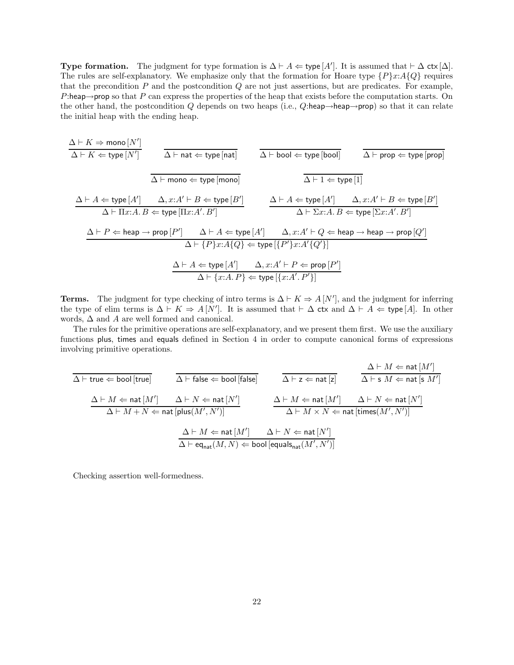Type formation. The judgment for type formation is  $\Delta \vdash A \Leftarrow$  type  $[A']$ . It is assumed that  $\vdash \Delta$  ctx  $[\Delta]$ . The rules are self-explanatory. We emphasize only that the formation for Hoare type  $\{P\}x:A\{Q\}$  requires that the precondition  $P$  and the postcondition  $Q$  are not just assertions, but are predicates. For example, P:heap $\rightarrow$ prop so that P can express the properties of the heap that exists before the computation starts. On the other hand, the postcondition Q depends on two heaps (i.e., Q:heap→heap→prop) so that it can relate the initial heap with the ending heap.

$$
\frac{\Delta \vdash K \Rightarrow \text{mono}[N']}{\Delta \vdash K \Leftarrow \text{type}[N']} \qquad \frac{}{\Delta \vdash \text{nat} \Leftarrow \text{type}[\text{nat}]} \qquad \frac{}{\Delta \vdash \text{bool} \Leftarrow \text{type}[\text{bool}]}} \qquad \frac{}{\Delta \vdash \text{prop} \Leftarrow \text{type}[\text{prop}]}}{\Delta \vdash \text{mono} \Leftarrow \text{type}[\text{mono}]}} \qquad \frac{}{\Delta \vdash 1 \Leftarrow \text{type}[1]} \qquad \frac{}{\Delta \vdash 1 \Leftarrow \text{type}[1]} \qquad \frac{}{\Delta \vdash A \Leftarrow \text{type}[1]} \qquad \frac{}{\Delta \vdash A \Leftarrow \text{type}[A']} \qquad \Delta, x:A' \vdash B \Leftarrow \text{type}[B']}}{\Delta \vdash \text{Tx:A}. B \Leftarrow \text{type}[\text{Ix:A}'. B']} \qquad \frac{}{\Delta \vdash A \Leftarrow \text{type}[A']} \qquad \frac{}{\Delta \vdash \Sigma x:A. B \Leftarrow \text{type}[\Sigma x:A'. B']} \qquad \frac{}{\Delta \vdash P \Leftarrow \text{heap} \rightarrow \text{prop}[Q']}}{\Delta \vdash \{P\}x:A\{Q\} \Leftarrow \text{type}[\{P'\}x:A'\{Q'\}]}} \qquad \frac{}{\Delta \vdash A \Leftarrow \text{type}[A']} \qquad \frac{}{\Delta, x:A' \vdash Q \Leftarrow \text{heap} \rightarrow \text{heap} \rightarrow \text{prop}[Q']}} \qquad \frac{}{\Delta \vdash A \Leftarrow \text{type}[A']} \qquad \frac{}{\Delta, x:A' \vdash P \Leftarrow \text{prop}[P']}} \qquad \frac{}{\Delta \vdash A \Leftarrow \text{type}[A']} \qquad \frac{}{\Delta, x:A' \vdash P \Leftarrow \text{prop}[P']}} \qquad \frac{}{\Delta \vdash A \Leftarrow \text{type}[A']} \qquad \frac{}{\Delta, x:A' \vdash P \Leftarrow \text{prop}[P']}} \qquad \frac{}{\Delta \vdash A \Leftarrow \text{type}[A'] \qquad \frac{}{\Delta, x:A' \vdash Q \Leftarrow \text{heap} \rightarrow \text{heap} \rightarrow \text{prop}[Q']}} \qquad \frac{}{\Delta \vdash A \Leftarrow \text{type}[A'] \qquad \frac{}{\Delta, x:A' \vdash Q \Leftarrow \text{heap} \rightarrow \text{map}[Q']}} \qquad \frac{}{\Delta \vd
$$

**Terms.** The judgment for type checking of intro terms is  $\Delta \vdash K \Rightarrow A[N']$ , and the judgment for inferring the type of elim terms is  $\Delta \vdash K \Rightarrow A[N']$ . It is assumed that  $\vdash \Delta$  ctx and  $\Delta \vdash A \Leftarrow$  type [A]. In other words,  $\Delta$  and  $A$  are well formed and canonical.

The rules for the primitive operations are self-explanatory, and we present them first. We use the auxiliary functions plus, times and equals defined in Section 4 in order to compute canonical forms of expressions involving primitive operations.

 $\overline{\Delta \vdash \mathsf{true}} \Leftarrow \mathsf{bool}$  [true]  $\overline{\Delta \vdash \mathsf{false}} \Leftarrow \mathsf{bool}$  [false]  $\Delta \vdash M \Leftarrow \mathsf{nat}\hspace{0.01cm}[M']$  $\overline{\Delta \vdash}$  s  $M \Leftarrow$  nat  $[$ s  $M']$  $\Delta \vdash M \Leftarrow \mathsf{nat}\, [M'] \qquad \Delta \vdash N \Leftarrow \mathsf{nat}\, [N']$  $\overline{\Delta} \vdash M + N \Leftarrow \mathsf{nat}[\mathsf{plus}(M', N')]$  $\Delta \vdash M \Leftarrow \mathsf{nat}\, [M'] \qquad \Delta \vdash N \Leftarrow \mathsf{nat}\, [N']$  $\overline{\Delta} \vdash M \times N \Leftarrow$  nat  $[\text{times}(M', N')]$  $\Delta \vdash M \Leftarrow \mathsf{nat}\, [M'] \qquad \Delta \vdash N \Leftarrow \mathsf{nat}\, [N']$  $\Delta \vdash \mathsf{eq_{nat}}(M,N) \Leftarrow \mathsf{bool}\left[\mathsf{equals_{nat}}(M',N')\right]$ 

Checking assertion well-formedness.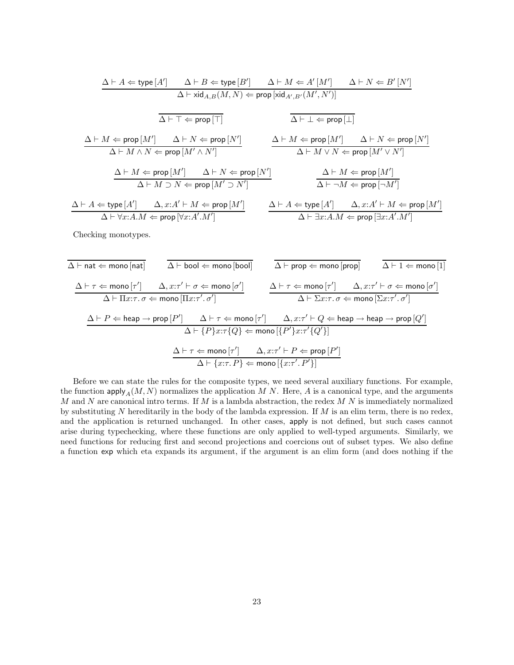$$
\begin{array}{c|c|c} \Delta \vdash A \Leftarrow \text{type}[A'] & \Delta \vdash B \Leftarrow \text{type}[B'] & \Delta \vdash M \Leftarrow A'[M'] & \Delta \vdash N \Leftarrow B'[N'] \\ \hline \Delta \vdash \text{xid}_{A,B}(M,N) \Leftarrow \text{prop}[\text{xid}_{A',B'}(M',N')] \\ \hline \overline{\Delta \vdash \top \Leftarrow \text{prop}[\top]} & \overline{\Delta \vdash \bot \Leftarrow \text{prop}[\bot]} \\ \Delta \vdash M \Leftarrow \text{prop}[M'] & \Delta \vdash N \Leftarrow \text{prop}[N'] & \Delta \vdash M \Leftarrow \text{prop}[M'] & \Delta \vdash N \Leftarrow \text{prop}[N'] \\ \Delta \vdash M \land N \Leftarrow \text{prop}[M' \land N'] & \Delta \vdash M \iff N \Leftarrow \text{prop}[M' \lor N'] \\ \Delta \vdash M \Leftarrow \text{prop}[M'] & \Delta \vdash N \Leftarrow \text{prop}[M' \land N'] & \Delta \vdash M \Leftarrow \text{prop}[M'] \\ \Delta \vdash M \supset N \Leftarrow \text{prop}[M' \supset N'] & \Delta \vdash M \Leftarrow \text{prop}[M'] \\ \Delta \vdash A \Leftarrow \text{type}[A'] & \Delta, x:A' \vdash M \Leftarrow \text{prop}[M'] & \Delta \vdash A \Leftarrow \text{type}[A'] & \Delta, x:A' \vdash M \Leftarrow \text{prop}[M'] \\ \Delta \vdash \forall x:A.M \Leftarrow \text{prop}[\forall x:A'.M'] & \Delta \vdash \exists x:A.M \Leftarrow \text{prop}[\exists x:A'.M'] \end{array}
$$

Checking monotypes.

$$
\begin{array}{ll}\n\overline{\Delta \vdash \text{nat} \Leftarrow \text{mono}[\text{nat}]} & \overline{\Delta \vdash \text{bool} \Leftarrow \text{mono}[\text{bool}]} & \overline{\Delta \vdash \text{prop} \Leftarrow \text{mono}[\text{prop}]} & \overline{\Delta \vdash 1 \Leftarrow \text{mono}[1]} \\
& \underline{\Delta \vdash \tau \Leftarrow \text{mono}[\tau']} & \Delta, x:\tau' \vdash \sigma \Leftarrow \text{mono}[\sigma'] & \Delta \vdash \tau \Leftarrow \text{mono}[\tau'] & \Delta, x:\tau' \vdash \sigma \Leftarrow \text{mono}[\sigma'] \\
& \Delta \vdash \Pi x:\tau.\ \sigma \Leftarrow \text{mono}[\Pi x:\tau'.\ \sigma'] & \Delta \vdash \tau \Leftarrow \text{mono}[\tau'] & \Delta, x:\tau' \vdash \sigma \Leftarrow \text{mono}[\Sigma x:\tau'.\ \sigma'] \\
& \Delta \vdash P \Leftarrow \text{heap} \rightarrow \text{prop}[P'] & \Delta \vdash \tau \Leftarrow \text{mono}[\tau'] & \Delta, x:\tau' \vdash Q \Leftarrow \text{heap} \rightarrow \text{heap} \rightarrow \text{prop}[Q'] \\
& \Delta \vdash \{P\}x:\tau\{Q\} \Leftarrow \text{mono}[\{P'\}x:\tau'\{Q'\}] \\
& \Delta \vdash \tau \Leftarrow \text{mono}[\tau'] & \Delta, x:\tau' \vdash P \Leftarrow \text{prop}[P'] \\
& \Delta \vdash \{x:\tau.P\} \Leftarrow \text{mono}[\{x:\tau'.\ P'\}]\n\end{array}
$$

Before we can state the rules for the composite types, we need several auxiliary functions. For example, the function  $\text{apply}_A(M, N)$  normalizes the application M N. Here, A is a canonical type, and the arguments  $M$  and  $N$  are canonical intro terms. If  $M$  is a lambda abstraction, the redex  $M N$  is immediately normalized by substituting N hereditarily in the body of the lambda expression. If  $M$  is an elim term, there is no redex, and the application is returned unchanged. In other cases, apply is not defined, but such cases cannot arise during typechecking, where these functions are only applied to well-typed arguments. Similarly, we need functions for reducing first and second projections and coercions out of subset types. We also define a function exp which eta expands its argument, if the argument is an elim form (and does nothing if the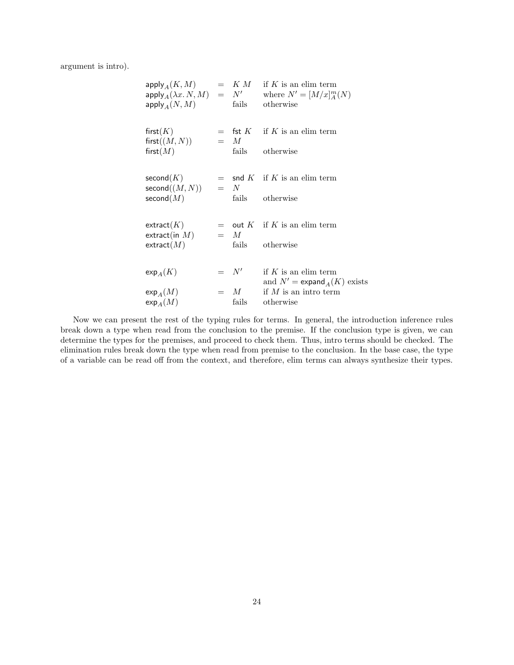argument is intro).

| $apply_A(K, M)$<br>$apply_A(\lambda x. N, M) = N'$<br>$apply_A(N,M)$ |                 | $=$ K M if K is an elim term<br>where $N'=[M/x]_A^m(N)$<br>fails otherwise                         |
|----------------------------------------------------------------------|-----------------|----------------------------------------------------------------------------------------------------|
| first $(K)$<br>first((M, N))<br>first $(M)$                          | $=$ M           | $=$ fst K if K is an elim term<br>fails otherwise                                                  |
| second $(K)$<br>second((M,N))<br>second(M)                           | $= N$           | $=$ snd K if K is an elim term<br>fails otherwise                                                  |
| extract(K)<br>extract(in $M$ )<br>extract(M)                         | $=$ M           | $=$ out K if K is an elim term<br>fails otherwise                                                  |
| $\exp_A(K)$<br>$\exp_A(M)$                                           | $= N'$<br>$=$ M | if K is an elim term<br>and $N' = \exp \operatorname{grad}_A(K)$ exists<br>if $M$ is an intro term |
| $\exp_A(M)$                                                          | fails           | otherwise                                                                                          |

Now we can present the rest of the typing rules for terms. In general, the introduction inference rules break down a type when read from the conclusion to the premise. If the conclusion type is given, we can determine the types for the premises, and proceed to check them. Thus, intro terms should be checked. The elimination rules break down the type when read from premise to the conclusion. In the base case, the type of a variable can be read off from the context, and therefore, elim terms can always synthesize their types.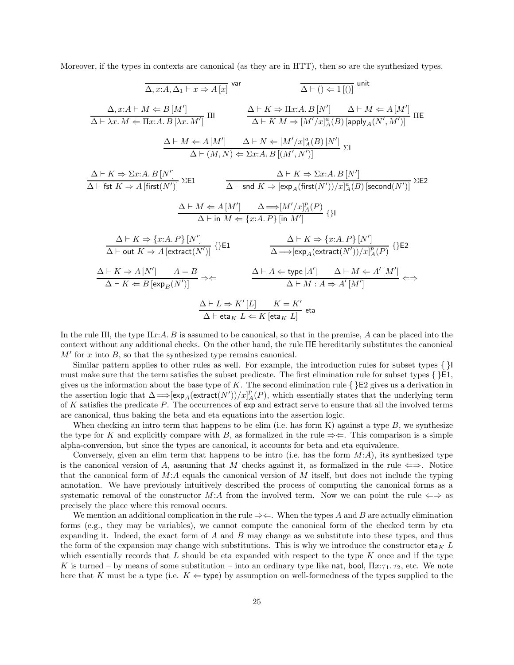Moreover, if the types in contexts are canonical (as they are in HTT), then so are the synthesized types.

$$
\Delta, x:A, \Delta_1 \vdash x \Rightarrow A[x]
$$
\n
$$
\Delta \vdash () \Leftarrow 1[()]
$$
\n
$$
\Delta \vdash \Delta x.A \vdash M \Leftarrow B[M']
$$
\n
$$
\Delta \vdash K \Rightarrow B[x'A, B[x, M']]
$$
\n
$$
\Delta \vdash K M \Rightarrow [M'/x]_A^a(B) [\text{apply}_A(N', M')]
$$
\n
$$
\Delta \vdash M \Leftarrow A[M'] \quad \Delta \vdash N \Leftarrow [M'/x]_A^a(B) [\text{apply}_A(N', M')]
$$
\n
$$
\Delta \vdash M \Leftarrow A[M'] \quad \Delta \vdash N \Leftarrow [M'/x]_A^a(B) [\text{apply}_A(N', M')]
$$
\n
$$
\Delta \vdash K \Rightarrow \Sigma x:A. B[N']
$$
\n
$$
\Delta \vdash (M, N) \Leftarrow \Sigma x:A. B[(M', N')]
$$
\n
$$
\Delta \vdash K \Rightarrow A [\text{first}(N')] \quad \Sigma E1
$$
\n
$$
\Delta \vdash \text{snd } K \Rightarrow [\exp_A(\text{first}(N'))/x]_A^a(B) [\text{second}(N')]}
$$
\n
$$
\Delta \vdash K \Rightarrow \{x:A. P\} [N']
$$
\n
$$
\Delta \vdash \text{int } M \Leftarrow \{x:A. P\} [\text{in } M']
$$
\n
$$
\Delta \vdash K \Rightarrow A [\text{extract}(N')] \quad \{\} E1
$$
\n
$$
\Delta \vdash K \Rightarrow \{x:A. P\} [N']
$$
\n
$$
\Delta \vdash \text{out } K \Rightarrow A [\text{extract}(N')] \quad \{\} E1
$$
\n
$$
\Delta \vdash K \Leftarrow \{x:A. P\} [N']
$$
\n
$$
\Delta \vdash K \Leftarrow B [\exp_B(N')] \Rightarrow \Leftarrow \quad \Delta \vdash A \Leftarrow \text{type}[A'] \quad \Delta \vdash M \Leftarrow A'[M'] \leftrightarrow \Delta \vdash \text{that } \Delta \vdash K \Leftarrow B [\exp_B(N')] \Rightarrow \Leftarrow \quad \Delta \vdash M : A \Rightarrow A'[M']
$$

In the rule  $\Pi$ , the type  $\Pi x$ : A. B is assumed to be canonical, so that in the premise, A can be placed into the context without any additional checks. On the other hand, the rule ΠE hereditarily substitutes the canonical  $M'$  for x into  $B$ , so that the synthesized type remains canonical.

Similar pattern applies to other rules as well. For example, the introduction rules for subset types  $\{\}$ must make sure that the term satisfies the subset predicate. The first elimination rule for subset types  $\{\}E1$ , gives us the information about the base type of K. The second elimination rule  $\{\}E2$  gives us a derivation in the assertion logic that  $\Delta \Longrightarrow [\exp_A(\text{extract}(N'))/x]_A^p(P)$ , which essentially states that the underlying term of K satisfies the predicate P. The occurrences of exp and extract serve to ensure that all the involved terms are canonical, thus baking the beta and eta equations into the assertion logic.

When checking an intro term that happens to be elim (i.e. has form K) against a type  $B$ , we synthesize the type for K and explicitly compare with B, as formalized in the rule  $\Rightarrow \Leftarrow$ . This comparison is a simple alpha-conversion, but since the types are canonical, it accounts for beta and eta equivalence.

Conversely, given an elim term that happens to be intro (i.e. has the form  $M(A)$ , its synthesized type is the canonical version of A, assuming that M checks against it, as formalized in the rule  $\Leftarrow \Rightarrow$ . Notice that the canonical form of  $M:A$  equals the canonical version of  $M$  itself, but does not include the typing annotation. We have previously intuitively described the process of computing the canonical forms as a systematic removal of the constructor M:A from the involved term. Now we can point the rule  $\Leftarrow$  as precisely the place where this removal occurs.

We mention an additional complication in the rule  $\Rightarrow \Leftarrow$ . When the types A and B are actually elimination forms (e.g., they may be variables), we cannot compute the canonical form of the checked term by eta expanding it. Indeed, the exact form of A and B may change as we substitute into these types, and thus the form of the expansion may change with substitutions. This is why we introduce the constructor  $eta_K L$ which essentially records that  $L$  should be eta expanded with respect to the type  $K$  once and if the type K is turned – by means of some substitution – into an ordinary type like nat, bool,  $\Pi x:\tau_1.\tau_2$ , etc. We note here that K must be a type (i.e.  $K \Leftarrow$  type) by assumption on well-formedness of the types supplied to the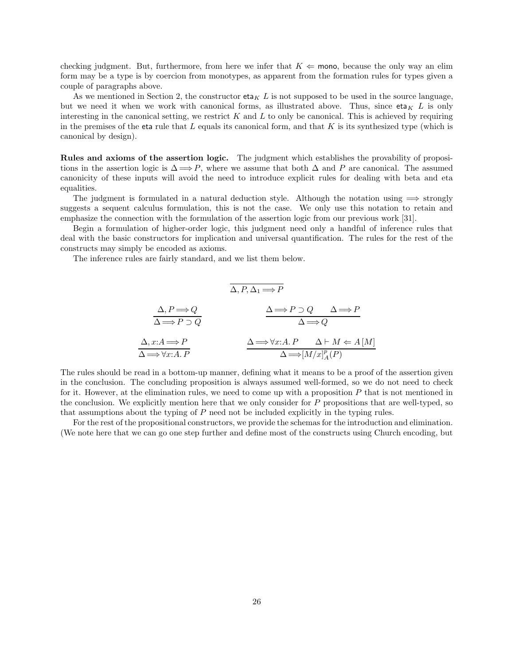checking judgment. But, furthermore, from here we infer that  $K \Leftarrow \text{mono}$ , because the only way an elim form may be a type is by coercion from monotypes, as apparent from the formation rules for types given a couple of paragraphs above.

As we mentioned in Section 2, the constructor  $eta_K L$  is not supposed to be used in the source language, but we need it when we work with canonical forms, as illustrated above. Thus, since  $eta_K L$  is only interesting in the canonical setting, we restrict  $K$  and  $L$  to only be canonical. This is achieved by requiring in the premises of the eta rule that  $L$  equals its canonical form, and that  $K$  is its synthesized type (which is canonical by design).

Rules and axioms of the assertion logic. The judgment which establishes the provability of propositions in the assertion logic is  $\Delta \Longrightarrow P$ , where we assume that both  $\Delta$  and P are canonical. The assumed canonicity of these inputs will avoid the need to introduce explicit rules for dealing with beta and eta equalities.

The judgment is formulated in a natural deduction style. Although the notation using  $\implies$  strongly suggests a sequent calculus formulation, this is not the case. We only use this notation to retain and emphasize the connection with the formulation of the assertion logic from our previous work [31].

Begin a formulation of higher-order logic, this judgment need only a handful of inference rules that deal with the basic constructors for implication and universal quantification. The rules for the rest of the constructs may simply be encoded as axioms.

The inference rules are fairly standard, and we list them below.

$$
\overline{\Delta, P, \Delta_1 \Longrightarrow P}
$$
\n
$$
\overline{\Delta, P \Longrightarrow Q}
$$
\n
$$
\Delta \Longrightarrow P \supset Q
$$
\n
$$
\Delta \Longrightarrow Q
$$
\n
$$
\Delta x:A \Longrightarrow P
$$
\n
$$
\Delta \Longrightarrow \forall x:A.P
$$
\n
$$
\Delta \Longrightarrow \forall x:A.P
$$
\n
$$
\Delta \Longrightarrow [M/x]_A^p(P)
$$

The rules should be read in a bottom-up manner, defining what it means to be a proof of the assertion given in the conclusion. The concluding proposition is always assumed well-formed, so we do not need to check for it. However, at the elimination rules, we need to come up with a proposition  $P$  that is not mentioned in the conclusion. We explicitly mention here that we only consider for  $P$  propositions that are well-typed, so that assumptions about the typing of P need not be included explicitly in the typing rules.

For the rest of the propositional constructors, we provide the schemas for the introduction and elimination. (We note here that we can go one step further and define most of the constructs using Church encoding, but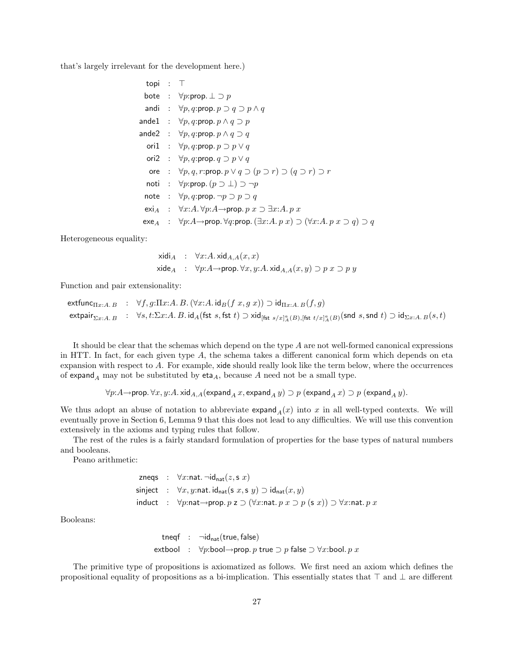that's largely irrelevant for the development here.)

| topi : $\top$ |                                                                                                                                                     |
|---------------|-----------------------------------------------------------------------------------------------------------------------------------------------------|
|               | bote : $\forall p$ : prop. $\bot \supset p$                                                                                                         |
|               | andi : $\forall p, q$ : prop. $p \supset q \supset p \wedge q$                                                                                      |
|               | ande $1 \; : \; \forall p,q$ :prop. $p \wedge q \supset p$                                                                                          |
|               | ande $2\;\;:\;\;\forall p,q\text{:prop.}\;p\wedge q\supset q$                                                                                       |
|               | ori1 : $\forall p, q$ : prop. $p \supset p \vee q$                                                                                                  |
|               | ori2 : $\forall p, q$ : prop. $q \supset p \vee q$                                                                                                  |
|               | ore : $\forall p, q, r: \text{prop. } p \lor q \supset (p \supset r) \supset (q \supset r) \supset r$                                               |
|               | noti : $\forall p$ : prop. $(p \supset \bot) \supset \neg p$                                                                                        |
|               | note : $\forall p, q$ : prop. $\neg p \supset q$                                                                                                    |
|               | exi <sub>A</sub> : ∀x:A. ∀p:A→prop. $p x \supset \exists x$ :A. $p x$                                                                               |
|               | $\mathsf{exe}_A : \forall p:A \rightarrow \mathsf{prop}.\forall q:\mathsf{prop}. (\exists x:A. p x) \supset (\forall x:A. p x \supset q) \supset q$ |

Heterogeneous equality:

 $xidA : \forall x:A.$   $xid_{A,A}(x, x)$  $xide_A : \forall p:A\rightarrow prop. \forall x, y:A. xid_{A,A}(x, y) \supset p x \supset p y$ 

Function and pair extensionality:

$$
\mathsf{extfunc}_{\Pi x:A.B} \quad : \quad \forall f,g:\Pi x:A.B. \, (\forall x:A.\, \mathsf{id}_B(f\ x,g\ x)) \supset \mathsf{id}_{\Pi x:A.B.}(f,g) \\[1em] \mathsf{extpair}_{\Sigma x:A.B} \quad : \quad \forall s,t:\Sigma x:A.B.\, \mathsf{id}_A(\mathsf{fst}\ s,\mathsf{fst}\ t) \supset \mathsf{xid}_{[\mathsf{fst}\ s/x]_A^a(B),[\mathsf{fst}\ t/x]_A^a(B)}(\mathsf{snd}\ s,\mathsf{snd}\ t) \supset \mathsf{id}_{\Sigma x:A.B.}(s,t)
$$

It should be clear that the schemas which depend on the type A are not well-formed canonical expressions in HTT. In fact, for each given type  $A$ , the schema takes a different canonical form which depends on eta expansion with respect to A. For example, xide should really look like the term below, where the occurrences of expand<sub>A</sub> may not be substituted by eta<sub>A</sub>, because A need not be a small type.

$$
\forall p{:}A \mathbin{\rightarrow} \mathsf{prop}.\ \forall x, y{:}A.\ \mathsf{xid}_{A,A}(\mathsf{expand}_A\ x,\mathsf{expand}_A\ y)\supset p\ (\mathsf{expand}_A\ x)\supset p\ (\mathsf{expand}_A\ y).
$$

We thus adopt an abuse of notation to abbreviate expand<sub>A</sub> $(x)$  into x in all well-typed contexts. We will eventually prove in Section 6, Lemma 9 that this does not lead to any difficulties. We will use this convention extensively in the axioms and typing rules that follow.

The rest of the rules is a fairly standard formulation of properties for the base types of natural numbers and booleans.

Peano arithmetic:

```
zneqs : \forall x:nat. ¬id<sub>nat</sub>(z, s x)sinject : \forall x, y:nat. id<sub>nat</sub>(s x, s y) \supset id<sub>nat</sub>(x, y)
induct : \forall p:\texttt{nat}\rightarrow \texttt{prop}. p \mathbf{z} \supset (\forall x:\texttt{nat}. p \mathbf{x} \supset p \mathbf{(s} \mathbf{x})) \supset \forall x:\texttt{nat}. p \mathbf{x}
```
Booleans:

tneqf :  $\neg id_{nat}$ (true, false) extbool :  $\forall p$ :bool→prop. p true  $\supset p$  false  $\supset \forall x$ :bool. p x

The primitive type of propositions is axiomatized as follows. We first need an axiom which defines the propositional equality of propositions as a bi-implication. This essentially states that  $\top$  and  $\bot$  are different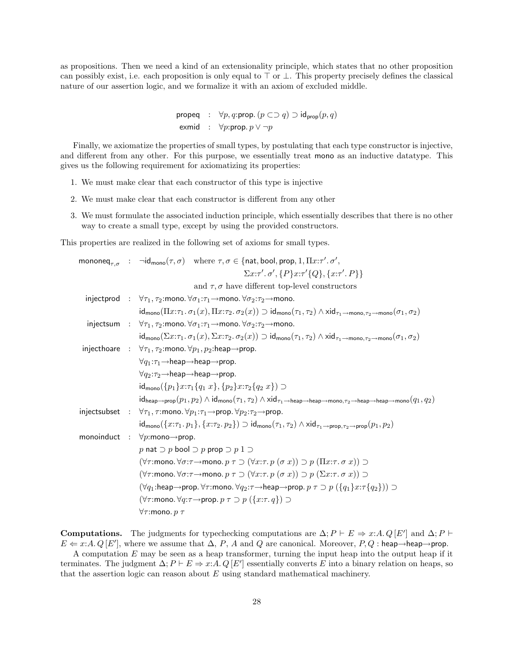as propositions. Then we need a kind of an extensionality principle, which states that no other proposition can possibly exist, i.e. each proposition is only equal to  $\top$  or  $\bot$ . This property precisely defines the classical nature of our assertion logic, and we formalize it with an axiom of excluded middle.

```
propeq : \forall p, q:prop. (p \subset \supset q) \supset id_{\text{prop}}(p, q)exmid : \forall p: \text{prop. } p \lor \neg p
```
Finally, we axiomatize the properties of small types, by postulating that each type constructor is injective, and different from any other. For this purpose, we essentially treat mono as an inductive datatype. This gives us the following requirement for axiomatizing its properties:

- 1. We must make clear that each constructor of this type is injective
- 2. We must make clear that each constructor is different from any other
- 3. We must formulate the associated induction principle, which essentially describes that there is no other way to create a small type, except by using the provided constructors.

This properties are realized in the following set of axioms for small types.

|  | mononeq <sub><math>\tau</math>,<math>\sigma</math></sub> : $\neg$ id <sub>mono</sub> $(\tau, \sigma)$ where $\tau, \sigma \in \{$ nat, bool, prop, 1, $\Pi x:\tau'. \sigma',$                                                                                                                                                 |
|--|-------------------------------------------------------------------------------------------------------------------------------------------------------------------------------------------------------------------------------------------------------------------------------------------------------------------------------|
|  | $\Sigma x:\tau'. \sigma', \{P\}x:\tau'\{Q\}, \{x:\tau'. P\}\}\$                                                                                                                                                                                                                                                               |
|  | and $\tau$ , $\sigma$ have different top-level constructors                                                                                                                                                                                                                                                                   |
|  | injectprod : $\forall \tau_1, \tau_2$ :mono. $\forall \sigma_1 : \tau_1 \rightarrow \text{mono.} \forall \sigma_2 : \tau_2 \rightarrow \text{mono.}$                                                                                                                                                                          |
|  | $\mathsf{id}_{\mathsf{mono}}(\Pi x:\tau_1.\ \sigma_1(x),\Pi x:\tau_2.\ \sigma_2(x)) \supset \mathsf{id}_{\mathsf{mono}}(\tau_1,\tau_2) \wedge \mathsf{xid}_{\tau_1 \to \mathsf{mono},\tau_2 \to \mathsf{mono}}(\sigma_1,\sigma_2)$                                                                                            |
|  | injectsum : $\forall \tau_1, \tau_2$ :mono. $\forall \sigma_1 : \tau_1 \rightarrow \text{mono.} \forall \sigma_2 : \tau_2 \rightarrow \text{mono.}$                                                                                                                                                                           |
|  | $\mathsf{id}_{\mathsf{mono}}(\Sigma x:\tau_1.\ \sigma_1(x),\Sigma x:\tau_2.\ \sigma_2(x)) \supset \mathsf{id}_{\mathsf{mono}}(\tau_1,\tau_2) \wedge \mathsf{xid}_{\tau_1 \to \mathsf{mono},\tau_2 \to \mathsf{mono}}(\sigma_1,\sigma_2)$                                                                                      |
|  | injecthoare : $\forall \tau_1, \tau_2$ :mono. $\forall p_1, p_2$ :heap $\rightarrow$ prop.                                                                                                                                                                                                                                    |
|  | $\forall q_1:\tau_1\rightarrow$ heap $\rightarrow$ heap $\rightarrow$ prop.                                                                                                                                                                                                                                                   |
|  | $\forall q_2:\tau_2\rightarrow$ heap $\rightarrow$ heap $\rightarrow$ prop.                                                                                                                                                                                                                                                   |
|  | $id_{\text{mono}}(\{p_1\}x:\tau_1\{q_1 x\}, \{p_2\}x:\tau_2\{q_2 x\}) \supset$                                                                                                                                                                                                                                                |
|  | $\mathsf{id}_{\mathsf{hean} \rightarrow \mathsf{prop}}(p_1, p_2) \land \mathsf{id}_{\mathsf{mono}}(\tau_1, \tau_2) \land \mathsf{xid}_{\tau_1 \rightarrow \mathsf{heap} \rightarrow \mathsf{heap} \rightarrow \mathsf{mono}, \tau_2 \rightarrow \mathsf{heap} \rightarrow \mathsf{heap} \rightarrow \mathsf{mono}}(q_1, q_2)$ |
|  | injectsubset : $\forall \tau_1, \tau$ : mono. $\forall p_1 : \tau_1 \rightarrow \text{prop.} \forall p_2 : \tau_2 \rightarrow \text{prop.}$                                                                                                                                                                                   |
|  | $\mathsf{id}_{\mathsf{mono}}(\{x:\tau_1, p_1\}, \{x:\tau_2, p_2\}) \supset \mathsf{id}_{\mathsf{mono}}(\tau_1, \tau_2) \wedge \mathsf{xid}_{\tau_1 \to \mathsf{prop}, \tau_2 \to \mathsf{prop}}(p_1, p_2)$                                                                                                                    |
|  | monoinduct : $\forall p$ :mono $\rightarrow$ prop.                                                                                                                                                                                                                                                                            |
|  | p nat $\supset p$ bool $\supset p$ prop $\supset p$ 1 $\supset$                                                                                                                                                                                                                                                               |
|  | $(\forall \tau$ :mono. $\forall \sigma$ : $\tau$ $\rightarrow$ mono. $p \tau \supset (\forall x$ : $\tau$ . $p(\sigma x)) \supset p(\Pi x$ : $\tau$ . $\sigma x)$ ) $\supset$                                                                                                                                                 |
|  | $(\forall \tau$ :mono. $\forall \sigma$ : $\tau$ $\rightarrow$ mono. $p \tau \supset (\forall x$ : $\tau$ . $p (\sigma x)) \supset p (\Sigma x$ : $\tau$ . $\sigma x)$ ) $\supset$                                                                                                                                            |
|  | $(\forall q_1:\mathsf{heap}\rightarrow\mathsf{prop}.\ \forall \tau:\mathsf{mono}.\ \forall q_2:\tau\rightarrow\mathsf{heap}\rightarrow\mathsf{prop}.\ p\ \tau\supset p\ (\{q_1\}x:\tau\{q_2\}))\supset \tau$                                                                                                                  |
|  | $(\forall \tau$ :mono. $\forall q$ : $\tau \rightarrow$ prop. $p \tau \supset p (\{x:\tau,q\}) \supset$                                                                                                                                                                                                                       |
|  | $\forall \tau$ :mono. $p \tau$                                                                                                                                                                                                                                                                                                |

**Computations.** The judgments for typechecking computations are  $\Delta; P \vdash E \Rightarrow x:A. Q[E']$  and  $\Delta; P \vdash$  $E \leftarrow x:A. Q[E']$ , where we assume that  $\Delta$ , P, A and Q are canonical. Moreover, P, Q: heap $\rightarrow$ heap $\rightarrow$ prop.

A computation  $E$  may be seen as a heap transformer, turning the input heap into the output heap if it terminates. The judgment  $\Delta; P \vdash E \Rightarrow x:A. Q [E']$  essentially converts E into a binary relation on heaps, so that the assertion logic can reason about E using standard mathematical machinery.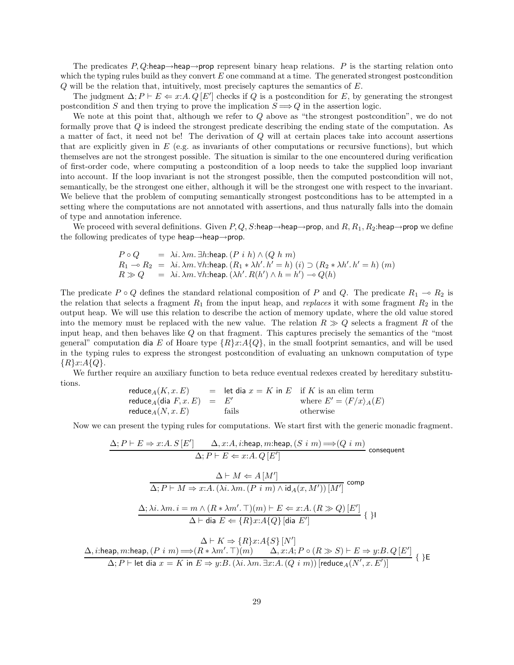The predicates P, Q:heap→heap→prop represent binary heap relations. P is the starting relation onto which the typing rules build as they convert  $E$  one command at a time. The generated strongest postcondition Q will be the relation that, intuitively, most precisely captures the semantics of E.

The judgment  $\Delta; P \vdash E \Leftarrow x:A. Q [E']$  checks if Q is a postcondition for E, by generating the strongest postcondition S and then trying to prove the implication  $S \implies Q$  in the assertion logic.

We note at this point that, although we refer to Q above as "the strongest postcondition", we do not formally prove that Q is indeed the strongest predicate describing the ending state of the computation. As a matter of fact, it need not be! The derivation of Q will at certain places take into account assertions that are explicitly given in  $E$  (e.g. as invariants of other computations or recursive functions), but which themselves are not the strongest possible. The situation is similar to the one encountered during verification of first-order code, where computing a postcondition of a loop needs to take the supplied loop invariant into account. If the loop invariant is not the strongest possible, then the computed postcondition will not, semantically, be the strongest one either, although it will be the strongest one with respect to the invariant. We believe that the problem of computing semantically strongest postconditions has to be attempted in a setting where the computations are not annotated with assertions, and thus naturally falls into the domain of type and annotation inference.

We proceed with several definitions. Given  $P, Q, S:$ heap→heap→prop, and  $R, R_1, R_2:$ heap→prop we define the following predicates of type heap $\rightarrow$ heap $\rightarrow$ prop.

$$
P \circ Q = \lambda i. \lambda m. \exists h: \text{heap.} (P \ i \ h) \land (Q \ h \ m)
$$
  
\n
$$
R_1 \rightarrow R_2 = \lambda i. \lambda m. \forall h: \text{heap.} (R_1 * \lambda h'. h' = h) (i) \supset (R_2 * \lambda h'. h' = h) (m)
$$
  
\n
$$
R \gg Q = \lambda i. \lambda m. \forall h: \text{heap.} (\lambda h'. R(h') \land h = h') \rightarrow Q(h)
$$

The predicate  $P \circ Q$  defines the standard relational composition of P and Q. The predicate  $R_1 \multimap R_2$  is the relation that selects a fragment  $R_1$  from the input heap, and *replaces* it with some fragment  $R_2$  in the output heap. We will use this relation to describe the action of memory update, where the old value stored into the memory must be replaced with the new value. The relation  $R \gg Q$  selects a fragment R of the input heap, and then behaves like Q on that fragment. This captures precisely the semantics of the "most general" computation dia E of Hoare type  $\{R\}x:A\{Q\}$ , in the small footprint semantics, and will be used in the typing rules to express the strongest postcondition of evaluating an unknown computation of type  ${R}x:A{Q}.$ 

We further require an auxiliary function to beta reduce eventual redexes created by hereditary substitutions.

$$
\begin{array}{rcl}\n\text{reduce}_A(K, x. E) & = & \text{let dia } x = K \text{ in } E \quad \text{if } K \text{ is an elim term} \\
\text{reduce}_A(\text{dia } F, x. E) & = & E' \\
\text{reduce}_A(N, x. E) & \text{fails} \quad \text{otherwise}\n\end{array}
$$

Now we can present the typing rules for computations. We start first with the generic monadic fragment.

$$
\Delta; P \vdash E \Rightarrow x:A. S [E'] \qquad \Delta, x:A, i:\text{heap}, m:\text{heap}, (S \ i \ m) \Longrightarrow (Q \ i \ m)
$$
\n
$$
\Delta; P \vdash E \Leftarrow x:A. Q [E']
$$
\n
$$
\Delta \vdash M \Leftarrow A [M']
$$
\n
$$
\overline{\Delta; P \vdash M \Rightarrow x:A. (\lambda i.\ \lambda m. (P \ i \ m) \land \text{id}_{A}(x, M')) [M']} \text{ comp}
$$
\n
$$
\Delta; \lambda i.\ \lambda m. i = m \land (R * \lambda m'. \top)(m) \vdash E \Leftarrow x:A. (R \gg Q) [E']
$$
\n
$$
\Delta \vdash \text{dia } E \Leftarrow \{R\}x:A \{Q\} [\text{dia } E'] \{ \}
$$

 $\Delta \vdash K \Rightarrow \{R\}x:A\{S\}[N']$  $\Delta$ , *i*:heap, *m*:heap,  $(P \text{ } i \text{ } m) \Longrightarrow (R * \lambda m'. \top)(m)$   $\Delta$ ,  $x:A; P \circ (R \gg S) \vdash E \Rightarrow y:B. Q [E']$  $\Delta; P \vdash$  let dia  $x = K$  in  $E \Rightarrow y:B.(\lambda i. \lambda m. \exists x:A. (Q \mid m))$  [reduce  $_A(N', x. E')]$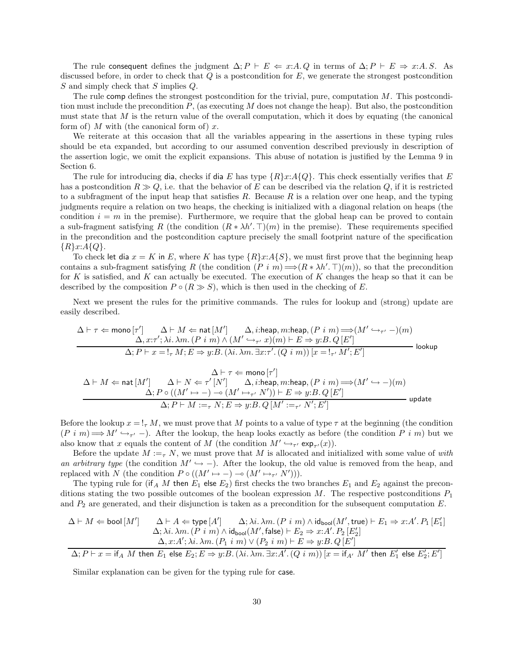The rule consequent defines the judgment  $\Delta; P \vdash E \Leftarrow x:A. Q$  in terms of  $\Delta; P \vdash E \Rightarrow x:A. S$ . As discussed before, in order to check that  $Q$  is a postcondition for  $E$ , we generate the strongest postcondition S and simply check that S implies Q.

The rule comp defines the strongest postcondition for the trivial, pure, computation  $M$ . This postcondition must include the precondition  $P$ , (as executing  $M$  does not change the heap). But also, the postcondition must state that  $M$  is the return value of the overall computation, which it does by equating (the canonical form of) M with (the canonical form of) x.

We reiterate at this occasion that all the variables appearing in the assertions in these typing rules should be eta expanded, but according to our assumed convention described previously in description of the assertion logic, we omit the explicit expansions. This abuse of notation is justified by the Lemma 9 in Section 6.

The rule for introducing dia, checks if dia E has type  $\{R\}x:A\{Q\}$ . This check essentially verifies that E has a postcondition  $R \gg Q$ , i.e. that the behavior of E can be described via the relation Q, if it is restricted to a subfragment of the input heap that satisfies  $R$ . Because  $R$  is a relation over one heap, and the typing judgments require a relation on two heaps, the checking is initialized with a diagonal relation on heaps (the condition  $i = m$  in the premise). Furthermore, we require that the global heap can be proved to contain a sub-fragment satisfying R (the condition  $(R * \lambda h'. \top)(m)$  in the premise). These requirements specified in the precondition and the postcondition capture precisely the small footprint nature of the specification  ${R}x:A{Q}.$ 

To check let dia  $x = K$  in E, where K has type  $\{R\}x:A\{S\}$ , we must first prove that the beginning heap contains a sub-fragment satisfying R (the condition  $(P \text{ } i \text{ } m) \Longrightarrow (R * \lambda h'. \top)(m)$ ), so that the precondition for K is satisfied, and K can actually be executed. The execution of K changes the heap so that it can be described by the composition  $P \circ (R \gg S)$ , which is then used in the checking of E.

Next we present the rules for the primitive commands. The rules for lookup and (strong) update are easily described.

$$
\begin{array}{c}\Delta \vdash \tau \Leftarrow \text{mono}\left[\tau'\right] \qquad \Delta \vdash M \Leftarrow \text{nat}\left[M'\right] \qquad \Delta, i:\text{heap}, m:\text{heap}, (P\ i\ m) \Longrightarrow (M' \hookrightarrow_{\tau'} -)(m)\\ \qquad \qquad \Delta, x{:}\tau'; \lambda i.\ \lambda m.\ (P\ i\ m) \land (M' \hookrightarrow_{\tau'} x)(m) \vdash E \Rightarrow y{:}B.\ Q\left[E'\right] \\ \qquad \qquad \Delta; P \vdash x = !_{\tau} \ M; E \Rightarrow y{:}B.\ (\lambda i.\ \lambda m.\ \exists x{:}\tau'.\ (Q\ i\ m))\ [x = !_{\tau'} \ M'; E']\qquad \qquad \text{lookup}\end{array}
$$

$$
\Delta \vdash M \Leftarrow \mathsf{nat}\left[M'\right] \quad \begin{array}{c} \Delta \vdash \tau \Leftarrow \mathsf{mono}\left[\tau'\right] \\ \Delta \vdash M \Leftarrow \mathsf{nat}\left[M'\right] \quad \Delta \vdash N \Leftarrow \tau'\left[N'\right] \quad \Delta, i:\mathsf{heap}, m:\mathsf{heap}, (P\ i\ m) \Longrightarrow (M' \hookrightarrow -)(m) \\ \Delta; P \circ ((M' \mapsto -) \multimap (M' \mapsto_{\tau'} N')) \vdash E \Rightarrow y:B.\ Q\left[E'\right] \\ \Delta; P \vdash M :=_{\tau} N; E \Rightarrow y:B.\ Q\left[M':=_\tau' N'; E'\right] \end{array} \mathsf{update}
$$

Before the lookup  $x = I_{\tau} M$ , we must prove that M points to a value of type  $\tau$  at the beginning (the condition  $(P \text{ i } m) \Longrightarrow M' \hookrightarrow_{\tau'} -$ ). After the lookup, the heap looks exactly as before (the condition P i m) but we also know that x equals the content of M (the condition  $M' \hookrightarrow_{\tau'} \exp_{\tau'}(x)$ ).

Before the update  $M :=_{\tau} N$ , we must prove that M is allocated and initialized with some value of with an arbitrary type (the condition  $M' \hookrightarrow -$ ). After the lookup, the old value is removed from the heap, and replaced with N (the condition  $P \circ ((M' \mapsto -) \multimap (M' \mapsto_{\tau'} N')))$ .

The typing rule for (if A M then  $E_1$  else  $E_2$ ) first checks the two branches  $E_1$  and  $E_2$  against the preconditions stating the two possible outcomes of the boolean expression  $M$ . The respective postconditions  $P_1$ and  $P_2$  are generated, and their disjunction is taken as a precondition for the subsequent computation  $E$ .

$$
\begin{array}{ll} \Delta \vdash M \Leftarrow \text{bool}\left[M'\right] & \Delta \vdash A \Leftarrow \text{type}\left[A'\right] & \Delta; \lambda i. \, \lambda m.\left(P\ i\ m\right) \wedge \text{id}_{\text{bool}}(M', \text{true}) \vdash E_1 \Rightarrow x{:}A'.\, P_1\left[E_1'\right] \\ & \Delta; \lambda i. \, \lambda m.\left(P\ i\ m\right) \wedge \text{id}_{\text{bool}}(M', \text{false}) \vdash E_2 \Rightarrow x{:}A'.\, P_2\left[E_2'\right] \\ & \Delta, x{:}A'; \, \lambda i. \, \lambda m.\left(P_1\ i\ m\right) \vee \left(P_2\ i\ m\right) \vdash E \Rightarrow y{:}B.\, Q\left[E'\right] \\ \hline \\ \Delta; P \vdash x = \text{if}_A\ M\ \text{then}\ E_1\ \text{else}\ E_2; E \Rightarrow y{:}B.\, (\lambda i. \, \lambda m.\, \exists x{:}A'.\, (Q\ i\ m))\left[x = \text{if}_{A'}\ M'\ \text{then}\ E_1'\ \text{else}\ E_2'; E'\right] \end{array}
$$

Similar explanation can be given for the typing rule for case.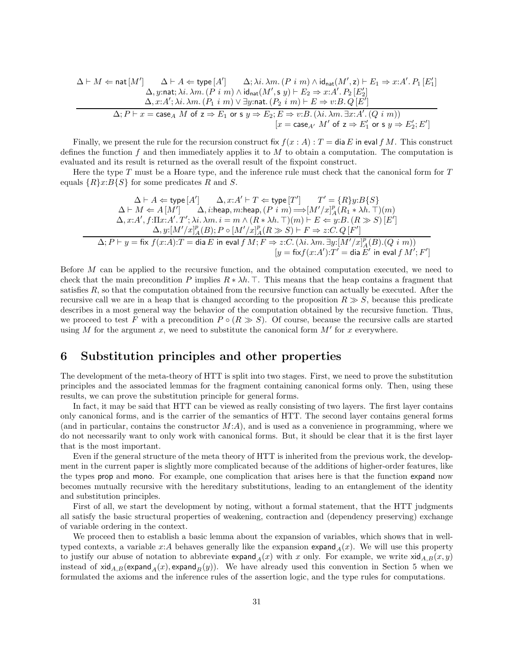$$
\Delta \vdash M \Leftarrow \text{nat}[M'] \qquad \Delta \vdash A \Leftarrow \text{type}[A'] \qquad \Delta; \lambda i. \lambda m. (P \ i \ m) \land \text{id}_{\text{nat}}(M', \mathbf{z}) \vdash E_1 \Rightarrow x:A'.\ P_1\ [E_1'] \qquad \Delta, y:\text{nat}; \lambda i. \lambda m. (P \ i \ m) \land \text{id}_{\text{nat}}(M', \mathbf{s} \ y) \vdash E_2 \Rightarrow x:A'.\ P_2\ [E_2'] \qquad \Delta, x:A'; \lambda i. \lambda m. (P_1 \ i \ m) \lor \exists y:\text{nat}. (P_2 \ i \ m) \vdash E \Rightarrow v:B.\ Q\ [E'] \qquad \Delta; P \vdash x = \text{case}_A\ M \ \text{of}\ \mathbf{z} \Rightarrow E_1 \ \text{or}\ \mathbf{s} \ y \Rightarrow E_2; E \Rightarrow v:B. (\lambda i. \lambda m. \exists x:A'. (Q \ i \ m)) \qquad \qquad [x = \text{case}_{A'}\ M' \ \text{of}\ \mathbf{z} \Rightarrow E_1' \ \text{or}\ \mathbf{s} \ y \Rightarrow E_2'; E']
$$

Finally, we present the rule for the recursion construct fix  $f(x : A) : T = \text{dia } E$  in eval f M. This construct defines the function f and then immediately applies it to  $M$  to obtain a computation. The computation is evaluated and its result is returned as the overall result of the fixpoint construct.

Here the type T must be a Hoare type, and the inference rule must check that the canonical form for T equals  $\{R\}x:B\{S\}$  for some predicates R and S.

$$
\Delta \vdash A \Leftarrow \text{type}[A'] \qquad \Delta, x:A' \vdash T \Leftarrow \text{type}[T'] \qquad T' = \{R\}y:B\{S\}
$$
\n
$$
\Delta \vdash M \Leftarrow A[M'] \qquad \Delta, i:\text{heap}, m:\text{heap}, (P \ i \ m) \Longrightarrow [M'/x]_A^p(R_1 * \lambda h.\top)(m)
$$
\n
$$
\Delta, x:A', f:\Pi x:A'.T'; \lambda i.\lambda m.\ i = m \land (R * \lambda h.\top)(m) \vdash E \Leftarrow y:B.(R \gg S) [E']
$$
\n
$$
\Delta, y:[M'/x]_A^p(B); P \circ [M'/x]_A^p(R \gg S) \vdash F \Rightarrow z:C.\ Q[F']
$$
\n
$$
\Delta; P \vdash y = \text{fix } f(x:A): T = \text{dia } E \text{ in eval } f\ M; F \Rightarrow z:C. (\lambda i.\lambda m.\exists y:[M'/x]_A^p(B).(Q \ i \ m))
$$
\n
$$
[y = \text{fix } f(x:A'):T' = \text{dia } E' \text{ in eval } f\ M'; F']
$$

Before M can be applied to the recursive function, and the obtained computation executed, we need to check that the main precondition P implies  $R * \lambda h$ . T. This means that the heap contains a fragment that satisfies R, so that the computation obtained from the recursive function can actually be executed. After the recursive call we are in a heap that is changed according to the proposition  $R \gg S$ , because this predicate describes in a most general way the behavior of the computation obtained by the recursive function. Thus, we proceed to test F with a precondition  $P \circ (R \gg S)$ . Of course, because the recursive calls are started using M for the argument x, we need to substitute the canonical form  $M'$  for x everywhere.

# 6 Substitution principles and other properties

The development of the meta-theory of HTT is split into two stages. First, we need to prove the substitution principles and the associated lemmas for the fragment containing canonical forms only. Then, using these results, we can prove the substitution principle for general forms.

In fact, it may be said that HTT can be viewed as really consisting of two layers. The first layer contains only canonical forms, and is the carrier of the semantics of HTT. The second layer contains general forms (and in particular, contains the constructor  $M(A)$ , and is used as a convenience in programming, where we do not necessarily want to only work with canonical forms. But, it should be clear that it is the first layer that is the most important.

Even if the general structure of the meta theory of HTT is inherited from the previous work, the development in the current paper is slightly more complicated because of the additions of higher-order features, like the types prop and mono. For example, one complication that arises here is that the function expand now becomes mutually recursive with the hereditary substitutions, leading to an entanglement of the identity and substitution principles.

First of all, we start the development by noting, without a formal statement, that the HTT judgments all satisfy the basic structural properties of weakening, contraction and (dependency preserving) exchange of variable ordering in the context.

We proceed then to establish a basic lemma about the expansion of variables, which shows that in welltyped contexts, a variable x:A behaves generally like the expansion expand  $_A(x)$ . We will use this property to justify our abuse of notation to abbreviate  $\exp(\tan(x))$  with x only. For example, we write  $\sin(A,B(x,y))$ instead of  $xid_{A,B}(\text{expand}_A(x), \text{expand}_B(y))$ . We have already used this convention in Section 5 when we formulated the axioms and the inference rules of the assertion logic, and the type rules for computations.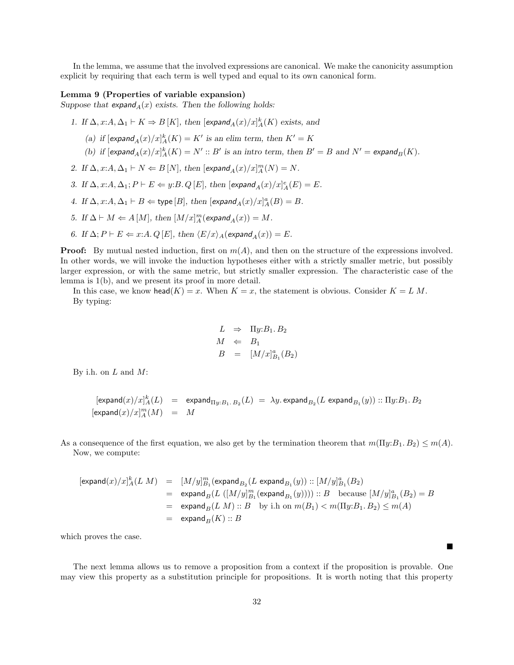In the lemma, we assume that the involved expressions are canonical. We make the canonicity assumption explicit by requiring that each term is well typed and equal to its own canonical form.

#### Lemma 9 (Properties of variable expansion)

Suppose that  $\exp \operatorname{and}_A(x)$  exists. Then the following holds:

1. If  $\Delta$ ,  $x:A, \Delta_1 \vdash K \Rightarrow B[K]$ , then  $[\text{expand}_A(x)/x]_A^k(K)$  exists, and

- (a) if  $[\exp \text{and}_A(x)/x]_A^k(K) = K'$  is an elim term, then  $K' = K$
- (b) if  $[\exp \text{and}_A(x)/x]_A^k(K) = N' :: B'$  is an intro term, then  $B' = B$  and  $N' = \exp \text{and}_B(K)$ .
- 2. If  $\Delta$ ,  $x:A, \Delta_1 \vdash N \Leftarrow B[N]$ , then  $[\text{expand}_A(x)/x]_A^m(N) = N$ .
- 3. If  $\Delta$ ,  $x:A, \Delta_1; P \vdash E \Leftarrow y:B. Q [E]$ , then  $[\textsf{expand}_A(x)/x]_A^e(E) = E$ .
- 4. If  $\Delta$ ,  $x:A, \Delta_1 \vdash B \Leftarrow$  type  $[B]$ , then  $[expand_A(x)/x]_A^a(B) = B$ .
- 5. If  $\Delta \vdash M \Leftarrow A[M]$ , then  $[M/x]_A^m(\text{expand}_A(x)) = M$ .
- 6. If  $\Delta; P \vdash E \Leftarrow x:A. Q [E],$  then  $\langle E/x \rangle_A(\text{expand}_A(x)) = E$ .

**Proof:** By mutual nested induction, first on  $m(A)$ , and then on the structure of the expressions involved. In other words, we will invoke the induction hypotheses either with a strictly smaller metric, but possibly larger expression, or with the same metric, but strictly smaller expression. The characteristic case of the lemma is 1(b), and we present its proof in more detail.

In this case, we know head(K) = x. When  $K = x$ , the statement is obvious. Consider  $K = L M$ . By typing:

$$
L \Rightarrow \Pi y:B_1.B_2
$$
  

$$
M \Leftarrow B_1
$$
  

$$
B = [M/x]_{B_1}^a(B_2)
$$

By i.h. on  $L$  and  $M$ :

$$
[\text{expand}(x)/x]_A^k(L) = \text{expand}_{\Pi y:B_1.B_2}(L) = \lambda y.\, \text{expand}_{B_2}(L\, \text{expand}_{B_1}(y))::\Pi y:B_1.B_2
$$
 
$$
[\text{expand}(x)/x]_A^m(M) = M
$$

As a consequence of the first equation, we also get by the termination theorem that  $m(\Pi y:B_1, B_2) \leq m(A)$ . Now, we compute:

$$
\begin{array}{lcl} [\mathsf{expand}(x)/x]_A^k(L\ M) & = & [M/y]_{B_1}^m(\mathsf{expand}_{B_2}(L\ \mathsf{expand}_{B_1}(y))::[M/y]_{B_1}^a(B_2) \\ \\ & = & \mathsf{expand}_B(L\ ([M/y]_{B_1}^m(\mathsf{expand}_{B_1}(y))))::B \quad \text{because} \ [M/y]_{B_1}^a(B_2) = B \\ \\ & = & \mathsf{expand}_B(L\ M):B \quad \text{by ih on} \ m(B_1) < m(\Pi y:B_1,B_2) \leq m(A) \\ \\ & = & \mathsf{expand}_B(K):B \end{array}
$$

which proves the case.

The next lemma allows us to remove a proposition from a context if the proposition is provable. One may view this property as a substitution principle for propositions. It is worth noting that this property

 $\blacksquare$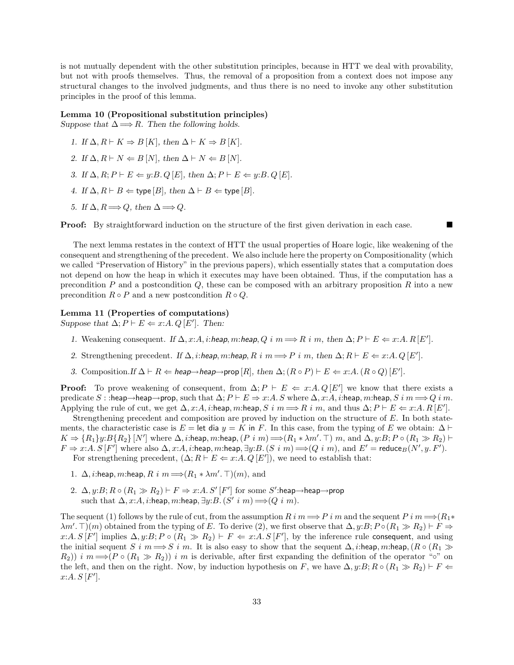is not mutually dependent with the other substitution principles, because in HTT we deal with provability, but not with proofs themselves. Thus, the removal of a proposition from a context does not impose any structural changes to the involved judgments, and thus there is no need to invoke any other substitution principles in the proof of this lemma.

### Lemma 10 (Propositional substitution principles)

Suppose that  $\Delta \Longrightarrow R$ . Then the following holds.

- 1. If  $\Delta, R \vdash K \Rightarrow B[K]$ , then  $\Delta \vdash K \Rightarrow B[K]$ .
- 2. If  $\Delta, R \vdash N \Leftarrow B[N]$ , then  $\Delta \vdash N \Leftarrow B[N]$ .
- 3. If  $\Delta, R; P \vdash E \Leftarrow y:B. Q [E],$  then  $\Delta; P \vdash E \Leftarrow y:B. Q [E].$
- 4. If  $\Delta, R \vdash B \Leftarrow$  type  $[B]$ , then  $\Delta \vdash B \Leftarrow$  type  $[B]$ .
- 5. If  $\Delta, R \Longrightarrow Q$ , then  $\Delta \Longrightarrow Q$ .

**Proof:** By straightforward induction on the structure of the first given derivation in each case.

The next lemma restates in the context of HTT the usual properties of Hoare logic, like weakening of the consequent and strengthening of the precedent. We also include here the property on Compositionality (which we called "Preservation of History" in the previous papers), which essentially states that a computation does not depend on how the heap in which it executes may have been obtained. Thus, if the computation has a precondition  $P$  and a postcondition  $Q$ , these can be composed with an arbitrary proposition  $R$  into a new precondition  $R \circ P$  and a new postcondition  $R \circ Q$ .

### Lemma 11 (Properties of computations)

Suppose that  $\Delta; P \vdash E \Leftarrow x:A. Q [E']$ . Then:

- 1. Weakening consequent. If  $\Delta$ , x:A, i:heap, m:heap, Q i m  $\Longrightarrow$  R i m, then  $\Delta$ ;  $P \vdash E \Leftarrow x:A$ . R[E'].
- 2. Strengthening precedent. If  $\Delta$ , *i*:heap, m:heap, R i m  $\Longrightarrow$  P i m, then  $\Delta$ ; R  $\vdash$  E  $\Leftarrow$  x:A. Q [E'].
- 3. Composition. If  $\Delta \vdash R \Leftarrow$  heap $\rightarrow$ heap $\rightarrow$ prop [R], then  $\Delta$ ;  $(R \circ P) \vdash E \Leftarrow x:A$ .  $(R \circ Q)$  [E'].

**Proof:** To prove weakening of consequent, from  $\Delta; P \vdash E \Leftarrow x:A. Q[E']$  we know that there exists a predicate S : :heap→heap→prop, such that  $\Delta; P \vdash E \Rightarrow x:A, S$  where  $\Delta, x:A, i:$ heap, m:heap, S i m  $\Longrightarrow Q$  i m. Applying the rule of cut, we get  $\Delta$ , x:A, i:heap, m:heap, S i  $m \Longrightarrow R$  i m, and thus  $\Delta$ ;  $P \vdash E \Leftarrow x:A$ .  $R[E']$ .

Strengthening precedent and composition are proved by induction on the structure of E. In both statements, the characteristic case is E = let dia  $y = K$  in F. In this case, from the typing of E we obtain:  $\Delta \vdash$  $K \Rightarrow \{R_1\}y: B\{R_2\}$   $[N']$  where  $\Delta$ , *i*:heap, *m*:heap,  $(P \in m) \Longrightarrow (R_1 * \lambda m'. \top)$  *m*, and  $\Delta$ ,  $y: B; P \circ (R_1 \gg R_2) \vdash$  $F \Rightarrow x:A. S[F']$  where also  $\Delta, x:A, i:$ heap, m:heap,  $\exists y:B.$   $(S \; i \; m) \Longrightarrow (Q \; i \; m)$ , and  $E' =$  reduce $_B(N', y. F').$ 

For strengthening precedent,  $(\Delta; R \vdash E \Leftarrow x:A. Q [E'])$ , we need to establish that:

- 1.  $\Delta$ , *i*:heap, *m*:heap, *R i*  $m \Longrightarrow (R_1 * \lambda m'. \top)(m)$ , and
- 2. ∆,  $y:B; R \circ (R_1 \gg R_2) \vdash F \Rightarrow x:A. S' [F']$  for some  $S'$ :heap→heap→prop such that  $\Delta$ , x:A, *i*:heap, m:heap, ∃y:B.  $(S' \, i \, m) \Longrightarrow (Q \, i \, m)$ .

The sequent (1) follows by the rule of cut, from the assumption R i  $m \Longrightarrow P$  i m and the sequent P i  $m \Longrightarrow (R_1 * R_2)$  $\lambda m'. \top(m)$  obtained from the typing of E. To derive (2), we first observe that  $\Delta, y:B; P \circ (R_1 \gg R_2) \vdash F \Rightarrow$ x:A. S [F'] implies  $\Delta$ , y:B;  $P \circ (R_1 \gg R_2) \vdash F \Leftarrow x:A.$  S [F'], by the inference rule consequent, and using the initial sequent S i  $m \Longrightarrow S$  i m. It is also easy to show that the sequent  $\Delta$ , i:heap, m:heap,  $(R \circ (R_1 \gg$  $(R_2)$ ) i  $m \Longrightarrow (P \circ (R_1 \gg R_2))$  i m is derivable, after first expanding the definition of the operator "∘" on the left, and then on the right. Now, by induction hypothesis on F, we have  $\Delta, y: B$ ;  $R \circ (R_1 \gg R_2) \vdash F \Leftarrow$  $x:A.S[F']$ .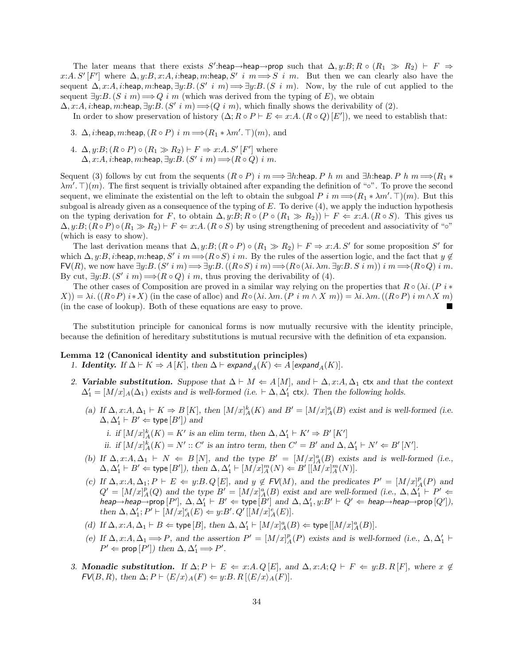The later means that there exists S':heap→heap→prop such that  $\Delta, y: B: R \circ (R_1 \gg R_2) \vdash F \Rightarrow$ x:A. S' [F'] where  $\Delta$ , y:B, x:A, i:heap, m:heap, S' i  $m \Longrightarrow S$  i m. But then we can clearly also have the sequent  $\Delta$ , x:A, i:heap, m:heap,  $\exists y: B$ .  $(S' \in m) \Longrightarrow \exists y: B$ .  $(S \in m)$ . Now, by the rule of cut applied to the sequent  $\exists y: B. (S \in \mathbb{R}) \Longrightarrow Q \in \mathbb{R}$  (which was derived from the typing of E), we obtain

 $\Delta$ , x:A, i:heap, m:heap, ∃y:B. (S' i m)  $\Longrightarrow$  (Q i m), which finally shows the derivability of (2).

In order to show preservation of history  $(\Delta; R \circ P \vdash E \Leftarrow x:A. (R \circ Q) [E'])$ , we need to establish that:

- 3.  $\Delta$ , *i*:heap, *m*:heap,  $(R \circ P)$  *i*  $m \Longrightarrow (R_1 * \lambda m'. \top)(m)$ , and
- 4.  $\Delta, y:B; (R \circ P) \circ (R_1 \gg R_2) \vdash F \Rightarrow x:A. S'[F']$  where  $\Delta$ ,  $x:A$ ,  $i:$ heap,  $m:$ heap,  $\exists y:B$ .  $(S' \ i \ m) \Longrightarrow (R \circ Q) \ i \ m$ .

Sequent (3) follows by cut from the sequents  $(R \circ P)$  i  $m \Longrightarrow \exists h$ :heap. P h m and  $\exists h$ :heap. P h  $m \Longrightarrow (R_1 * R_2)$  $\lambda m'. \top(m)$ . The first sequent is trivially obtained after expanding the definition of "∘". To prove the second sequent, we eliminate the existential on the left to obtain the subgoal  $P$  i  $m \Longrightarrow (R_1 * \lambda m'. \top)(m)$ . But this subgoal is already given as a consequence of the typing of E. To derive (4), we apply the induction hypothesis on the typing derivation for F, to obtain  $\Delta, y: B; R \circ (P \circ (R_1 \gg R_2)) \vdash F \Leftarrow x:A. (R \circ S)$ . This gives us  $\Delta$ , y:B;  $(R \circ P) \circ (R_1 \gg R_2) \vdash F \Leftarrow x:A$ .  $(R \circ S)$  by using strengthening of precedent and associativity of " $\circ$ " (which is easy to show).

The last derivation means that  $\Delta, y: B$ ;  $(R \circ P) \circ (R_1 \gg R_2) \vdash F \Rightarrow x: A \cdot S'$  for some proposition S' for which  $\Delta$ , y:B, i:heap, m:heap, S' i  $m \Longrightarrow (R \circ S)$  i m. By the rules of the assertion logic, and the fact that  $y \notin$  $\mathsf{FV}(R)$ , we now have  $\exists y: B \colon (S' \in \mathbb{R}) \implies \exists y: B \colon ((R \circ S) \in \mathbb{R}) \implies (R \circ (\lambda i. \lambda m. \exists y: B \in S \in \mathbb{R})) \in \mathbb{R} \implies (R \circ Q) \in \mathbb{R}$ By cut,  $\exists y: B$ .  $(S' \in m) \Longrightarrow (R \circ Q) \in m$ , thus proving the derivability of (4).

The other cases of Composition are proved in a similar way relying on the properties that  $R \circ (\lambda i. (P i *$  $X)$ ) =  $\lambda i$ . ((R◦P) i∗X) (in the case of alloc) and  $R ◦(\lambda i.\lambda m.(P i m \land X m)) = \lambda i.\lambda m.$  ((R◦P) i m  $\land X m$ ) (in the case of lookup). Both of these equations are easy to prove.

The substitution principle for canonical forms is now mutually recursive with the identity principle, because the definition of hereditary substitutions is mutual recursive with the definition of eta expansion.

### Lemma 12 (Canonical identity and substitution principles)

- 1. **Identity.** If  $\Delta \vdash K \Rightarrow A[K]$ , then  $\Delta \vdash$  expand<sub>A</sub> $(K) \Leftarrow A$  [expand<sub>A</sub> $(K)$ ].
- 2. Variable substitution. Suppose that  $\Delta \vdash M \Leftarrow A[M]$ , and  $\vdash \Delta, x:A, \Delta_1$  ctx and that the context  $\Delta_1' = [M/x]_A(\Delta_1)$  exists and is well-formed (i.e.  $\vdash \Delta, \Delta_1'$  ctx). Then the following holds.
	- (a) If  $\Delta$ , x:A,  $\Delta_1 \vdash K \Rightarrow B[K]$ , then  $[M/x]_A^k(K)$  and  $B' = [M/x]_A^a(B)$  exist and is well-formed (i.e.  $\Delta, \Delta_1' \vdash B' \Leftarrow$  type  $[B'])$  and
		- i. if  $[M/x]_A^k(K) = K'$  is an elim term, then  $\Delta, \Delta'_1 \vdash K' \Rightarrow B'[K']$ ii. if  $[M/x]_A^k(K) = N' :: C'$  is an intro term, then  $C' = B'$  and  $\Delta, \Delta'_1 \vdash N' \Leftarrow B'[N']$ .
	- (b) If  $\Delta$ , x:A,  $\Delta_1 \vdash N \Leftarrow B[N]$ , and the type  $B' = [M/x]_A^a(B)$  exists and is well-formed (i.e.,  $\Delta, \Delta_1' \vdash B' \Leftarrow$  type  $[B']$ ), then  $\Delta, \Delta_1' \vdash [M/x]^m_A(N) \Leftarrow B'$   $[[M/x]^m_A(N)]$ .
	- (c) If  $\Delta$ , x:A,  $\Delta_1$ ;  $P \vdash E \Leftarrow y$ :B. Q[E], and  $y \notin FV(M)$ , and the predicates  $P' = [M/x]_A^p(P)$  and  $Q' = [M/x]_A^p(Q)$  and the type  $B' = [M/x]_A^a(B)$  exist and are well-formed (i.e.,  $\Delta, \Delta_1' \vdash P' \Leftarrow$ heap→heap→prop  $[P'], \Delta, \Delta_1' \vdash B' \Leftarrow$  type  $[B']$  and  $\Delta, \Delta_1', y: B' \vdash Q' \Leftarrow$  heap→heap→prop  $[Q'],$ then  $\Delta, \Delta'_1; P' \vdash [M/x]_A^e(E) \Leftarrow y: B'. Q' [[M/x]_A^e(E)].$
	- (d) If  $\Delta$ ,  $x: A, \Delta_1 \vdash B \Leftarrow$  type [B], then  $\Delta$ ,  $\Delta'_1 \vdash [M/x]^a_A(B) \Leftarrow$  type  $[[M/x]^a_A(B)]$ .
	- (e) If  $\Delta$ , x:A,  $\Delta_1 \Longrightarrow P$ , and the assertion  $P' = [M/x]_A^p(P)$  exists and is well-formed (i.e.,  $\Delta$ ,  $\Delta'_1 \vdash$  $P' \Leftarrow \text{prop}[P']$  then  $\Delta, \Delta'_1 \Longrightarrow P'.$
- 3. Monadic substitution. If  $\Delta; P \vdash E \Leftarrow x:A. Q [E]$ , and  $\Delta, x:A; Q \vdash F \Leftarrow y:B. R [F]$ , where  $x \notin E$  $FV(B, R)$ , then  $\Delta; P \vdash \langle E/x \rangle_A(F) \Leftarrow y:B. R \left[ \langle E/x \rangle_A(F) \right].$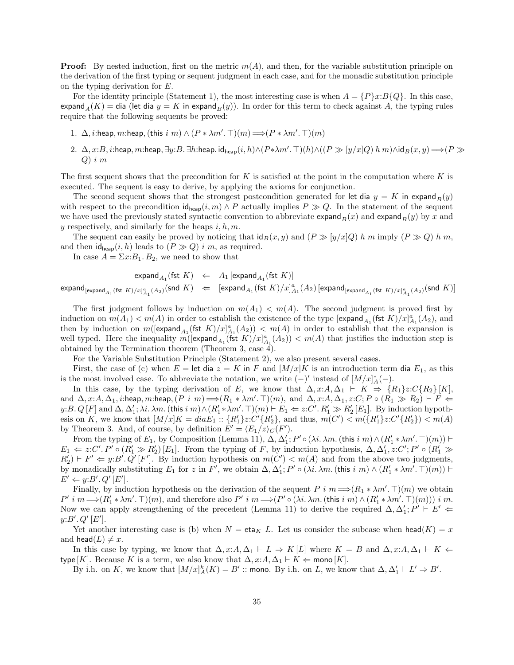**Proof:** By nested induction, first on the metric  $m(A)$ , and then, for the variable substitution principle on the derivation of the first typing or sequent judgment in each case, and for the monadic substitution principle on the typing derivation for E.

For the identity principle (Statement 1), the most interesting case is when  $A = \{P\}x:B\{Q\}$ . In this case, expand  $_A(K) =$  dia (let dia  $y = K$  in expand  $_B(y)$ ). In order for this term to check against A, the typing rules require that the following sequents be proved:

- 1.  $\Delta$ , *i*:heap, *m*:heap, (this  $i \infty \wedge (P * \lambda m'. \top)(m) \Longrightarrow (P * \lambda m'. \top)(m)$
- 2. ∆,  $x:B$ ,  $i:$ heap,  $m:$ heap,  $\exists y:B.$   $\exists h:$ heap. id $_{\mathsf{heap}}(i,h) \wedge (P * \lambda m'. \top)(h) \wedge ((P \gg [y/x]Q) \ h \ m) \wedge \mathsf{id}_B(x,y) \Longrightarrow (P \gg p)$  $Q)$  i m

The first sequent shows that the precondition for K is satisfied at the point in the computation where K is executed. The sequent is easy to derive, by applying the axioms for conjunction.

The second sequent shows that the strongest postcondition generated for let dia  $y = K$  in expand  $_B(y)$ with respect to the precondition  $\mathsf{id}_{\mathsf{heap}}(i, m) \wedge P$  actually implies  $P \gg Q$ . In the statement of the sequent we have used the previously stated syntactic convention to abbreviate expand $B(x)$  and expand $B(y)$  by x and y respectively, and similarly for the heaps  $i, h, m$ .

The sequent can easily be proved by noticing that  $\mathrm{id}_B(x, y)$  and  $(P \geq y/x|Q)$  h m imply  $(P \geq Q)$  h m. and then  $id_{\text{heap}}(i, h)$  leads to  $(P \gg Q)$  i m, as required.

In case  $A = \Sigma x:B_1.B_2$ , we need to show that

$$
\mathsf{expand}_{A_1}(\mathsf{fst}\;K)\;\;\Leftarrow\;\;A_1\,[\mathsf{expand}_{A_1}(\mathsf{fst}\;K)]
$$

 $\mathsf{expand}_{[\mathsf{expand}_{A_1}(\mathsf{fst}\;K)/x]_{A_1}^a(A_2)}(\mathsf{snd}\;K) \;\;\Leftarrow\;\;\;[\mathsf{expand}_{A_1}(\mathsf{fst}\;K)/x]_{A_1}^a(A_2)\,[\mathsf{expand}_{[\mathsf{expand}_{A_1}(\mathsf{fst}\;K)/x]_{A_1}^a(A_2)}(\mathsf{snd}\;K)]_{A_1^a(A_2)}$ 

The first judgment follows by induction on  $m(A_1) < m(A)$ . The second judgment is proved first by induction on  $m(A_1) < m(A)$  in order to establish the existence of the type  $[\text{expand}_{A_1}(\text{fst } K)/x]_{A_1}^a(A_2)$ , and then by induction on  $m([\text{expand}_{A_1}(\text{fst } K)/x]_{A_1}^a(A_2)) < m(A)$  in order to establish that the expansion is well typed. Here the inequality  $m(\text{[expand}_{A_1}(\text{fst } K)/x)_{A_1}^a(A_2)) < m(A)$  that justifies the induction step is obtained by the Termination theorem (Theorem 3, case 4).

For the Variable Substitution Principle (Statement 2), we also present several cases.

First, the case of (c) when  $E = \text{let dia } z = K$  in F and  $[M/x]K$  is an introduction term dia  $E_1$ , as this is the most involved case. To abbreviate the notation, we write  $(-)'$  instead of  $[M/x]_A^*(-)$ .

In this case, by the typing derivation of E, we know that  $\Delta$ , x:A,  $\Delta_1$   $\vdash$  K  $\Rightarrow$  {R<sub>1</sub>}z:C{R<sub>2</sub>} [K], and  $\Delta$ , x:A,  $\Delta_1$ , *i*:heap, m:heap,  $(P \in m) \Longrightarrow (R_1 * \lambda m'. \top)(m)$ , and  $\Delta$ , x:A,  $\Delta_1$ , z:C;  $P \circ (R_1 \gg R_2) \vdash F \Leftarrow$ y:B. Q [F] and  $\Delta$ ,  $\Delta'_1$ ;  $\lambda i$ .  $\lambda m$ . (this i m)  $\wedge (R'_1 * \lambda m'. \top)(m) \vdash E_1 \Leftarrow z:C'. R'_1 \gg R'_2 E_1$ . By induction hypothesis on K, we know that  $[M/x]K = diaE_1 :: \{R'_1\}z:C'\{R'_2\}$ , and thus,  $m(C') < m(\{R'_1\}z:C'\{R'_2\}) < m(A)$ by Theorem 3. And, of course, by definition  $E' = \langle E_1/z \rangle_C(F')$ .

From the typing of  $E_1$ , by Composition (Lemma 11),  $\Delta$ ,  $\Delta'_1$ ;  $P' \circ (\lambda i. \lambda m.$  (this  $i \in \mathfrak{m}) \wedge (R'_1 * \lambda m'. \top)(m)$ )  $\vdash$  $E_1 \Leftarrow z:C'.P' \circ (R'_1 \gg R'_2)[E_1]$ . From the typing of F, by induction hypothesis,  $\Delta, \Delta'_1, z:C';P' \circ (R'_1 \gg R'_2)[E_1]$ .  $R'_2$   $\vdash$   $F' \Leftarrow$   $y: B'. Q'[F']$ . By induction hypothesis on  $m(C') < m(A)$  and from the above two judgments, by monadically substituting  $E_1$  for z in  $F'$ , we obtain  $\Delta, \Delta'_1$ ;  $P' \circ (\lambda i. \lambda m.$  (this  $i \in m) \wedge (R'_1 * \lambda m'. \top)(m)) \vdash$  $E' \Leftarrow y:B'. Q'[E'].$ 

Finally, by induction hypothesis on the derivation of the sequent P i  $m \Longrightarrow (R_1 * \lambda m'. \top)(m)$  we obtain  $P' \, i \, m \Longrightarrow (R'_1 * \lambda m'. \top)(m)$ , and therefore also  $P' \, i \, m \Longrightarrow (P' \circ (\lambda i. \lambda m. (\text{this } i \, m) \land (R'_1 * \lambda m'. \top)(m))) \, i \, m.$ Now we can apply strengthening of the precedent (Lemma 11) to derive the required  $\Delta, \Delta_1; P' \vdash E' \Leftarrow$  $y: B'. Q'[E'].$ 

Yet another interesting case is (b) when  $N = \text{eta}_K L$ . Let us consider the subcase when head(K) = x and head( $L$ )  $\neq x$ .

In this case by typing, we know that  $\Delta, x:A \Delta_1 \vdash L \Rightarrow K[L]$  where  $K = B$  and  $\Delta, x:A \Delta_1 \vdash K \Leftarrow$ type [K]. Because K is a term, we also know that  $\Delta$ ,  $x:A, \Delta_1 \vdash K \Leftarrow \text{mono}[K]$ .

By i.h. on K, we know that  $[M/x]_A^k(K) = B'$  :: mono. By i.h. on L, we know that  $\Delta, \Delta'_1 \vdash L' \Rightarrow B'$ .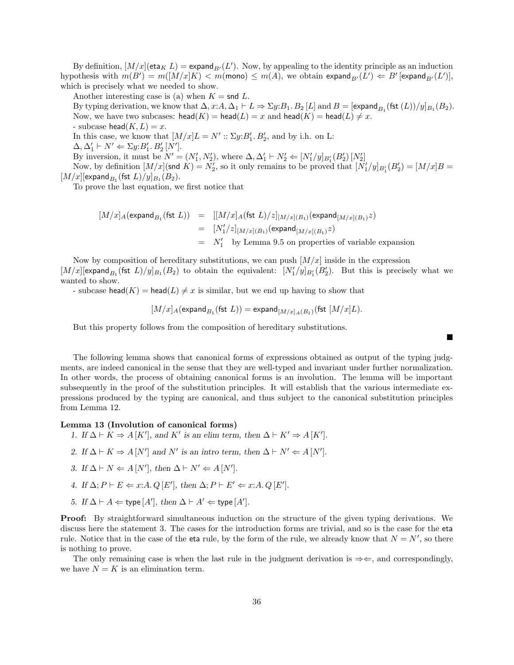By definition,  $[M/x](e^{\tan K} L) = \text{expand}_{B'}(L')$ . Now, by appealing to the identity principle as an induction hypothesis with  $m(B') = m([M/x]K) < m(\text{mono}) \le m(A)$ , we obtain  $\exp \text{and}_{B'}(L') \Leftarrow B'[\exp \text{and}_{B'}(L')],$ which is precisely what we needed to show.

Another interesting case is (a) when  $K = \text{snd } L$ .

By typing derivation, we know that  $\Delta$ ,  $x:A$ ,  $\Delta_1 \vdash L \Rightarrow \Sigma y:B_1.B_2[L]$  and  $B = [\text{expand}_{B_1}(\text{fst } (L))/y]_{B_1}(B_2)$ . Now, we have two subcases:  $head(K) = head(L) = x$  and  $head(K) = head(L) \neq x$ . - subcase head( $K, L$ ) = x.

In this case, we know that  $[M/x]L = N' :: \Sigma y: B'_1, B'_2$ , and by i.h. on L:

 $\Delta, \Delta'_1 \vdash N' \Leftarrow \Sigma y:B'_1.B'_2[N'].$ 

By inversion, it must be  $N' = (N'_1, N'_2)$ , where  $\Delta, \Delta'_1 \vdash N'_2 \Leftarrow [N'_1/y]_{B'_1}(B'_2)[N'_2]$ 

Now, by definition  $[M/x](\text{snd } K) = N'_2$ , so it only remains to be proved that  $[N'_1/y]_{B'_1}(B'_2) = [M/x]B =$  $[M/x]$ [expand $_{B_1}$ (fst  $L)/y]_{B_1}(B_2)$ .

To prove the last equation, we first notice that

$$
[M/x]_A(\text{expand}_{B_1}(\text{fst } L)) = [[M/x]_A(\text{fst } L)/z]_{[M/x](B_1)}(\text{expand}_{[M/x](B_1)}z)
$$
  
\n
$$
= [N'_1/z]_{[M/x](B_1)}(\text{expand}_{[M/x](B_1)}z)
$$
  
\n
$$
= N'_1 \text{ by Lemma 9.5 on properties of variable expansion}
$$

Now by composition of hereditary substitutions, we can push  $[M/x]$  inside in the expression  $[M/x]$ [expand<sub>B<sub>1</sub></sub> (fst L)/y]<sub>B<sub>1</sub></sub>(B<sub>2</sub>) to obtain the equivalent:  $[N'_1/y]_{B'_1}(B'_2)$ . But this is precisely what we wanted to show.

- subcase head(K) = head(L)  $\neq x$  is similar, but we end up having to show that

$$
[M/x]_A(\text{expand}_{B_1}(\text{fst } L)) = \text{expand}_{[M/x]_A(B_1)}(\text{fst }[M/x]_L).
$$

■

But this property follows from the composition of hereditary substitutions.

The following lemma shows that canonical forms of expressions obtained as output of the typing judgments, are indeed canonical in the sense that they are well-typed and invariant under further normalization. In other words, the process of obtaining canonical forms is an involution. The lemma will be important subsequently in the proof of the substitution principles. It will establish that the various intermediate expressions produced by the typing are canonical, and thus subject to the canonical substitution principles from Lemma 12.

### Lemma 13 (Involution of canonical forms)

- 1. If  $\Delta \vdash K \Rightarrow A[K']$ , and K' is an elim term, then  $\Delta \vdash K' \Rightarrow A[K']$ .
- 2. If  $\Delta \vdash K \Rightarrow A[N']$  and N' is an intro term, then  $\Delta \vdash N' \Leftarrow A[N']$ .
- 3. If  $\Delta \vdash N \Leftarrow A[N']$ , then  $\Delta \vdash N' \Leftarrow A[N']$ .
- 4. If  $\Delta; P \vdash E \Leftarrow x:A. Q [E'], \text{ then } \Delta; P \vdash E' \Leftarrow x:A. Q [E'].$
- 5. If  $\Delta \vdash A \Leftarrow$  type  $[A'],$  then  $\Delta \vdash A' \Leftarrow$  type  $[A'].$

Proof: By straightforward simultaneous induction on the structure of the given typing derivations. We discuss here the statement 3. The cases for the introduction forms are trivial, and so is the case for the eta rule. Notice that in the case of the eta rule, by the form of the rule, we already know that  $N = N'$ , so there is nothing to prove.

The only remaining case is when the last rule in the judgment derivation is  $\Rightarrow \Leftarrow$ , and correspondingly, we have  $N = K$  is an elimination term.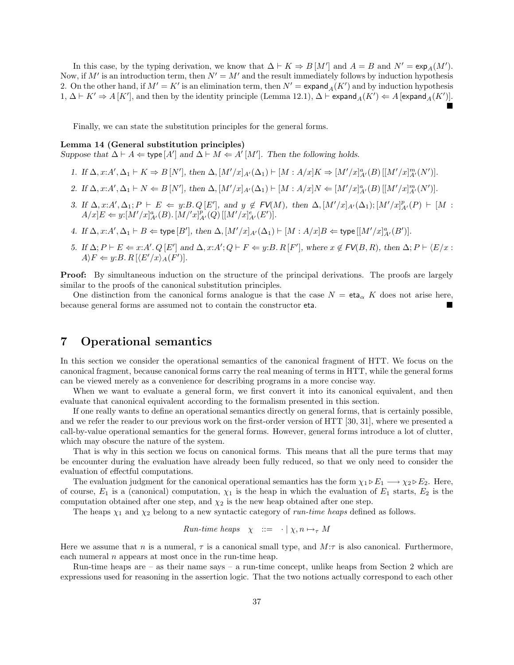In this case, by the typing derivation, we know that  $\Delta \vdash K \Rightarrow B[M']$  and  $A = B$  and  $N' = \exp_A(M')$ . Now, if  $M'$  is an introduction term, then  $N' = M'$  and the result immediately follows by induction hypothesis 2. On the other hand, if  $M' = K'$  is an elimination term, then  $N' = \text{expand}_A(K')$  and by induction hypothesis 1,  $\Delta \vdash K' \Rightarrow A[K']$ , and then by the identity principle (Lemma 12.1),  $\Delta \vdash$  expand $_A(K') \Leftarrow A$  [expand $_A(K')$ ]. İ

Finally, we can state the substitution principles for the general forms.

### Lemma 14 (General substitution principles)

Suppose that  $\Delta \vdash A \Leftarrow$  type  $[A']$  and  $\Delta \vdash M \Leftarrow A'[M']$ . Then the following holds.

- 1. If  $\Delta$ ,  $x:A', \Delta_1 \vdash K \Rightarrow B[N']$ , then  $\Delta$ ,  $[M'/x]_{A'}(\Delta_1) \vdash [M : A/x]_K \Rightarrow [M'/x]_{A'}^a(B) [[M'/x]_{A'}^m(N')]$ .
- 2. If  $\Delta$ ,  $x:A', \Delta_1 \vdash N \Leftarrow B[N']$ , then  $\Delta$ ,  $[M'/x]_{A'}(\Delta_1) \vdash [M : A/x]_{N} \Leftarrow [M'/x]_{A'}^{a}(B) [[M'/x]_{A'}^{m}(N')]$ .
- 3. If  $\Delta$ , x: A',  $\Delta_1$ ;  $P \vdash E \Leftarrow y$ : B. Q[E'], and  $y \notin FV(M)$ , then  $\Delta$ ,  $[M'/x]_{A'}(\Delta_1)$ ;  $[M'/x]_{A'}^p(P) \vdash [M :$  $A/x]E \Leftarrow y:[M'/x]_{A'}^{a}(B)$ .  $[M'/x]_{A'}^{p}(Q) [[M'/x]_{A'}^{e}(E')]$ .
- 4. If  $\Delta$ ,  $x:A', \Delta_1 \vdash B \Leftarrow$  type  $[B'],$  then  $\Delta$ ,  $[M'/x]_{A'}(\Delta_1) \vdash [M : A/x]B \Leftarrow$  type  $[[M'/x]_{A'}^a(B')]$ .
- 5. If  $\Delta; P \vdash E \Leftarrow x:A'. Q [E']$  and  $\Delta, x:A'; Q \vdash F \Leftarrow y:B.R [F'],$  where  $x \notin FV(B,R)$ , then  $\Delta; P \vdash \langle E/x : E \rangle$  $A\rangle F \Leftarrow y:B. R[\langle E'/x\rangle_A(F')]$ .

**Proof:** By simultaneous induction on the structure of the principal derivations. The proofs are largely similar to the proofs of the canonical substitution principles.

One distinction from the canonical forms analogue is that the case  $N = \text{eta}_{\alpha} K$  does not arise here, because general forms are assumed not to contain the constructor eta.

# 7 Operational semantics

In this section we consider the operational semantics of the canonical fragment of HTT. We focus on the canonical fragment, because canonical forms carry the real meaning of terms in HTT, while the general forms can be viewed merely as a convenience for describing programs in a more concise way.

When we want to evaluate a general form, we first convert it into its canonical equivalent, and then evaluate that canonical equivalent according to the formalism presented in this section.

If one really wants to define an operational semantics directly on general forms, that is certainly possible, and we refer the reader to our previous work on the first-order version of HTT [30, 31], where we presented a call-by-value operational semantics for the general forms. However, general forms introduce a lot of clutter, which may obscure the nature of the system.

That is why in this section we focus on canonical forms. This means that all the pure terms that may be encounter during the evaluation have already been fully reduced, so that we only need to consider the evaluation of effectful computations.

The evaluation judgment for the canonical operational semantics has the form  $\chi_1 \triangleright E_1 \longrightarrow \chi_2 \triangleright E_2$ . Here, of course,  $E_1$  is a (canonical) computation,  $\chi_1$  is the heap in which the evaluation of  $E_1$  starts,  $E_2$  is the computation obtained after one step, and  $\chi_2$  is the new heap obtained after one step.

The heaps  $\chi_1$  and  $\chi_2$  belong to a new syntactic category of *run-time heaps* defined as follows.

*Run-time heaps* 
$$
\chi
$$
 ::=  $\cdot | \chi, n \mapsto_{\tau} M$ 

Here we assume that n is a numeral,  $\tau$  is a canonical small type, and  $M:\tau$  is also canonical. Furthermore, each numeral  $n$  appears at most once in the run-time heap.

Run-time heaps are  $-$  as their name says  $-$  a run-time concept, unlike heaps from Section 2 which are expressions used for reasoning in the assertion logic. That the two notions actually correspond to each other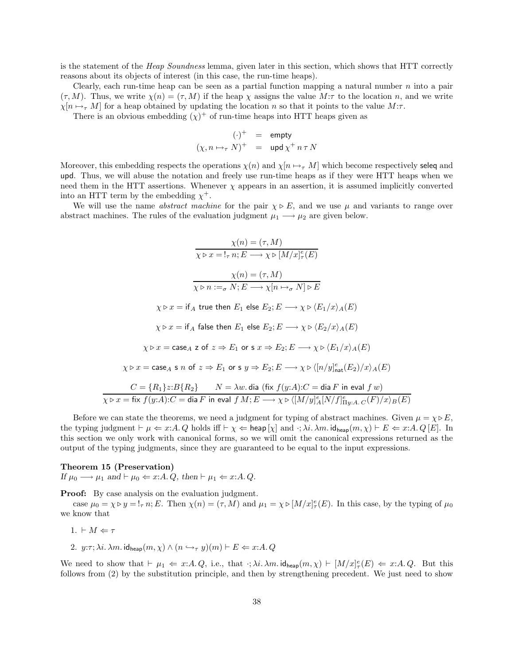is the statement of the *Heap Soundness* lemma, given later in this section, which shows that HTT correctly reasons about its objects of interest (in this case, the run-time heaps).

Clearly, each run-time heap can be seen as a partial function mapping a natural number  $n$  into a pair  $(\tau, M)$ . Thus, we write  $\chi(n) = (\tau, M)$  if the heap  $\chi$  assigns the value  $M:\tau$  to the location n, and we write  $\chi[n \mapsto_{\tau} M]$  for a heap obtained by updating the location n so that it points to the value  $M:\tau$ .

There is an obvious embedding  $(\chi)^+$  of run-time heaps into HTT heaps given as

$$
(\cdot)^+ = \text{empty}
$$
  

$$
(\chi, n \mapsto_{\tau} N)^+ = \text{upd} \chi^+ n \tau N
$$

Moreover, this embedding respects the operations  $\chi(n)$  and  $\chi[n \mapsto_{\tau} M]$  which become respectively seleq and upd. Thus, we will abuse the notation and freely use run-time heaps as if they were HTT heaps when we need them in the HTT assertions. Whenever  $\chi$  appears in an assertion, it is assumed implicitly converted into an HTT term by the embedding  $\chi^+$ .

We will use the name *abstract machine* for the pair  $\chi \triangleright E$ , and we use  $\mu$  and variants to range over abstract machines. The rules of the evaluation judgment  $\mu_1 \longrightarrow \mu_2$  are given below.

$$
\frac{\chi(n) = (\tau, M)}{\chi \triangleright x = !_{\tau} n; E \longrightarrow \chi \triangleright [M/x]_{\tau}^{e}(E)}
$$
\n
$$
\frac{\chi(n) = (\tau, M)}{\chi \triangleright n :=_{\sigma} N; E \longrightarrow \chi[n \mapsto_{\sigma} N] \triangleright E}
$$
\n
$$
\chi \triangleright x = \text{if } A \text{ true then } E_1 \text{ else } E_2; E \longrightarrow \chi \triangleright \langle E_1/x \rangle_A(E)
$$
\n
$$
\chi \triangleright x = \text{if } A \text{ false then } E_1 \text{ else } E_2; E \longrightarrow \chi \triangleright \langle E_2/x \rangle_A(E)
$$
\n
$$
\chi \triangleright x = \text{case } A \neq 0 \text{ for } s \neq E_2; E \longrightarrow \chi \triangleright \langle E_1/x \rangle_A(E)
$$
\n
$$
\chi \triangleright x = \text{case } A \neq 0 \text{ for } s \neq E_2; E \longrightarrow \chi \triangleright \langle [n/y]_{\text{nat}}^{e}(E_2)/x \rangle_A(E)
$$
\n
$$
C = \{R_1\} z : B\{R_2\} \qquad N = \lambda w. \text{ dia (fix } f(y:A): C = \text{dia } F \text{ in eval } f w)
$$
\n
$$
\chi \triangleright x = \text{fix } f(y:A): C = \text{dia } F \text{ in eval } f M; E \longrightarrow \chi \triangleright \langle [M/y]_{A}^{e}[N/f]_{\text{Hy}.A \cdot C}(F)/x \rangle_{B}(E)
$$

Before we can state the theorems, we need a judgment for typing of abstract machines. Given  $\mu = \chi \triangleright E$ , the typing judgment  $\vdash \mu \Leftarrow x:A$ . Q holds iff  $\vdash \chi \Leftarrow \text{heap}[\chi]$  and  $\cdot; \lambda i. \lambda m. \text{ id}_{\text{heap}}(m, \chi) \vdash E \Leftarrow x:A$ . Q [E]. In this section we only work with canonical forms, so we will omit the canonical expressions returned as the output of the typing judgments, since they are guaranteed to be equal to the input expressions.

#### Theorem 15 (Preservation)

If  $\mu_0 \longrightarrow \mu_1$  and  $\vdash \mu_0 \Leftarrow x:A. Q$ , then  $\vdash \mu_1 \Leftarrow x:A. Q$ .

Proof: By case analysis on the evaluation judgment.

case  $\mu_0 = \chi \triangleright y = !_\tau n$ ; E. Then  $\chi(n) = (\tau, M)$  and  $\mu_1 = \chi \triangleright [M/x]_\tau^e(E)$ . In this case, by the typing of  $\mu_0$ we know that

- 1.  $\vdash M \Leftarrow \tau$
- 2.  $y:\tau; \lambda i. \lambda m.$  id<sub>heap</sub> $(m, \chi) \wedge (n \hookrightarrow_{\tau} y)(m) \vdash E \Leftarrow x:A. Q$

We need to show that  $\vdash \mu_1 \Leftarrow x:A. Q$ , i.e., that  $\cdot; \lambda i. \lambda m. \mathsf{id}_{\mathsf{heap}}(m, \chi) \vdash [M/x]_{\tau}^e(E) \Leftarrow x:A. Q$ . But this follows from (2) by the substitution principle, and then by strengthening precedent. We just need to show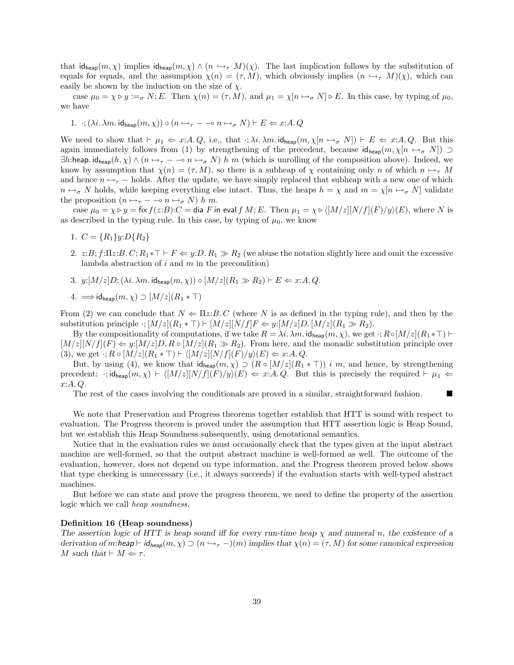that  $id_{\text{heap}}(m, \chi)$  implies  $id_{\text{heap}}(m, \chi) \wedge (n \hookrightarrow_{\tau} M)(\chi)$ . The last implication follows by the substitution of equals for equals, and the assumption  $\chi(n) = (\tau, M)$ , which obviously implies  $(n \hookrightarrow_{\tau} M)(\chi)$ , which can easily be shown by the induction on the size of  $\chi$ .

case  $\mu_0 = \chi \triangleright y :=_{\sigma} N; E$ . Then  $\chi(n) = (\tau, M)$ , and  $\mu_1 = \chi[n \mapsto_{\sigma} N] \triangleright E$ . In this case, by typing of  $\mu_0$ , we have

1. 
$$
\cdot ; (\lambda i. \lambda m. \mathrm{id}_{\mathrm{heap}}(m, \chi)) \circ (n \mapsto_{\tau} - \multimap n \mapsto_{\sigma} N) \vdash E \Leftarrow x : A. Q
$$

We need to show that  $\vdash \mu_1 \Leftarrow x:A. Q$ , i.e., that  $\cdot; \lambda i. \lambda m. \mathsf{id}_{\mathsf{heap}}(m, \chi[n \mapsto_{\sigma} N]) \vdash E \Leftarrow x:A. Q$ . But this again immediately follows from (1) by strengthening of the precedent, because  $id_{\text{heap}}(m, \chi[n \mapsto \sigma N]) \supset$  $\exists h:$ heap. id<sub>heap</sub> $(h, \chi) \wedge (n \mapsto_{\tau} - \infty n \mapsto_{\sigma} N)$  h m (which is unrolling of the composition above). Indeed, we know by assumption that  $\chi(n) = (\tau, M)$ , so there is a subheap of  $\chi$  containing only n of which  $n \mapsto_{\tau} M$ and hence  $n \mapsto_{\tau}$  – holds. After the update, we have simply replaced that subheap with a new one of which  $n \mapsto_{\sigma} N$  holds, while keeping everything else intact. Thus, the heaps  $h = \chi$  and  $m = \chi[n \mapsto_{\sigma} N]$  validate the proposition  $(n \mapsto_{\tau} - \infty n \mapsto_{\sigma} N) h m$ .

case  $\mu_0 = \chi \triangleright y = \text{fix } f(z:B):C = \text{dia } F$  in eval  $f M$ ; E. Then  $\mu_1 = \chi \triangleright \langle [M/z][N/f](F)/y\rangle(E)$ , where N is as described in the typing rule. In this case, by typing of  $\mu_0$ , we know

- 1.  $C = \{R_1\} \cup i:D\{R_2\}$
- 2. z:B;  $f:\Pi z:B. C; R_1*\top \vdash F \Leftarrow y:D. R_1 \gg R_2$  (we abuse the notation slightly here and omit the excessive lambda abstraction of  $i$  and  $m$  in the precondition)
- 3.  $y:[M/z]D; (\lambda i. \lambda m. \mathrm{id}_{\mathrm{heap}}(m, \chi)) \circ [M/z](R_1 \gg R_2) \vdash E \Leftarrow x:A. Q.$

4. 
$$
\Longrightarrow
$$
 id<sub>heap</sub> $(m, \chi) \supset [M/z](R_1 * \top)$ 

From (2) we can conclude that  $N \leftarrow \Pi z:B.C$  (where N is as defined in the typing rule), and then by the substitution principle  $\cdot$ ;  $[M/z](R_1 * \top) \vdash [M/z][N/f]F \Leftarrow y:[M/z]D$ .  $[M/z](R_1 \gg R_2)$ .

By the compositionality of computations, if we take  $R = \lambda i$ .  $\lambda m$ . id<sub>heap</sub> $(m, \chi)$ , we get  $\cdot$ ;  $R \circ [M/z](R_1 * \top)$  $[M/z][N/f](F) \Leftarrow y:[M/z]D$ .  $R \circ [M/z](R_1 \gg R_2)$ . From here, and the monadic substitution principle over (3), we get  $\cdot$ ;  $R \circ [M/z](R_1 * \top) \vdash \langle [M/z][N/f](F)/y \rangle(E) \Leftarrow x:A. Q.$ 

But, by using (4), we know that  $id_{\text{heap}}(m, \chi) \supset (R \circ [M/z](R_1 * \top))$  *i m*, and hence, by strengthening precedent:  $\cdot$ ; id<sub>heap</sub> $(m, \chi) \vdash \langle [M/z][N/f](F)/y \rangle (E) \Leftarrow x:A. Q$ . But this is precisely the required  $\vdash \mu_1 \Leftarrow$ x:A. Q.

The rest of the cases involving the conditionals are proved in a similar, straightforward fashion.

We note that Preservation and Progress theorems together establish that HTT is sound with respect to evaluation. The Progress theorem is proved under the assumption that HTT assertion logic is Heap Sound, but we establish this Heap Soundness subsequently, using denotational semantics.

Notice that in the evaluation rules we must occasionally check that the types given at the input abstract machine are well-formed, so that the output abstract machine is well-formed as well. The outcome of the evaluation, however, does not depend on type information, and the Progress theorem proved below shows that type checking is unnecessary (i.e., it always succeeds) if the evaluation starts with well-typed abstract machines.

But before we can state and prove the progress theorem, we need to define the property of the assertion logic which we call heap soundness.

### Definition 16 (Heap soundness)

The assertion logic of HTT is heap sound iff for every run-time heap  $\chi$  and numeral n, the existence of a derivation of m:heap  $\vdash id_{\mathsf{heap}}(m, \chi) \supset (n \hookrightarrow_{\tau} -)(m)$  implies that  $\chi(n) = (\tau, M)$  for some canonical expression M such that  $\vdash M \Leftarrow \tau$ .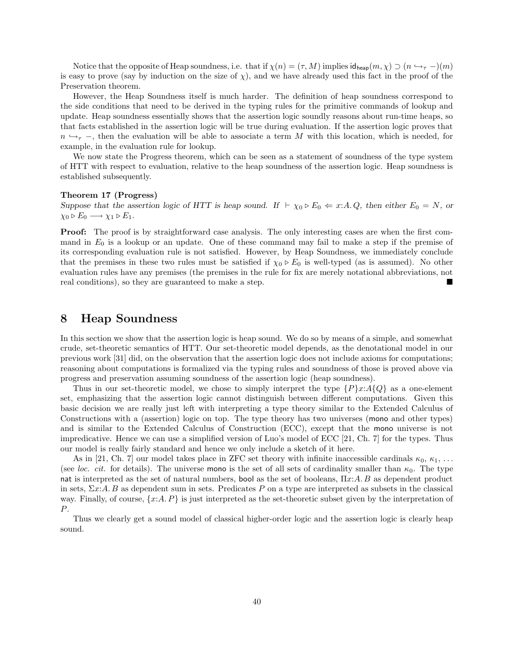Notice that the opposite of Heap soundness, i.e. that if  $\chi(n) = (\tau, M)$  implies  $id_{\text{heap}}(m, \chi) \supset (n \rightarrow_{\tau} -)(m)$ is easy to prove (say by induction on the size of  $\chi$ ), and we have already used this fact in the proof of the Preservation theorem.

However, the Heap Soundness itself is much harder. The definition of heap soundness correspond to the side conditions that need to be derived in the typing rules for the primitive commands of lookup and update. Heap soundness essentially shows that the assertion logic soundly reasons about run-time heaps, so that facts established in the assertion logic will be true during evaluation. If the assertion logic proves that  $n \leftrightarrow_{\tau}$ , then the evaluation will be able to associate a term M with this location, which is needed, for example, in the evaluation rule for lookup.

We now state the Progress theorem, which can be seen as a statement of soundness of the type system of HTT with respect to evaluation, relative to the heap soundness of the assertion logic. Heap soundness is established subsequently.

#### Theorem 17 (Progress)

Suppose that the assertion logic of HTT is heap sound. If  $\vdash \chi_0 \triangleright E_0 \Leftarrow x:A. Q$ , then either  $E_0 = N$ , or  $\chi_0 \triangleright E_0 \longrightarrow \chi_1 \triangleright E_1.$ 

Proof: The proof is by straightforward case analysis. The only interesting cases are when the first command in  $E_0$  is a lookup or an update. One of these command may fail to make a step if the premise of its corresponding evaluation rule is not satisfied. However, by Heap Soundness, we immediately conclude that the premises in these two rules must be satisfied if  $\chi_0 \triangleright E_0$  is well-typed (as is assumed). No other evaluation rules have any premises (the premises in the rule for fix are merely notational abbreviations, not real conditions), so they are guaranteed to make a step.

### 8 Heap Soundness

In this section we show that the assertion logic is heap sound. We do so by means of a simple, and somewhat crude, set-theoretic semantics of HTT. Our set-theoretic model depends, as the denotational model in our previous work [31] did, on the observation that the assertion logic does not include axioms for computations; reasoning about computations is formalized via the typing rules and soundness of those is proved above via progress and preservation assuming soundness of the assertion logic (heap soundness).

Thus in our set-theoretic model, we chose to simply interpret the type  $\{P\}x:A\{Q\}$  as a one-element set, emphasizing that the assertion logic cannot distinguish between different computations. Given this basic decision we are really just left with interpreting a type theory similar to the Extended Calculus of Constructions with a (assertion) logic on top. The type theory has two universes (mono and other types) and is similar to the Extended Calculus of Construction (ECC), except that the mono universe is not impredicative. Hence we can use a simplified version of Luo's model of ECC [21, Ch. 7] for the types. Thus our model is really fairly standard and hence we only include a sketch of it here.

As in [21, Ch. 7] our model takes place in ZFC set theory with infinite inaccessible cardinals  $\kappa_0, \kappa_1, \ldots$ (see loc. cit. for details). The universe mono is the set of all sets of cardinality smaller than  $\kappa_0$ . The type nat is interpreted as the set of natural numbers, bool as the set of booleans, Πx:A. B as dependent product in sets,  $\Sigma x$ : A. B as dependent sum in sets. Predicates P on a type are interpreted as subsets in the classical way. Finally, of course,  $\{x:A, P\}$  is just interpreted as the set-theoretic subset given by the interpretation of P.

Thus we clearly get a sound model of classical higher-order logic and the assertion logic is clearly heap sound.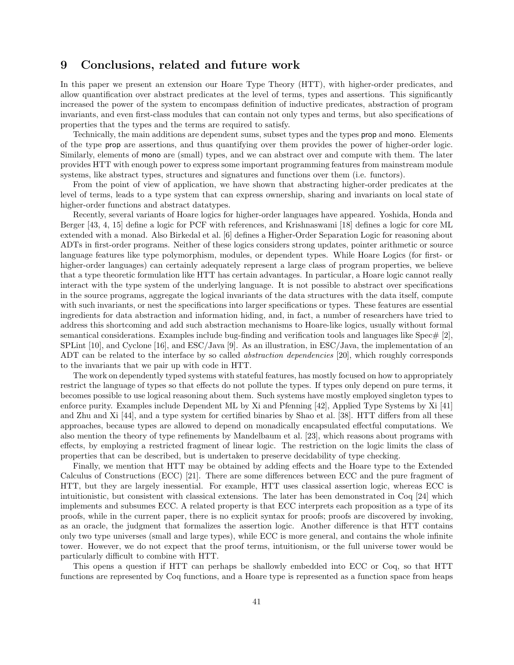### 9 Conclusions, related and future work

In this paper we present an extension our Hoare Type Theory (HTT), with higher-order predicates, and allow quantification over abstract predicates at the level of terms, types and assertions. This significantly increased the power of the system to encompass definition of inductive predicates, abstraction of program invariants, and even first-class modules that can contain not only types and terms, but also specifications of properties that the types and the terms are required to satisfy.

Technically, the main additions are dependent sums, subset types and the types prop and mono. Elements of the type prop are assertions, and thus quantifying over them provides the power of higher-order logic. Similarly, elements of mono are (small) types, and we can abstract over and compute with them. The later provides HTT with enough power to express some important programming features from mainstream module systems, like abstract types, structures and signatures and functions over them (i.e. functors).

From the point of view of application, we have shown that abstracting higher-order predicates at the level of terms, leads to a type system that can express ownership, sharing and invariants on local state of higher-order functions and abstract datatypes.

Recently, several variants of Hoare logics for higher-order languages have appeared. Yoshida, Honda and Berger [43, 4, 15] define a logic for PCF with references, and Krishnaswami [18] defines a logic for core ML extended with a monad. Also Birkedal et al. [6] defines a Higher-Order Separation Logic for reasoning about ADTs in first-order programs. Neither of these logics considers strong updates, pointer arithmetic or source language features like type polymorphism, modules, or dependent types. While Hoare Logics (for first- or higher-order languages) can certainly adequately represent a large class of program properties, we believe that a type theoretic formulation like HTT has certain advantages. In particular, a Hoare logic cannot really interact with the type system of the underlying language. It is not possible to abstract over specifications in the source programs, aggregate the logical invariants of the data structures with the data itself, compute with such invariants, or nest the specifications into larger specifications or types. These features are essential ingredients for data abstraction and information hiding, and, in fact, a number of researchers have tried to address this shortcoming and add such abstraction mechanisms to Hoare-like logics, usually without formal semantical considerations. Examples include bug-finding and verification tools and languages like Spec $\#$  [2], SPLint [10], and Cyclone [16], and ESC/Java [9]. As an illustration, in ESC/Java, the implementation of an ADT can be related to the interface by so called *abstraction dependencies* [20], which roughly corresponds to the invariants that we pair up with code in HTT.

The work on dependently typed systems with stateful features, has mostly focused on how to appropriately restrict the language of types so that effects do not pollute the types. If types only depend on pure terms, it becomes possible to use logical reasoning about them. Such systems have mostly employed singleton types to enforce purity. Examples include Dependent ML by Xi and Pfenning [42], Applied Type Systems by Xi [41] and Zhu and Xi [44], and a type system for certified binaries by Shao et al. [38]. HTT differs from all these approaches, because types are allowed to depend on monadically encapsulated effectful computations. We also mention the theory of type refinements by Mandelbaum et al. [23], which reasons about programs with effects, by employing a restricted fragment of linear logic. The restriction on the logic limits the class of properties that can be described, but is undertaken to preserve decidability of type checking.

Finally, we mention that HTT may be obtained by adding effects and the Hoare type to the Extended Calculus of Constructions (ECC) [21]. There are some differences between ECC and the pure fragment of HTT, but they are largely inessential. For example, HTT uses classical assertion logic, whereas ECC is intuitionistic, but consistent with classical extensions. The later has been demonstrated in Coq [24] which implements and subsumes ECC. A related property is that ECC interprets each proposition as a type of its proofs, while in the current paper, there is no explicit syntax for proofs; proofs are discovered by invoking, as an oracle, the judgment that formalizes the assertion logic. Another difference is that HTT contains only two type universes (small and large types), while ECC is more general, and contains the whole infinite tower. However, we do not expect that the proof terms, intuitionism, or the full universe tower would be particularly difficult to combine with HTT.

This opens a question if HTT can perhaps be shallowly embedded into ECC or Coq, so that HTT functions are represented by Coq functions, and a Hoare type is represented as a function space from heaps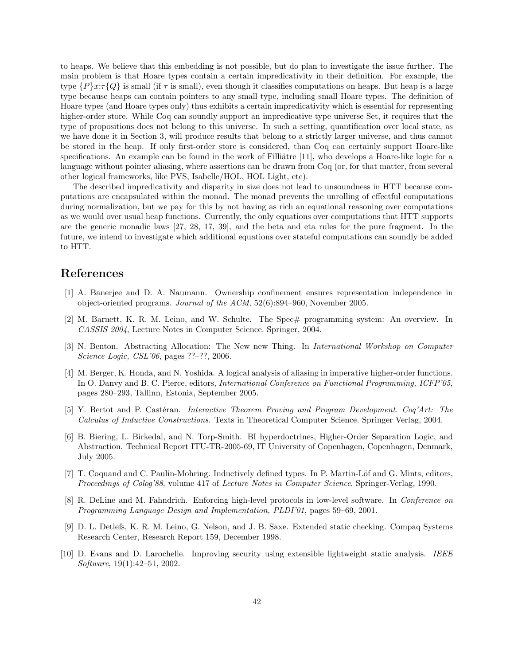to heaps. We believe that this embedding is not possible, but do plan to investigate the issue further. The main problem is that Hoare types contain a certain impredicativity in their definition. For example, the type  $\{P\}x:\tau\{Q\}$  is small (if  $\tau$  is small), even though it classifies computations on heaps. But heap is a large type because heaps can contain pointers to any small type, including small Hoare types. The definition of Hoare types (and Hoare types only) thus exhibits a certain impredicativity which is essential for representing higher-order store. While Coq can soundly support an impredicative type universe Set, it requires that the type of propositions does not belong to this universe. In such a setting, quantification over local state, as we have done it in Section 3, will produce results that belong to a strictly larger universe, and thus cannot be stored in the heap. If only first-order store is considered, than Coq can certainly support Hoare-like specifications. An example can be found in the work of Filliâtre [11], who develops a Hoare-like logic for a language without pointer aliasing, where assertions can be drawn from Coq (or, for that matter, from several other logical frameworks, like PVS, Isabelle/HOL, HOL Light, etc).

The described impredicativity and disparity in size does not lead to unsoundness in HTT because computations are encapsulated within the monad. The monad prevents the unrolling of effectful computations during normalization, but we pay for this by not having as rich an equational reasoning over computations as we would over usual heap functions. Currently, the only equations over computations that HTT supports are the generic monadic laws [27, 28, 17, 39], and the beta and eta rules for the pure fragment. In the future, we intend to investigate which additional equations over stateful computations can soundly be added to HTT.

# References

- [1] A. Banerjee and D. A. Naumann. Ownership confinement ensures representation independence in object-oriented programs. Journal of the ACM, 52(6):894–960, November 2005.
- [2] M. Barnett, K. R. M. Leino, and W. Schulte. The Spec# programming system: An overview. In CASSIS 2004, Lecture Notes in Computer Science. Springer, 2004.
- [3] N. Benton. Abstracting Allocation: The New new Thing. In International Workshop on Computer Science Logic, CSL'06, pages ??–??, 2006.
- [4] M. Berger, K. Honda, and N. Yoshida. A logical analysis of aliasing in imperative higher-order functions. In O. Danvy and B. C. Pierce, editors, International Conference on Functional Programming, ICFP'05, pages 280–293, Tallinn, Estonia, September 2005.
- [5] Y. Bertot and P. Castéran. *Interactive Theorem Proving and Program Development. Coq'Art: The* Calculus of Inductive Constructions. Texts in Theoretical Computer Science. Springer Verlag, 2004.
- [6] B. Biering, L. Birkedal, and N. Torp-Smith. BI hyperdoctrines, Higher-Order Separation Logic, and Abstraction. Technical Report ITU-TR-2005-69, IT University of Copenhagen, Copenhagen, Denmark, July 2005.
- [7] T. Coquand and C. Paulin-Mohring. Inductively defined types. In P. Martin-Löf and G. Mints, editors, Proceedings of Colog'88, volume 417 of Lecture Notes in Computer Science. Springer-Verlag, 1990.
- [8] R. DeLine and M. Fahndrich. Enforcing high-level protocols in low-level software. In Conference on Programming Language Design and Implementation, PLDI'01, pages 59–69, 2001.
- [9] D. L. Detlefs, K. R. M. Leino, G. Nelson, and J. B. Saxe. Extended static checking. Compaq Systems Research Center, Research Report 159, December 1998.
- [10] D. Evans and D. Larochelle. Improving security using extensible lightweight static analysis. IEEE Software, 19(1):42–51, 2002.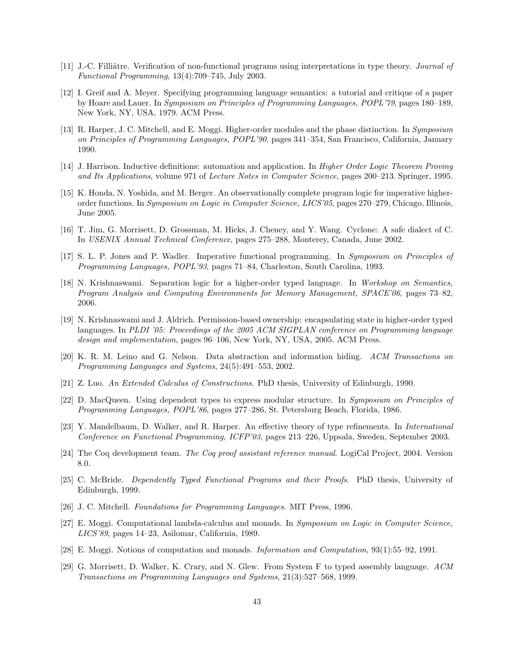- [11] J.-C. Filliâtre. Verification of non-functional programs using interpretations in type theory. *Journal of* Functional Programming, 13(4):709–745, July 2003.
- [12] I. Greif and A. Meyer. Specifying programming language semantics: a tutorial and critique of a paper by Hoare and Lauer. In Symposium on Principles of Programming Languages, POPL'79, pages 180–189, New York, NY, USA, 1979. ACM Press.
- [13] R. Harper, J. C. Mitchell, and E. Moggi. Higher-order modules and the phase distinction. In Symposium on Principles of Programming Languages, POPL'90, pages 341–354, San Francisco, California, January 1990.
- [14] J. Harrison. Inductive definitions: automation and application. In *Higher Order Logic Theorem Proving* and Its Applications, volume 971 of Lecture Notes in Computer Science, pages 200–213. Springer, 1995.
- [15] K. Honda, N. Yoshida, and M. Berger. An observationally complete program logic for imperative higherorder functions. In Symposium on Logic in Computer Science, LICS'05, pages 270–279, Chicago, Illinois, June 2005.
- [16] T. Jim, G. Morrisett, D. Grossman, M. Hicks, J. Cheney, and Y. Wang. Cyclone: A safe dialect of C. In USENIX Annual Technical Conference, pages 275–288, Monterey, Canada, June 2002.
- [17] S. L. P. Jones and P. Wadler. Imperative functional programming. In Symposium on Principles of Programming Languages, POPL'93, pages 71–84, Charleston, South Carolina, 1993.
- [18] N. Krishnaswami. Separation logic for a higher-order typed language. In Workshop on Semantics, Program Analysis and Computing Environments for Memory Management, SPACE'06, pages 73–82, 2006.
- [19] N. Krishnaswami and J. Aldrich. Permission-based ownership: encapsulating state in higher-order typed languages. In PLDI '05: Proceedings of the 2005 ACM SIGPLAN conference on Programming language design and implementation, pages 96–106, New York, NY, USA, 2005. ACM Press.
- [20] K. R. M. Leino and G. Nelson. Data abstraction and information hiding. ACM Transactions on Programming Languages and Systems, 24(5):491–553, 2002.
- [21] Z. Luo. An Extended Calculus of Constructions. PhD thesis, University of Edinburgh, 1990.
- [22] D. MacQueen. Using dependent types to express modular structure. In Symposium on Principles of Programming Languages, POPL'86, pages 277–286, St. Petersburg Beach, Florida, 1986.
- [23] Y. Mandelbaum, D. Walker, and R. Harper. An effective theory of type refinements. In International Conference on Functional Programming, ICFP'03, pages 213–226, Uppsala, Sweden, September 2003.
- [24] The Coq development team. The Coq proof assistant reference manual. LogiCal Project, 2004. Version 8.0.
- [25] C. McBride. Dependently Typed Functional Programs and their Proofs. PhD thesis, University of Edinburgh, 1999.
- [26] J. C. Mitchell. Foundations for Programming Languages. MIT Press, 1996.
- [27] E. Moggi. Computational lambda-calculus and monads. In Symposium on Logic in Computer Science, LICS'89, pages 14–23, Asilomar, California, 1989.
- [28] E. Moggi. Notions of computation and monads. Information and Computation, 93(1):55–92, 1991.
- [29] G. Morrisett, D. Walker, K. Crary, and N. Glew. From System F to typed assembly language. ACM Transactions on Programming Languages and Systems, 21(3):527–568, 1999.